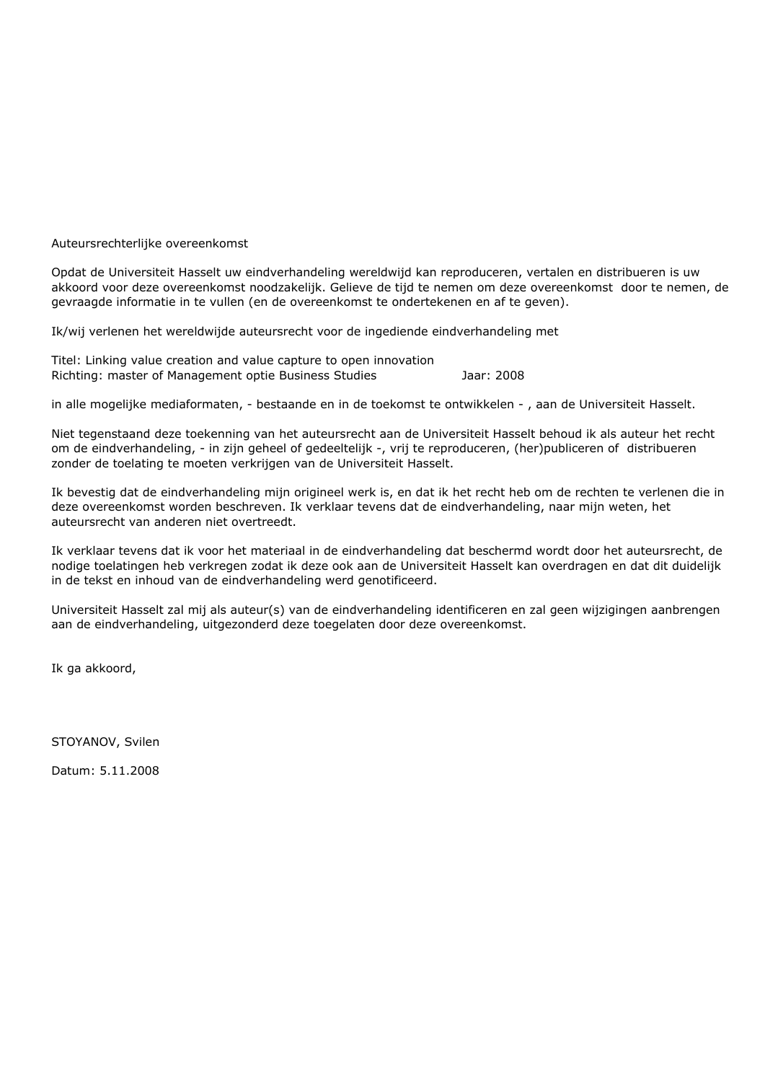Auteursrechterlijke overeenkomst

Opdat de Universiteit Hasselt uw eindverhandeling wereldwijd kan reproduceren, vertalen en distribueren is uw akkoord voor deze overeenkomst noodzakelijk. Gelieve de tijd te nemen om deze overeenkomst door te nemen, de gevraagde informatie in te vullen (en de overeenkomst te ondertekenen en af te geven).

Ik/wij verlenen het wereldwijde auteursrecht voor de ingediende eindverhandeling met

Titel: Linking value creation and value capture to open innovation Richting: master of Management optie Business Studies Jaar: 2008

in alle mogelijke mediaformaten, - bestaande en in de toekomst te ontwikkelen - , aan de Universiteit Hasselt.

Niet tegenstaand deze toekenning van het auteursrecht aan de Universiteit Hasselt behoud ik als auteur het recht om de eindverhandeling, - in zijn geheel of gedeeltelijk -, vrij te reproduceren, (her)publiceren of distribueren zonder de toelating te moeten verkrijgen van de Universiteit Hasselt.

Ik bevestig dat de eindverhandeling mijn origineel werk is, en dat ik het recht heb om de rechten te verlenen die in deze overeenkomst worden beschreven. Ik verklaar tevens dat de eindverhandeling, naar mijn weten, het auteursrecht van anderen niet overtreedt.

Ik verklaar tevens dat ik voor het materiaal in de eindverhandeling dat beschermd wordt door het auteursrecht, de nodige toelatingen heb verkregen zodat ik deze ook aan de Universiteit Hasselt kan overdragen en dat dit duidelijk in de tekst en inhoud van de eindverhandeling werd genotificeerd.

Universiteit Hasselt zal mij als auteur(s) van de eindverhandeling identificeren en zal geen wijzigingen aanbrengen aan de eindverhandeling, uitgezonderd deze toegelaten door deze overeenkomst.

Ik ga akkoord,

STOYANOV, Svilen

Datum: 5.11.2008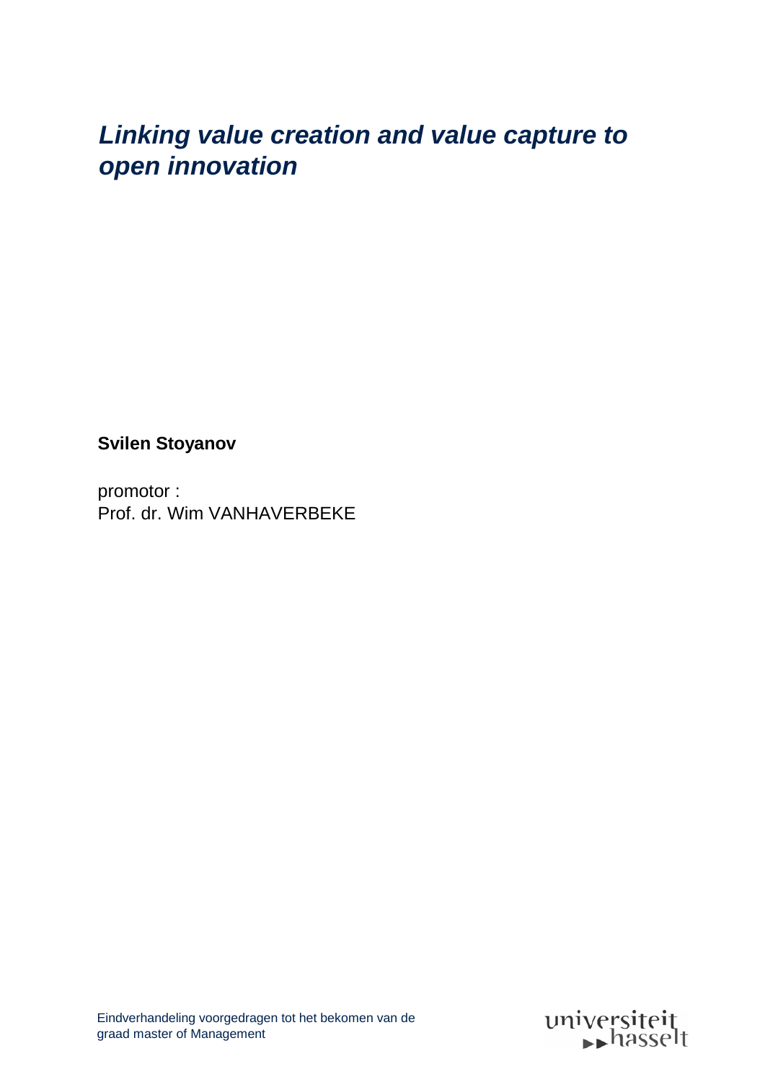# *Linking value creation and value capture to open innovation*

**Svilen Stoyanov**

promotor : Prof. dr. Wim VANHAVERBEKE

Eindverhandeling voorgedragen tot het bekomen van de graad master of Management

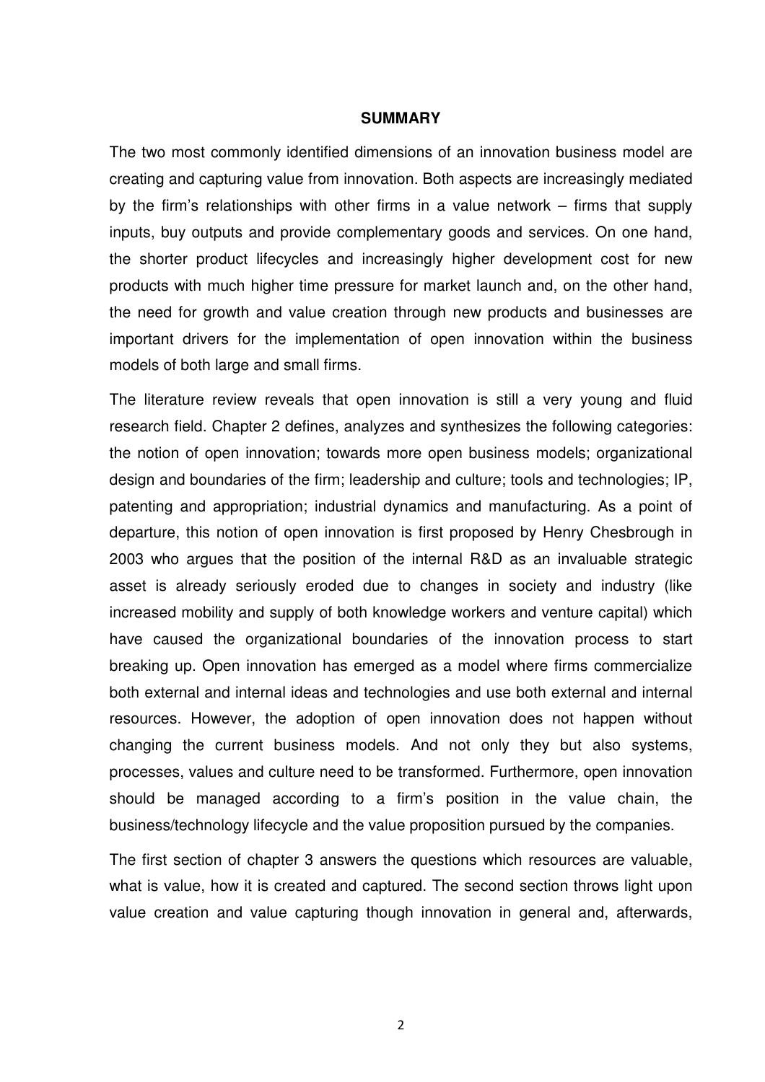#### **SUMMARY**

The two most commonly identified dimensions of an innovation business model are creating and capturing value from innovation. Both aspects are increasingly mediated by the firm's relationships with other firms in a value network – firms that supply inputs, buy outputs and provide complementary goods and services. On one hand, the shorter product lifecycles and increasingly higher development cost for new products with much higher time pressure for market launch and, on the other hand, the need for growth and value creation through new products and businesses are important drivers for the implementation of open innovation within the business models of both large and small firms.

The literature review reveals that open innovation is still a very young and fluid research field. Chapter 2 defines, analyzes and synthesizes the following categories: the notion of open innovation; towards more open business models; organizational design and boundaries of the firm; leadership and culture; tools and technologies; IP, patenting and appropriation; industrial dynamics and manufacturing. As a point of departure, this notion of open innovation is first proposed by Henry Chesbrough in 2003 who argues that the position of the internal R&D as an invaluable strategic asset is already seriously eroded due to changes in society and industry (like increased mobility and supply of both knowledge workers and venture capital) which have caused the organizational boundaries of the innovation process to start breaking up. Open innovation has emerged as a model where firms commercialize both external and internal ideas and technologies and use both external and internal resources. However, the adoption of open innovation does not happen without changing the current business models. And not only they but also systems, processes, values and culture need to be transformed. Furthermore, open innovation should be managed according to a firm's position in the value chain, the business/technology lifecycle and the value proposition pursued by the companies.

The first section of chapter 3 answers the questions which resources are valuable, what is value, how it is created and captured. The second section throws light upon value creation and value capturing though innovation in general and, afterwards,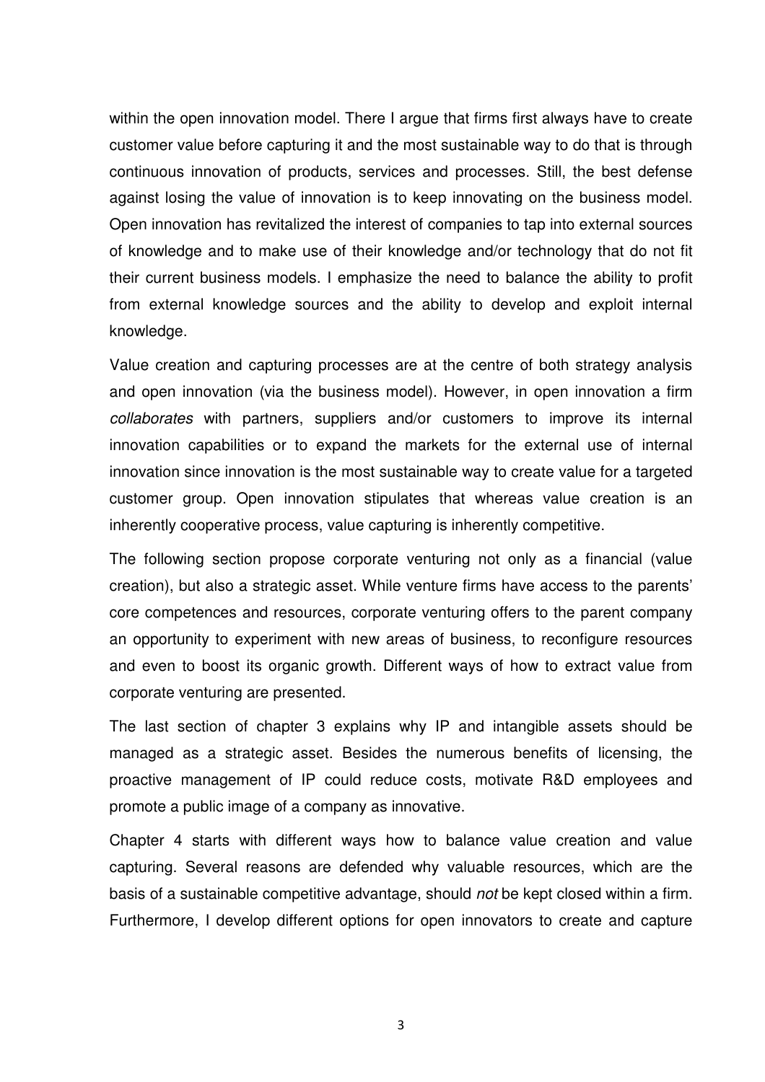within the open innovation model. There I argue that firms first always have to create customer value before capturing it and the most sustainable way to do that is through continuous innovation of products, services and processes. Still, the best defense against losing the value of innovation is to keep innovating on the business model. Open innovation has revitalized the interest of companies to tap into external sources of knowledge and to make use of their knowledge and/or technology that do not fit their current business models. I emphasize the need to balance the ability to profit from external knowledge sources and the ability to develop and exploit internal knowledge.

Value creation and capturing processes are at the centre of both strategy analysis and open innovation (via the business model). However, in open innovation a firm collaborates with partners, suppliers and/or customers to improve its internal innovation capabilities or to expand the markets for the external use of internal innovation since innovation is the most sustainable way to create value for a targeted customer group. Open innovation stipulates that whereas value creation is an inherently cooperative process, value capturing is inherently competitive.

The following section propose corporate venturing not only as a financial (value creation), but also a strategic asset. While venture firms have access to the parents' core competences and resources, corporate venturing offers to the parent company an opportunity to experiment with new areas of business, to reconfigure resources and even to boost its organic growth. Different ways of how to extract value from corporate venturing are presented.

The last section of chapter 3 explains why IP and intangible assets should be managed as a strategic asset. Besides the numerous benefits of licensing, the proactive management of IP could reduce costs, motivate R&D employees and promote a public image of a company as innovative.

Chapter 4 starts with different ways how to balance value creation and value capturing. Several reasons are defended why valuable resources, which are the basis of a sustainable competitive advantage, should not be kept closed within a firm. Furthermore, I develop different options for open innovators to create and capture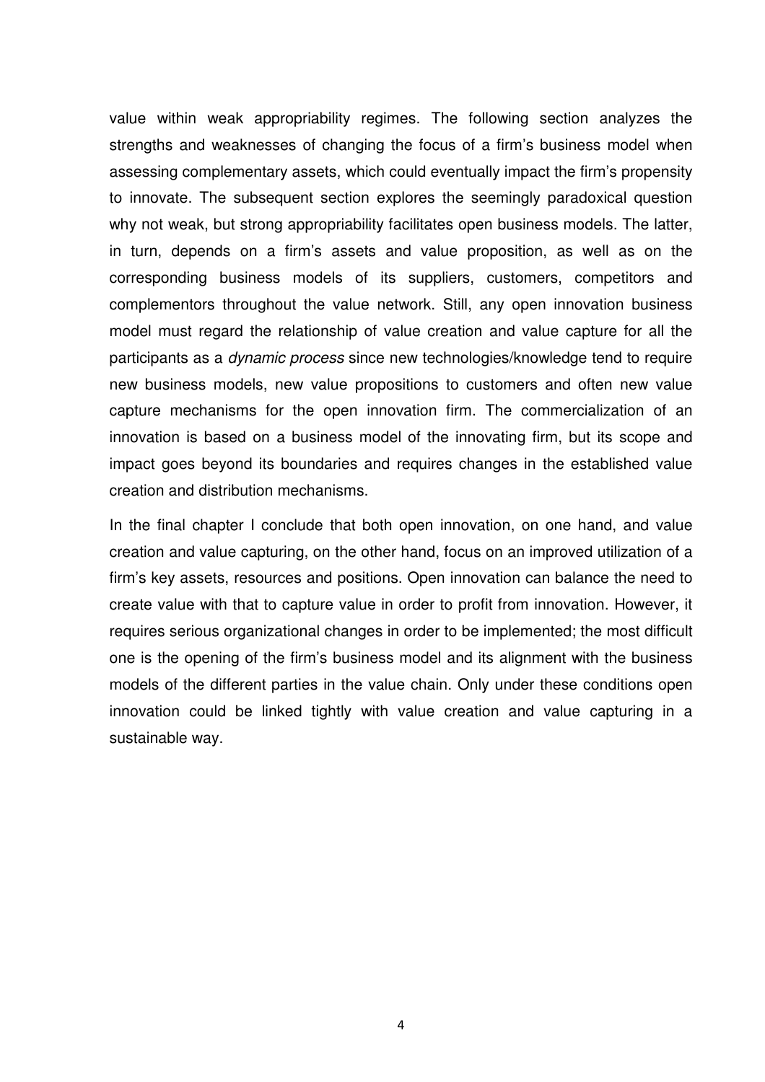value within weak appropriability regimes. The following section analyzes the strengths and weaknesses of changing the focus of a firm's business model when assessing complementary assets, which could eventually impact the firm's propensity to innovate. The subsequent section explores the seemingly paradoxical question why not weak, but strong appropriability facilitates open business models. The latter, in turn, depends on a firm's assets and value proposition, as well as on the corresponding business models of its suppliers, customers, competitors and complementors throughout the value network. Still, any open innovation business model must regard the relationship of value creation and value capture for all the participants as a dynamic process since new technologies/knowledge tend to require new business models, new value propositions to customers and often new value capture mechanisms for the open innovation firm. The commercialization of an innovation is based on a business model of the innovating firm, but its scope and impact goes beyond its boundaries and requires changes in the established value creation and distribution mechanisms.

In the final chapter I conclude that both open innovation, on one hand, and value creation and value capturing, on the other hand, focus on an improved utilization of a firm's key assets, resources and positions. Open innovation can balance the need to create value with that to capture value in order to profit from innovation. However, it requires serious organizational changes in order to be implemented; the most difficult one is the opening of the firm's business model and its alignment with the business models of the different parties in the value chain. Only under these conditions open innovation could be linked tightly with value creation and value capturing in a sustainable way.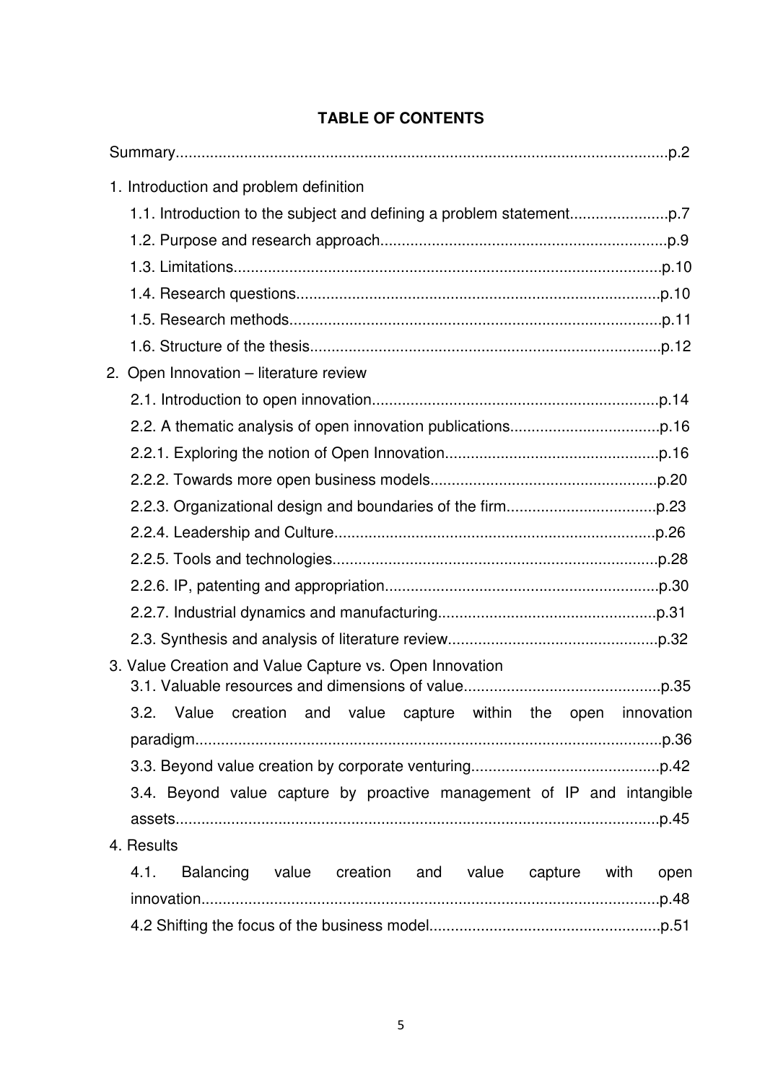| 1. Introduction and problem definition                                 |  |  |  |  |  |
|------------------------------------------------------------------------|--|--|--|--|--|
|                                                                        |  |  |  |  |  |
|                                                                        |  |  |  |  |  |
|                                                                        |  |  |  |  |  |
|                                                                        |  |  |  |  |  |
|                                                                        |  |  |  |  |  |
|                                                                        |  |  |  |  |  |
| 2. Open Innovation - literature review                                 |  |  |  |  |  |
|                                                                        |  |  |  |  |  |
|                                                                        |  |  |  |  |  |
|                                                                        |  |  |  |  |  |
|                                                                        |  |  |  |  |  |
|                                                                        |  |  |  |  |  |
|                                                                        |  |  |  |  |  |
|                                                                        |  |  |  |  |  |
|                                                                        |  |  |  |  |  |
|                                                                        |  |  |  |  |  |
|                                                                        |  |  |  |  |  |
| 3. Value Creation and Value Capture vs. Open Innovation                |  |  |  |  |  |
| 3.2. Value creation and value capture within the open innovation       |  |  |  |  |  |
|                                                                        |  |  |  |  |  |
|                                                                        |  |  |  |  |  |
| 3.4. Beyond value capture by proactive management of IP and intangible |  |  |  |  |  |
|                                                                        |  |  |  |  |  |
| 4. Results                                                             |  |  |  |  |  |
| Balancing value creation and value capture with<br>4.1.<br>open        |  |  |  |  |  |
| .p.48                                                                  |  |  |  |  |  |
|                                                                        |  |  |  |  |  |

# **TABLE OF CONTENTS**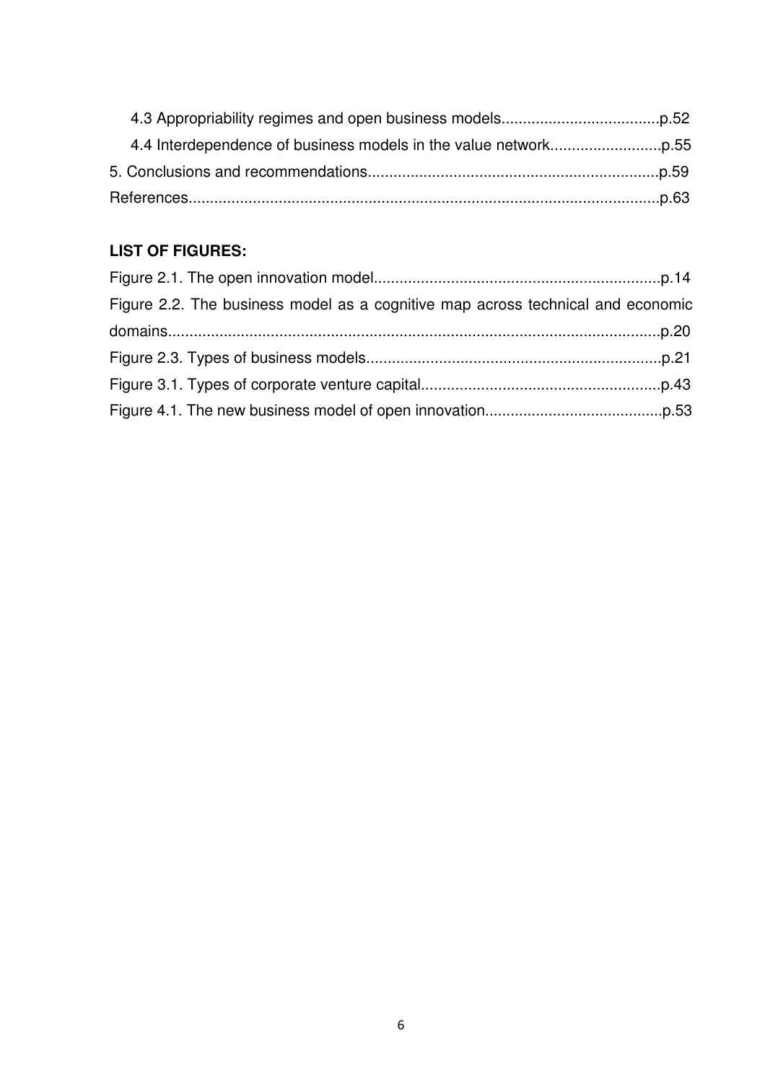# **LIST OF FIGURES:**

| Figure 2.2. The business model as a cognitive map across technical and economic |  |
|---------------------------------------------------------------------------------|--|
|                                                                                 |  |
|                                                                                 |  |
|                                                                                 |  |
|                                                                                 |  |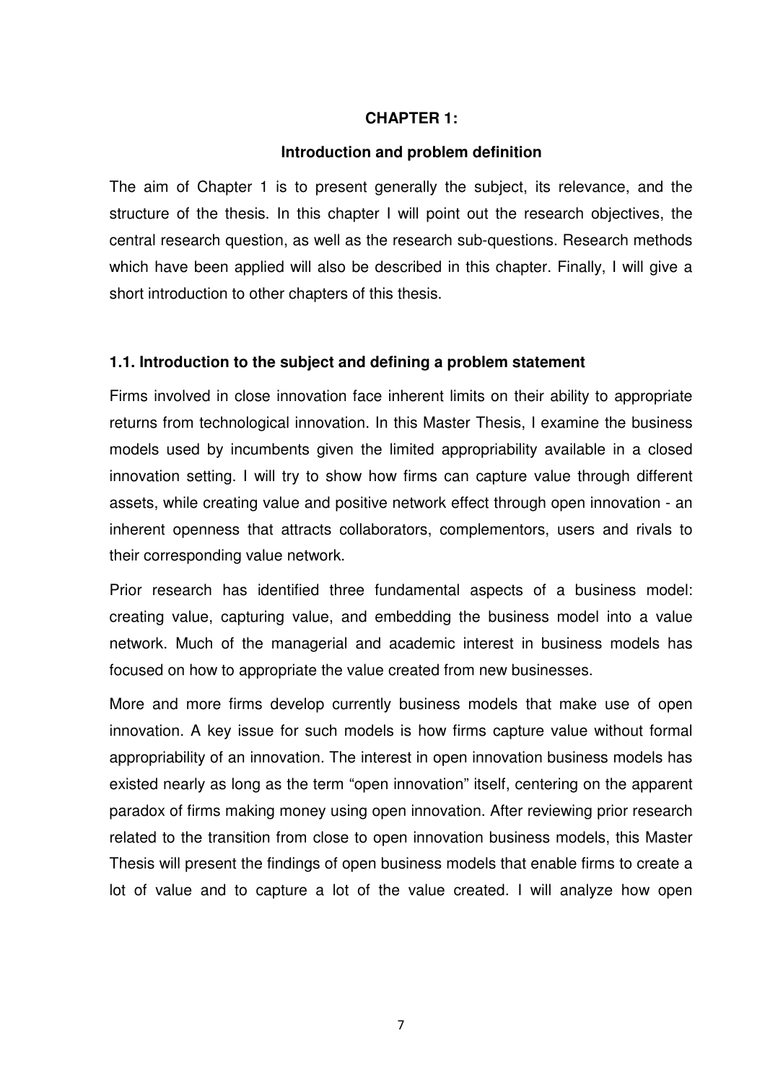## **CHAPTER 1:**

#### **Introduction and problem definition**

The aim of Chapter 1 is to present generally the subject, its relevance, and the structure of the thesis. In this chapter I will point out the research objectives, the central research question, as well as the research sub-questions. Research methods which have been applied will also be described in this chapter. Finally, I will give a short introduction to other chapters of this thesis.

## **1.1. Introduction to the subject and defining a problem statement**

Firms involved in close innovation face inherent limits on their ability to appropriate returns from technological innovation. In this Master Thesis, I examine the business models used by incumbents given the limited appropriability available in a closed innovation setting. I will try to show how firms can capture value through different assets, while creating value and positive network effect through open innovation - an inherent openness that attracts collaborators, complementors, users and rivals to their corresponding value network.

Prior research has identified three fundamental aspects of a business model: creating value, capturing value, and embedding the business model into a value network. Much of the managerial and academic interest in business models has focused on how to appropriate the value created from new businesses.

More and more firms develop currently business models that make use of open innovation. A key issue for such models is how firms capture value without formal appropriability of an innovation. The interest in open innovation business models has existed nearly as long as the term "open innovation" itself, centering on the apparent paradox of firms making money using open innovation. After reviewing prior research related to the transition from close to open innovation business models, this Master Thesis will present the findings of open business models that enable firms to create a lot of value and to capture a lot of the value created. I will analyze how open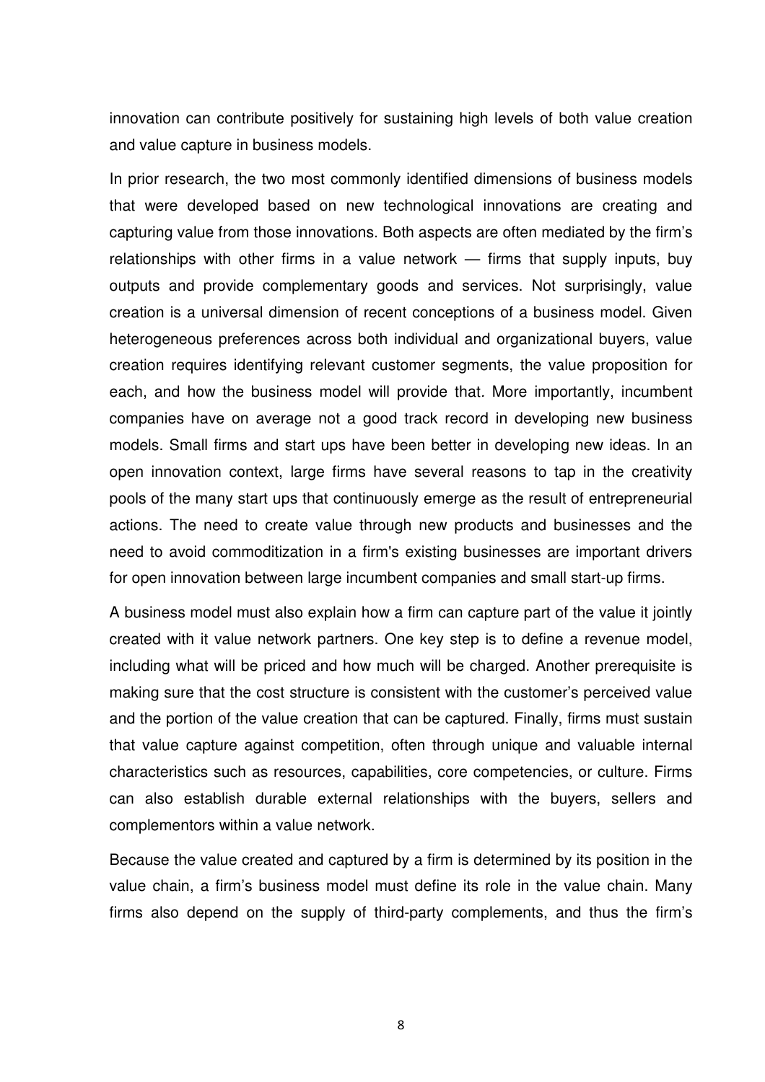innovation can contribute positively for sustaining high levels of both value creation and value capture in business models.

In prior research, the two most commonly identified dimensions of business models that were developed based on new technological innovations are creating and capturing value from those innovations. Both aspects are often mediated by the firm's relationships with other firms in a value network — firms that supply inputs, buy outputs and provide complementary goods and services. Not surprisingly, value creation is a universal dimension of recent conceptions of a business model. Given heterogeneous preferences across both individual and organizational buyers, value creation requires identifying relevant customer segments, the value proposition for each, and how the business model will provide that. More importantly, incumbent companies have on average not a good track record in developing new business models. Small firms and start ups have been better in developing new ideas. In an open innovation context, large firms have several reasons to tap in the creativity pools of the many start ups that continuously emerge as the result of entrepreneurial actions. The need to create value through new products and businesses and the need to avoid commoditization in a firm's existing businesses are important drivers for open innovation between large incumbent companies and small start-up firms.

A business model must also explain how a firm can capture part of the value it jointly created with it value network partners. One key step is to define a revenue model, including what will be priced and how much will be charged. Another prerequisite is making sure that the cost structure is consistent with the customer's perceived value and the portion of the value creation that can be captured. Finally, firms must sustain that value capture against competition, often through unique and valuable internal characteristics such as resources, capabilities, core competencies, or culture. Firms can also establish durable external relationships with the buyers, sellers and complementors within a value network.

Because the value created and captured by a firm is determined by its position in the value chain, a firm's business model must define its role in the value chain. Many firms also depend on the supply of third-party complements, and thus the firm's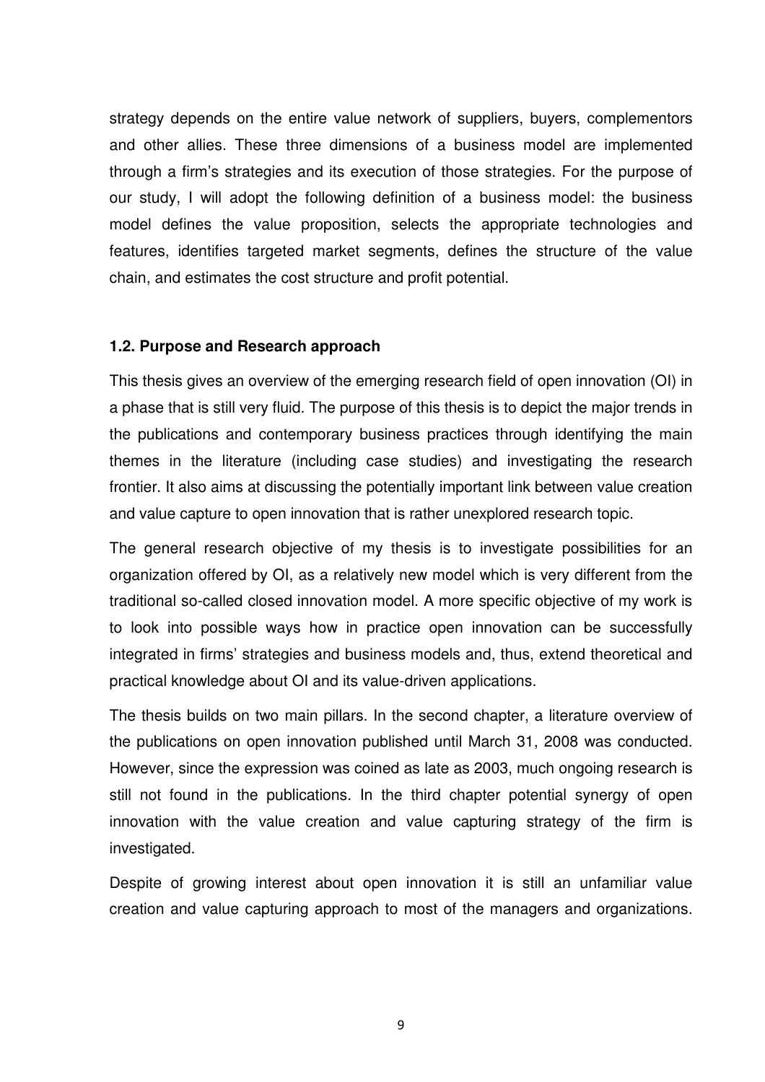strategy depends on the entire value network of suppliers, buyers, complementors and other allies. These three dimensions of a business model are implemented through a firm's strategies and its execution of those strategies. For the purpose of our study, I will adopt the following definition of a business model: the business model defines the value proposition, selects the appropriate technologies and features, identifies targeted market segments, defines the structure of the value chain, and estimates the cost structure and profit potential.

## **1.2. Purpose and Research approach**

This thesis gives an overview of the emerging research field of open innovation (OI) in a phase that is still very fluid. The purpose of this thesis is to depict the major trends in the publications and contemporary business practices through identifying the main themes in the literature (including case studies) and investigating the research frontier. It also aims at discussing the potentially important link between value creation and value capture to open innovation that is rather unexplored research topic.

The general research objective of my thesis is to investigate possibilities for an organization offered by OI, as a relatively new model which is very different from the traditional so-called closed innovation model. A more specific objective of my work is to look into possible ways how in practice open innovation can be successfully integrated in firms' strategies and business models and, thus, extend theoretical and practical knowledge about OI and its value-driven applications.

The thesis builds on two main pillars. In the second chapter, a literature overview of the publications on open innovation published until March 31, 2008 was conducted. However, since the expression was coined as late as 2003, much ongoing research is still not found in the publications. In the third chapter potential synergy of open innovation with the value creation and value capturing strategy of the firm is investigated.

Despite of growing interest about open innovation it is still an unfamiliar value creation and value capturing approach to most of the managers and organizations.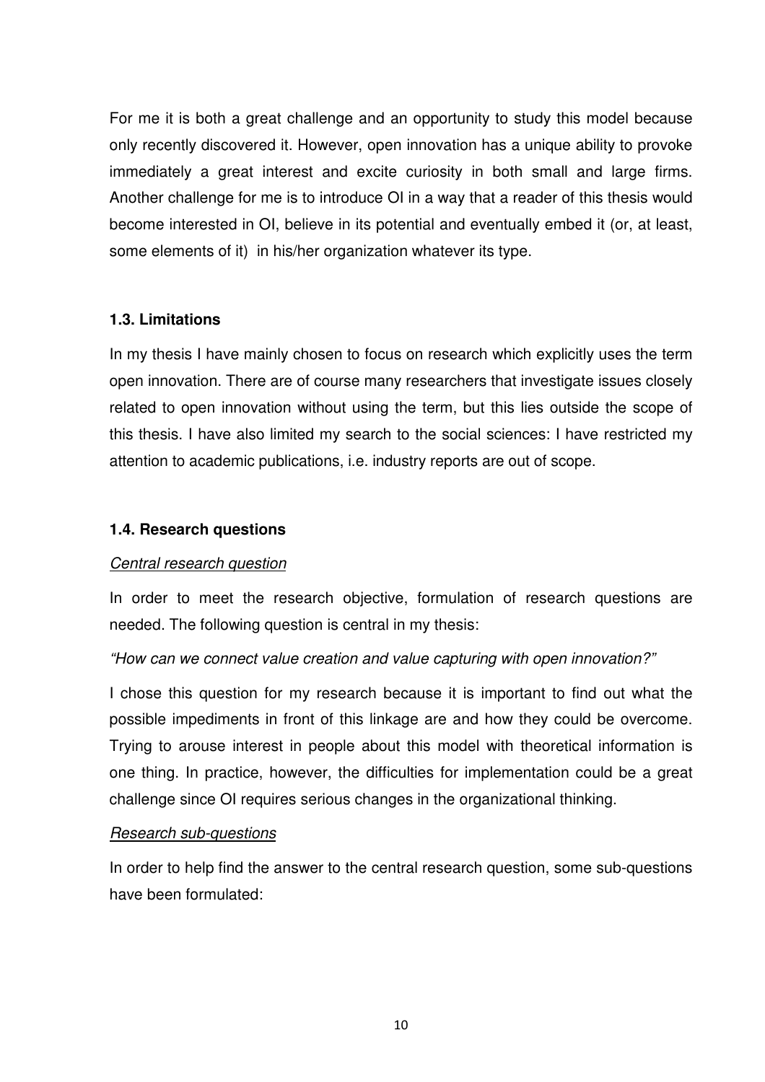For me it is both a great challenge and an opportunity to study this model because only recently discovered it. However, open innovation has a unique ability to provoke immediately a great interest and excite curiosity in both small and large firms. Another challenge for me is to introduce OI in a way that a reader of this thesis would become interested in OI, believe in its potential and eventually embed it (or, at least, some elements of it) in his/her organization whatever its type.

## **1.3. Limitations**

In my thesis I have mainly chosen to focus on research which explicitly uses the term open innovation. There are of course many researchers that investigate issues closely related to open innovation without using the term, but this lies outside the scope of this thesis. I have also limited my search to the social sciences: I have restricted my attention to academic publications, i.e. industry reports are out of scope.

## **1.4. Research questions**

## Central research question

In order to meet the research objective, formulation of research questions are needed. The following question is central in my thesis:

# "How can we connect value creation and value capturing with open innovation?"

I chose this question for my research because it is important to find out what the possible impediments in front of this linkage are and how they could be overcome. Trying to arouse interest in people about this model with theoretical information is one thing. In practice, however, the difficulties for implementation could be a great challenge since OI requires serious changes in the organizational thinking.

## Research sub-questions

In order to help find the answer to the central research question, some sub-questions have been formulated: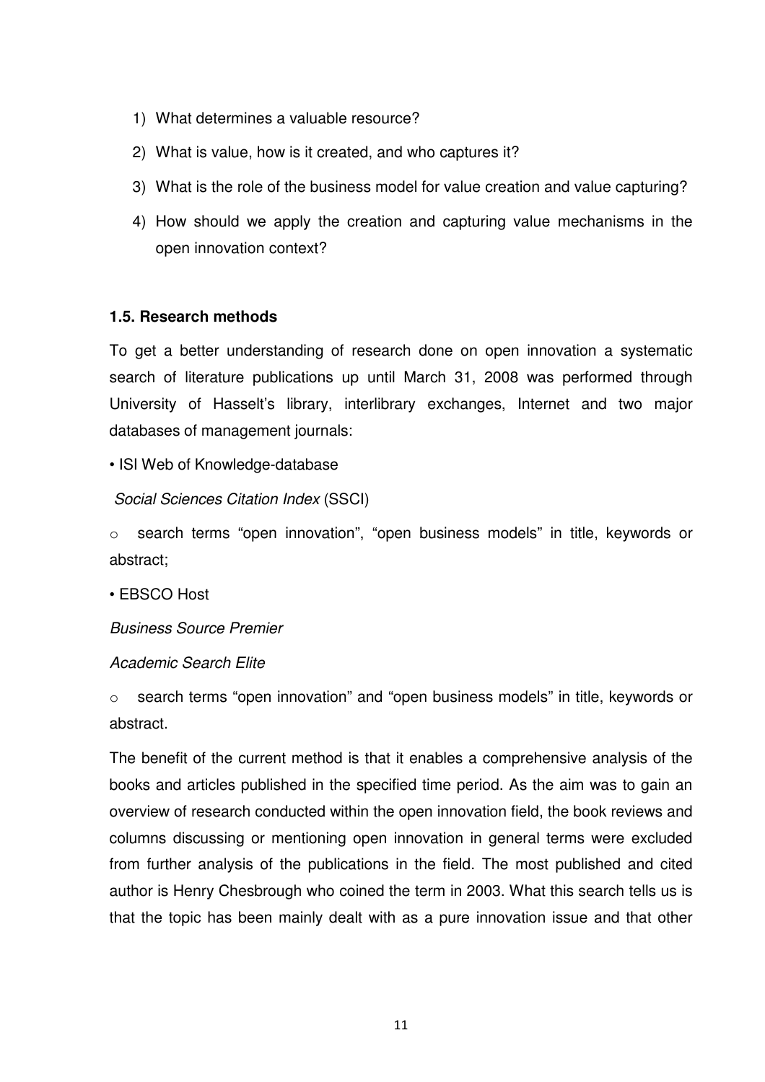- 1) What determines a valuable resource?
- 2) What is value, how is it created, and who captures it?
- 3) What is the role of the business model for value creation and value capturing?
- 4) How should we apply the creation and capturing value mechanisms in the open innovation context?

# **1.5. Research methods**

To get a better understanding of research done on open innovation a systematic search of literature publications up until March 31, 2008 was performed through University of Hasselt's library, interlibrary exchanges, Internet and two major databases of management journals:

• ISI Web of Knowledge-database

Social Sciences Citation Index (SSCI)

o search terms "open innovation", "open business models" in title, keywords or abstract;

• EBSCO Host

Business Source Premier

## Academic Search Elite

o search terms "open innovation" and "open business models" in title, keywords or abstract.

The benefit of the current method is that it enables a comprehensive analysis of the books and articles published in the specified time period. As the aim was to gain an overview of research conducted within the open innovation field, the book reviews and columns discussing or mentioning open innovation in general terms were excluded from further analysis of the publications in the field. The most published and cited author is Henry Chesbrough who coined the term in 2003. What this search tells us is that the topic has been mainly dealt with as a pure innovation issue and that other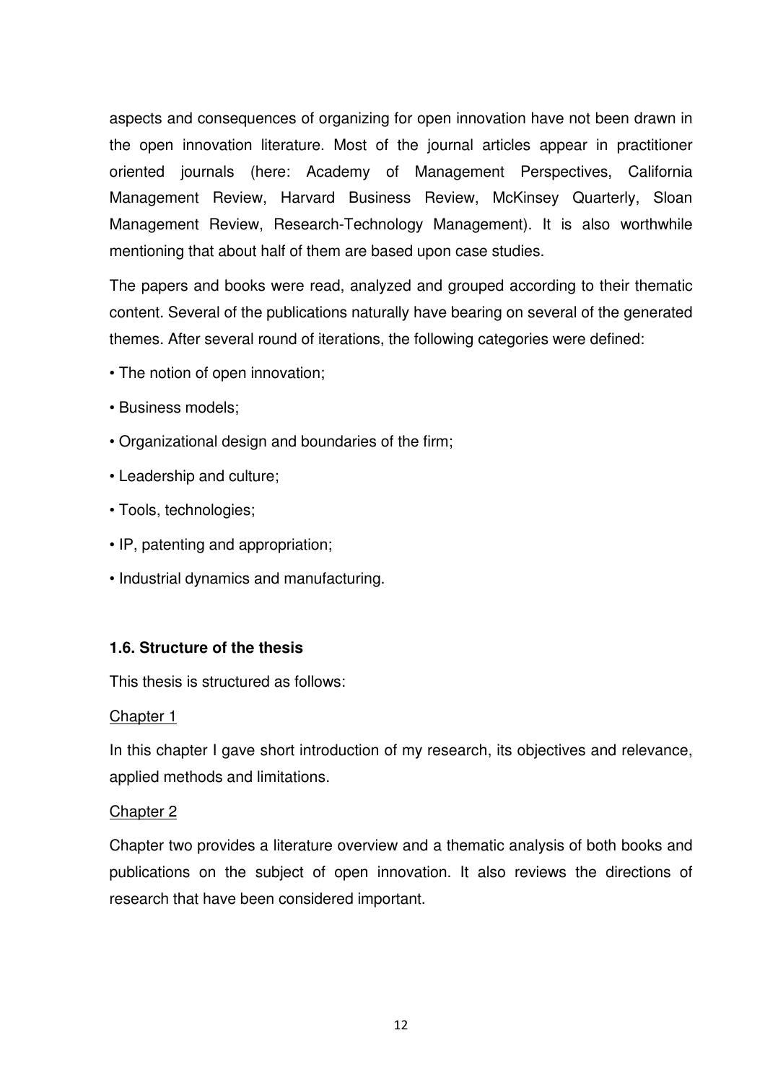aspects and consequences of organizing for open innovation have not been drawn in the open innovation literature. Most of the journal articles appear in practitioner oriented journals (here: Academy of Management Perspectives, California Management Review, Harvard Business Review, McKinsey Quarterly, Sloan Management Review, Research-Technology Management). It is also worthwhile mentioning that about half of them are based upon case studies.

The papers and books were read, analyzed and grouped according to their thematic content. Several of the publications naturally have bearing on several of the generated themes. After several round of iterations, the following categories were defined:

- The notion of open innovation;
- Business models;
- Organizational design and boundaries of the firm;
- Leadership and culture;
- Tools, technologies;
- IP, patenting and appropriation;
- Industrial dynamics and manufacturing.

# **1.6. Structure of the thesis**

This thesis is structured as follows:

# Chapter 1

In this chapter I gave short introduction of my research, its objectives and relevance, applied methods and limitations.

# Chapter 2

Chapter two provides a literature overview and a thematic analysis of both books and publications on the subject of open innovation. It also reviews the directions of research that have been considered important.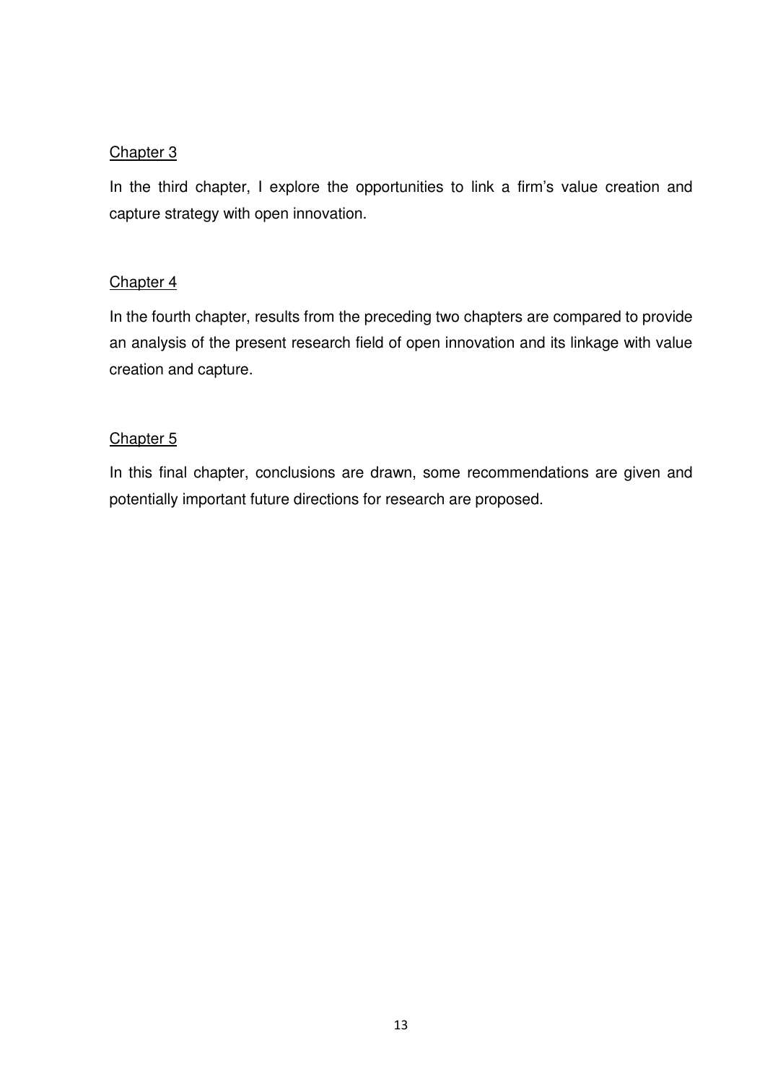# Chapter 3

In the third chapter, I explore the opportunities to link a firm's value creation and capture strategy with open innovation.

# Chapter 4

In the fourth chapter, results from the preceding two chapters are compared to provide an analysis of the present research field of open innovation and its linkage with value creation and capture.

# Chapter<sub>5</sub>

In this final chapter, conclusions are drawn, some recommendations are given and potentially important future directions for research are proposed.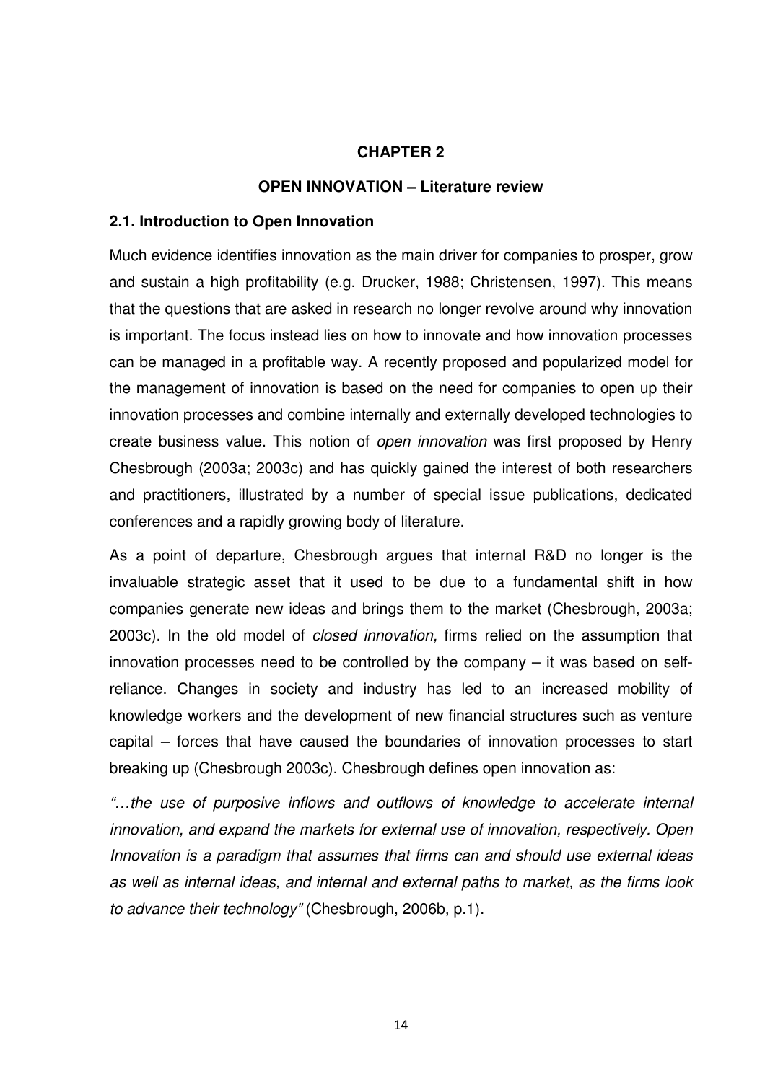## **CHAPTER 2**

#### **OPEN INNOVATION – Literature review**

#### **2.1. Introduction to Open Innovation**

Much evidence identifies innovation as the main driver for companies to prosper, grow and sustain a high profitability (e.g. Drucker, 1988; Christensen, 1997). This means that the questions that are asked in research no longer revolve around why innovation is important. The focus instead lies on how to innovate and how innovation processes can be managed in a profitable way. A recently proposed and popularized model for the management of innovation is based on the need for companies to open up their innovation processes and combine internally and externally developed technologies to create business value. This notion of open innovation was first proposed by Henry Chesbrough (2003a; 2003c) and has quickly gained the interest of both researchers and practitioners, illustrated by a number of special issue publications, dedicated conferences and a rapidly growing body of literature.

As a point of departure, Chesbrough argues that internal R&D no longer is the invaluable strategic asset that it used to be due to a fundamental shift in how companies generate new ideas and brings them to the market (Chesbrough, 2003a; 2003c). In the old model of closed innovation, firms relied on the assumption that innovation processes need to be controlled by the company – it was based on selfreliance. Changes in society and industry has led to an increased mobility of knowledge workers and the development of new financial structures such as venture capital – forces that have caused the boundaries of innovation processes to start breaking up (Chesbrough 2003c). Chesbrough defines open innovation as:

"…the use of purposive inflows and outflows of knowledge to accelerate internal innovation, and expand the markets for external use of innovation, respectively. Open Innovation is a paradigm that assumes that firms can and should use external ideas as well as internal ideas, and internal and external paths to market, as the firms look to advance their technology" (Chesbrough, 2006b, p.1).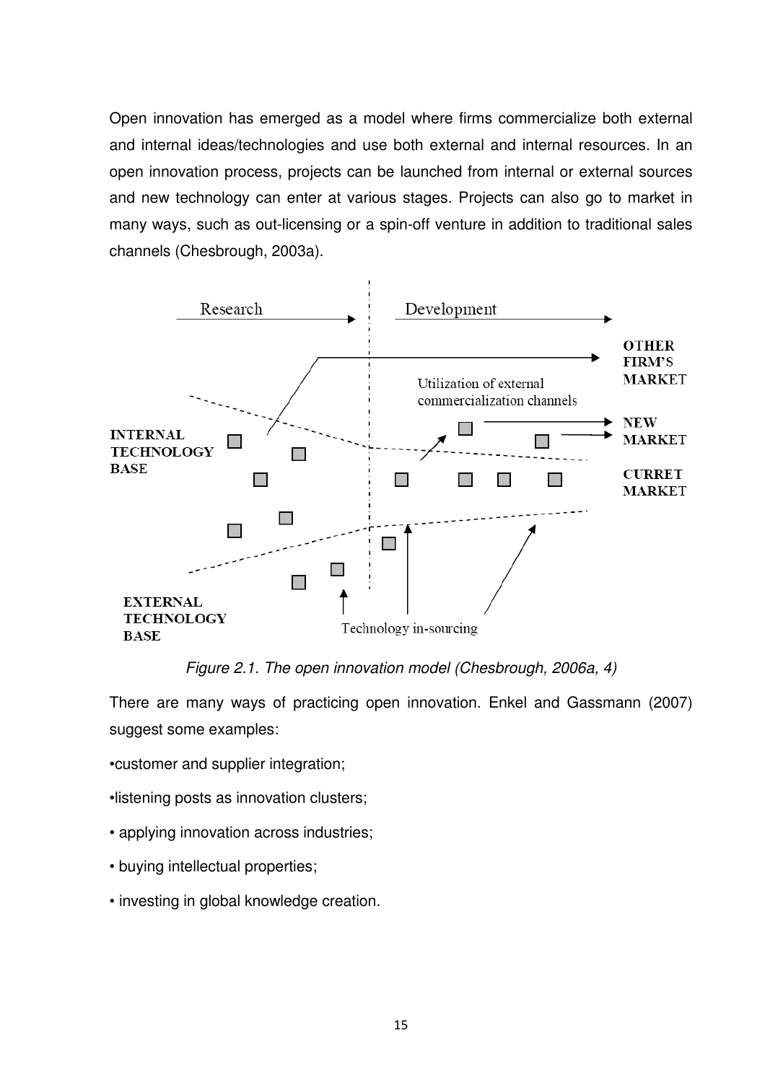Open innovation has emerged as a model where firms commercialize both external and internal ideas/technologies and use both external and internal resources. In an open innovation process, projects can be launched from internal or external sources and new technology can enter at various stages. Projects can also go to market in many ways, such as out-licensing or a spin-off venture in addition to traditional sales channels (Chesbrough, 2003a).



Figure 2.1. The open innovation model (Chesbrough, 2006a, 4)

There are many ways of practicing open innovation. Enkel and Gassmann (2007) suggest some examples:

•customer and supplier integration;

•listening posts as innovation clusters;

- applying innovation across industries;
- buying intellectual properties;
- investing in global knowledge creation.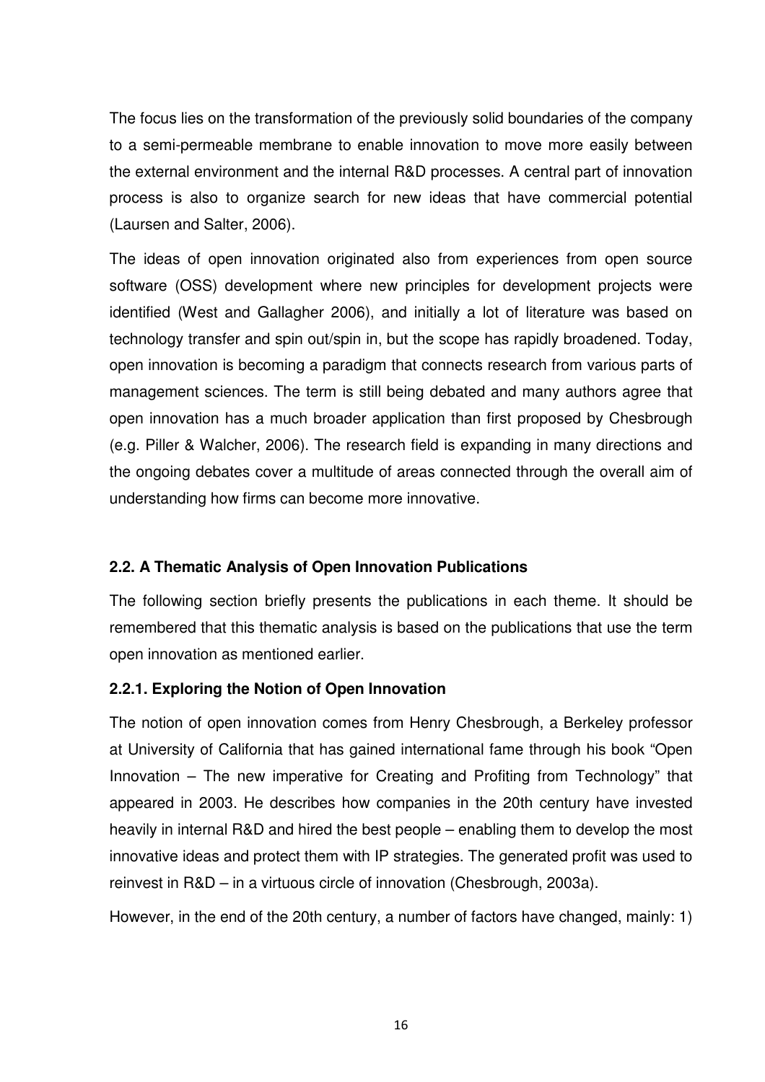The focus lies on the transformation of the previously solid boundaries of the company to a semi-permeable membrane to enable innovation to move more easily between the external environment and the internal R&D processes. A central part of innovation process is also to organize search for new ideas that have commercial potential (Laursen and Salter, 2006).

The ideas of open innovation originated also from experiences from open source software (OSS) development where new principles for development projects were identified (West and Gallagher 2006), and initially a lot of literature was based on technology transfer and spin out/spin in, but the scope has rapidly broadened. Today, open innovation is becoming a paradigm that connects research from various parts of management sciences. The term is still being debated and many authors agree that open innovation has a much broader application than first proposed by Chesbrough (e.g. Piller & Walcher, 2006). The research field is expanding in many directions and the ongoing debates cover a multitude of areas connected through the overall aim of understanding how firms can become more innovative.

# **2.2. A Thematic Analysis of Open Innovation Publications**

The following section briefly presents the publications in each theme. It should be remembered that this thematic analysis is based on the publications that use the term open innovation as mentioned earlier.

# **2.2.1. Exploring the Notion of Open Innovation**

The notion of open innovation comes from Henry Chesbrough, a Berkeley professor at University of California that has gained international fame through his book "Open Innovation – The new imperative for Creating and Profiting from Technology" that appeared in 2003. He describes how companies in the 20th century have invested heavily in internal R&D and hired the best people – enabling them to develop the most innovative ideas and protect them with IP strategies. The generated profit was used to reinvest in R&D – in a virtuous circle of innovation (Chesbrough, 2003a).

However, in the end of the 20th century, a number of factors have changed, mainly: 1)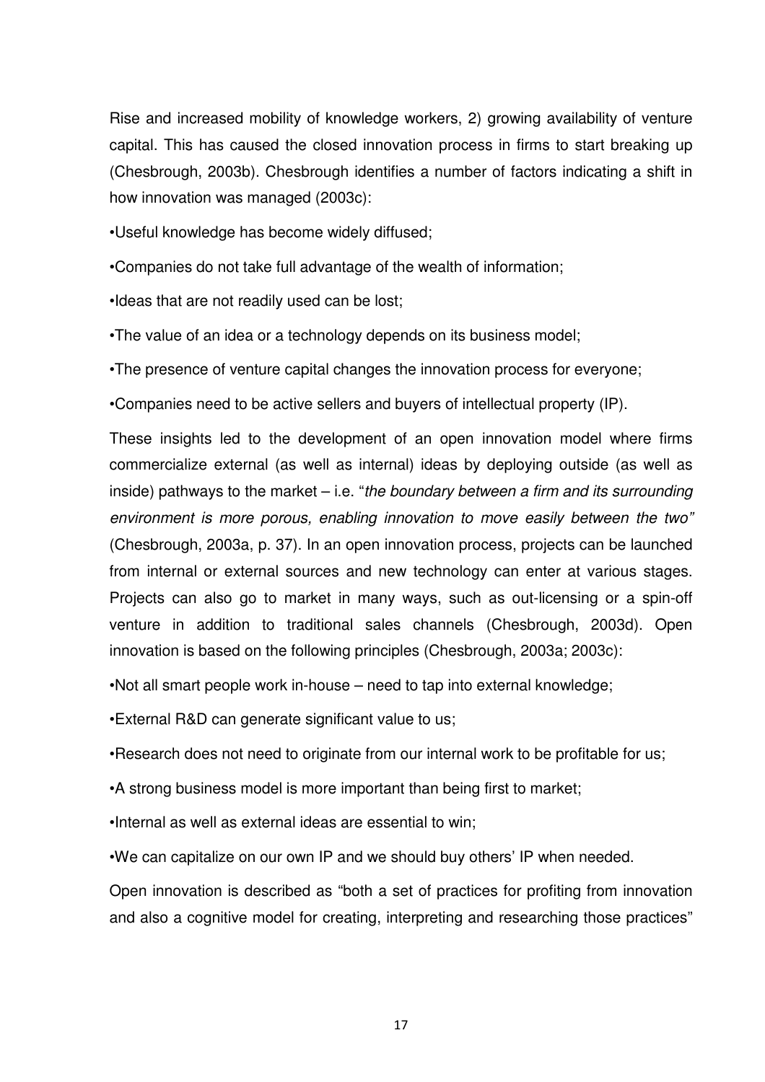Rise and increased mobility of knowledge workers, 2) growing availability of venture capital. This has caused the closed innovation process in firms to start breaking up (Chesbrough, 2003b). Chesbrough identifies a number of factors indicating a shift in how innovation was managed (2003c):

•Useful knowledge has become widely diffused;

•Companies do not take full advantage of the wealth of information;

•Ideas that are not readily used can be lost;

•The value of an idea or a technology depends on its business model;

•The presence of venture capital changes the innovation process for everyone;

•Companies need to be active sellers and buyers of intellectual property (IP).

These insights led to the development of an open innovation model where firms commercialize external (as well as internal) ideas by deploying outside (as well as inside) pathways to the market  $-$  i.e. "the boundary between a firm and its surrounding environment is more porous, enabling innovation to move easily between the two" (Chesbrough, 2003a, p. 37). In an open innovation process, projects can be launched from internal or external sources and new technology can enter at various stages. Projects can also go to market in many ways, such as out-licensing or a spin-off venture in addition to traditional sales channels (Chesbrough, 2003d). Open innovation is based on the following principles (Chesbrough, 2003a; 2003c):

•Not all smart people work in-house – need to tap into external knowledge;

•External R&D can generate significant value to us;

•Research does not need to originate from our internal work to be profitable for us;

•A strong business model is more important than being first to market;

•Internal as well as external ideas are essential to win;

•We can capitalize on our own IP and we should buy others' IP when needed.

Open innovation is described as "both a set of practices for profiting from innovation and also a cognitive model for creating, interpreting and researching those practices"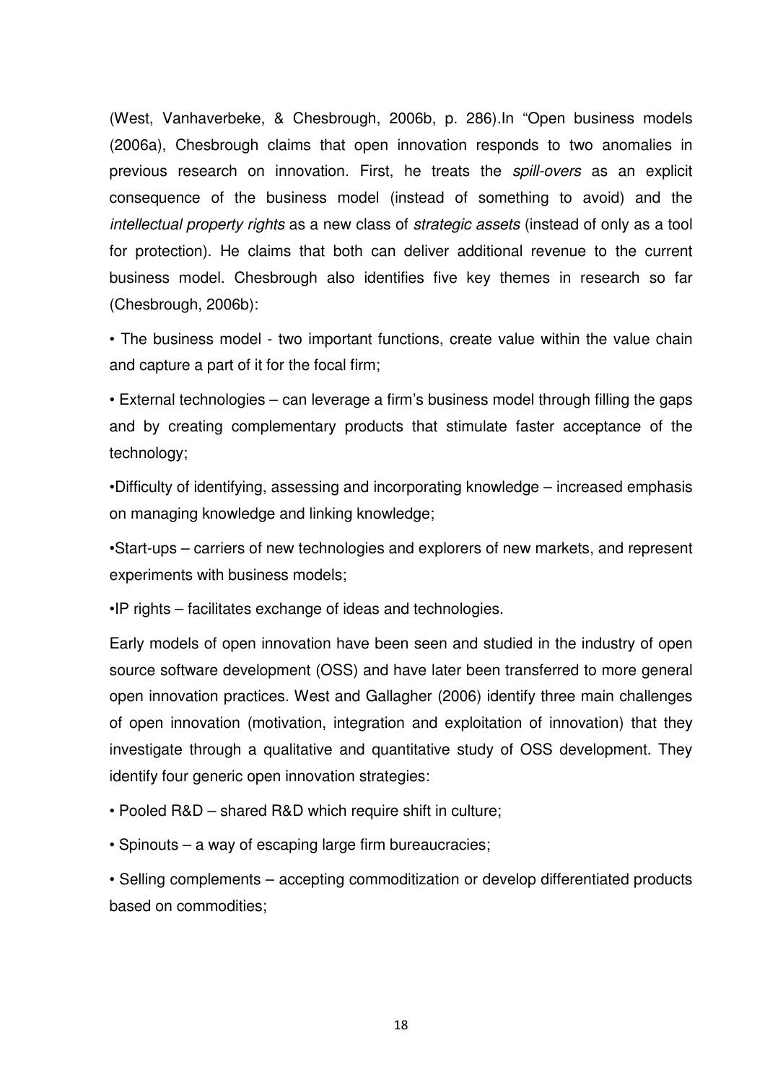(West, Vanhaverbeke, & Chesbrough, 2006b, p. 286).In "Open business models (2006a), Chesbrough claims that open innovation responds to two anomalies in previous research on innovation. First, he treats the spill-overs as an explicit consequence of the business model (instead of something to avoid) and the intellectual property rights as a new class of strategic assets (instead of only as a tool for protection). He claims that both can deliver additional revenue to the current business model. Chesbrough also identifies five key themes in research so far (Chesbrough, 2006b):

• The business model - two important functions, create value within the value chain and capture a part of it for the focal firm;

• External technologies – can leverage a firm's business model through filling the gaps and by creating complementary products that stimulate faster acceptance of the technology;

•Difficulty of identifying, assessing and incorporating knowledge – increased emphasis on managing knowledge and linking knowledge;

•Start-ups – carriers of new technologies and explorers of new markets, and represent experiments with business models;

•IP rights – facilitates exchange of ideas and technologies.

Early models of open innovation have been seen and studied in the industry of open source software development (OSS) and have later been transferred to more general open innovation practices. West and Gallagher (2006) identify three main challenges of open innovation (motivation, integration and exploitation of innovation) that they investigate through a qualitative and quantitative study of OSS development. They identify four generic open innovation strategies:

• Pooled R&D – shared R&D which require shift in culture;

• Spinouts – a way of escaping large firm bureaucracies;

• Selling complements – accepting commoditization or develop differentiated products based on commodities;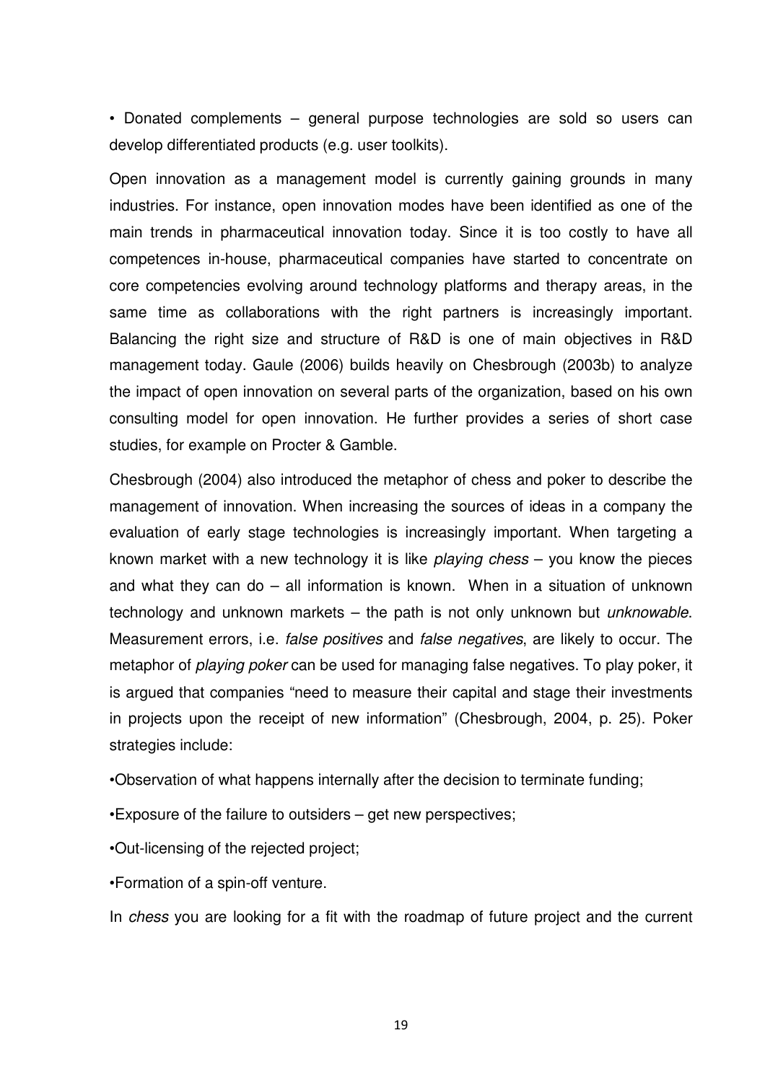• Donated complements – general purpose technologies are sold so users can develop differentiated products (e.g. user toolkits).

Open innovation as a management model is currently gaining grounds in many industries. For instance, open innovation modes have been identified as one of the main trends in pharmaceutical innovation today. Since it is too costly to have all competences in-house, pharmaceutical companies have started to concentrate on core competencies evolving around technology platforms and therapy areas, in the same time as collaborations with the right partners is increasingly important. Balancing the right size and structure of R&D is one of main objectives in R&D management today. Gaule (2006) builds heavily on Chesbrough (2003b) to analyze the impact of open innovation on several parts of the organization, based on his own consulting model for open innovation. He further provides a series of short case studies, for example on Procter & Gamble.

Chesbrough (2004) also introduced the metaphor of chess and poker to describe the management of innovation. When increasing the sources of ideas in a company the evaluation of early stage technologies is increasingly important. When targeting a known market with a new technology it is like *playing chess* – you know the pieces and what they can do – all information is known. When in a situation of unknown technology and unknown markets  $-$  the path is not only unknown but *unknowable*. Measurement errors, i.e. false positives and false negatives, are likely to occur. The metaphor of *playing poker* can be used for managing false negatives. To play poker, it is argued that companies "need to measure their capital and stage their investments in projects upon the receipt of new information" (Chesbrough, 2004, p. 25). Poker strategies include:

•Observation of what happens internally after the decision to terminate funding;

•Exposure of the failure to outsiders – get new perspectives;

•Out-licensing of the rejected project;

•Formation of a spin-off venture.

In chess you are looking for a fit with the roadmap of future project and the current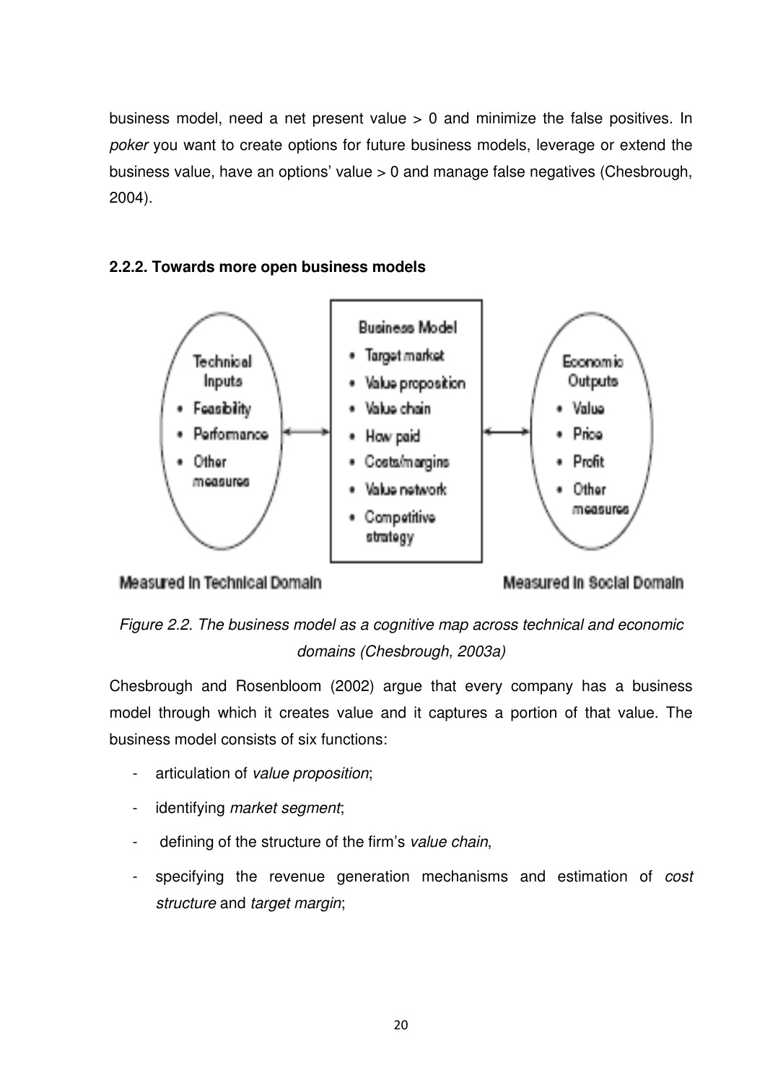business model, need a net present value > 0 and minimize the false positives. In poker you want to create options for future business models, leverage or extend the business value, have an options' value > 0 and manage false negatives (Chesbrough, 2004).

# **2.2.2. Towards more open business models**







Figure 2.2. The business model as a cognitive map across technical and economic domains (Chesbrough, 2003a)

Chesbrough and Rosenbloom (2002) argue that every company has a business model through which it creates value and it captures a portion of that value. The business model consists of six functions:

- articulation of value proposition;
- identifying market segment;
- defining of the structure of the firm's value chain,
- specifying the revenue generation mechanisms and estimation of cost structure and target margin;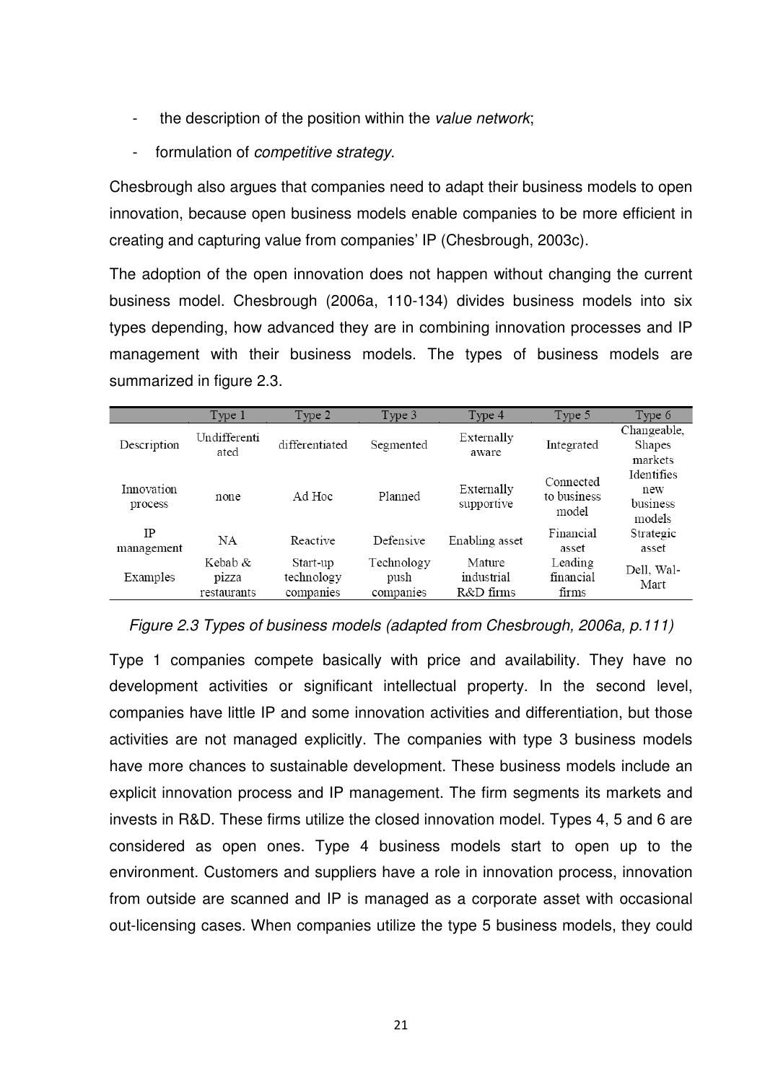- the description of the position within the value network;
- formulation of *competitive strategy*.

Chesbrough also argues that companies need to adapt their business models to open innovation, because open business models enable companies to be more efficient in creating and capturing value from companies' IP (Chesbrough, 2003c).

The adoption of the open innovation does not happen without changing the current business model. Chesbrough (2006a, 110-134) divides business models into six types depending, how advanced they are in combining innovation processes and IP management with their business models. The types of business models are summarized in figure 2.3.

|                       | Type 1                             | Type 2                              | Type 3                          | Type 4                            | Type 5                            | Type 6                                  |
|-----------------------|------------------------------------|-------------------------------------|---------------------------------|-----------------------------------|-----------------------------------|-----------------------------------------|
| Description           | Undifferenti<br>ated               | differentiated                      | Segmented                       | Externally<br>aware               | Integrated                        | Changeable,<br>Shapes<br>markets        |
| Innovation<br>process | none                               | Ad Hoc                              | Planned                         | Externally<br>supportive          | Connected<br>to business<br>model | Identifies<br>new<br>business<br>models |
| IP<br>management      | NA                                 | Reactive                            | Defensive                       | Enabling asset                    | Financial<br>asset                | Strategic<br>asset                      |
| Examples              | Kebab $\&$<br>pizza<br>restaurants | Start-up<br>technology<br>companies | Technology<br>push<br>companies | Mature<br>industrial<br>R&D firms | Leading<br>financial<br>firms     | Dell, Wal-<br>Mart                      |

Figure 2.3 Types of business models (adapted from Chesbrough, 2006a, p.111)

Type 1 companies compete basically with price and availability. They have no development activities or significant intellectual property. In the second level, companies have little IP and some innovation activities and differentiation, but those activities are not managed explicitly. The companies with type 3 business models have more chances to sustainable development. These business models include an explicit innovation process and IP management. The firm segments its markets and invests in R&D. These firms utilize the closed innovation model. Types 4, 5 and 6 are considered as open ones. Type 4 business models start to open up to the environment. Customers and suppliers have a role in innovation process, innovation from outside are scanned and IP is managed as a corporate asset with occasional out-licensing cases. When companies utilize the type 5 business models, they could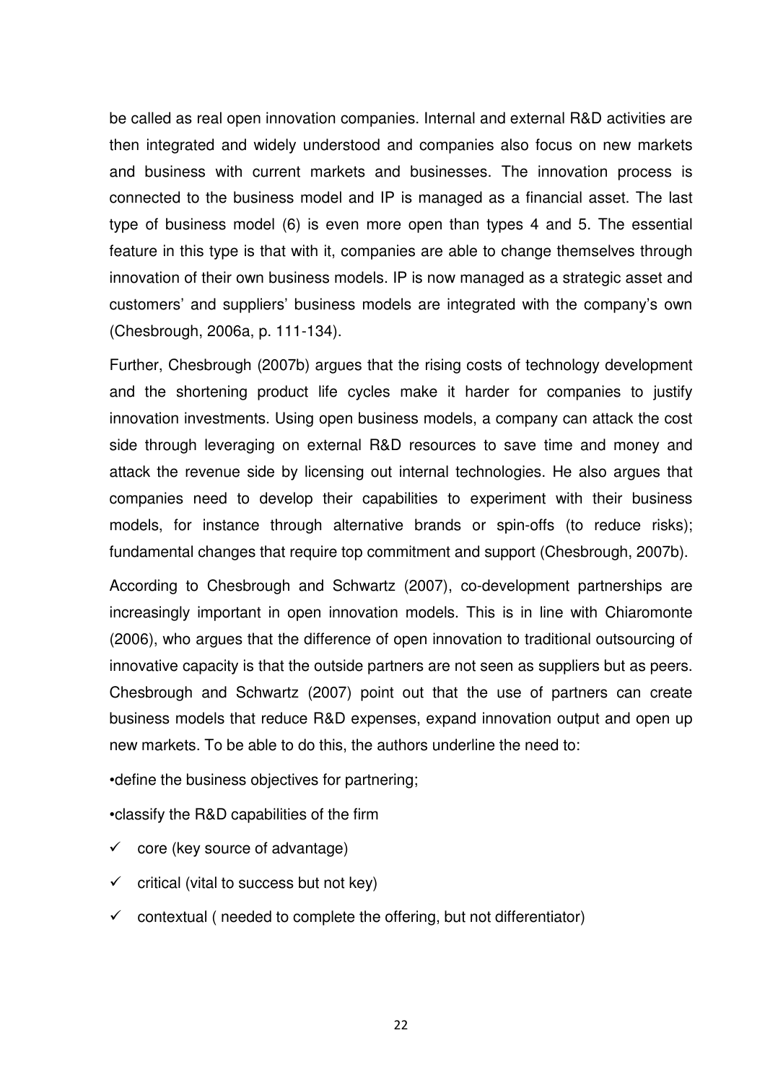be called as real open innovation companies. Internal and external R&D activities are then integrated and widely understood and companies also focus on new markets and business with current markets and businesses. The innovation process is connected to the business model and IP is managed as a financial asset. The last type of business model (6) is even more open than types 4 and 5. The essential feature in this type is that with it, companies are able to change themselves through innovation of their own business models. IP is now managed as a strategic asset and customers' and suppliers' business models are integrated with the company's own (Chesbrough, 2006a, p. 111-134).

Further, Chesbrough (2007b) argues that the rising costs of technology development and the shortening product life cycles make it harder for companies to justify innovation investments. Using open business models, a company can attack the cost side through leveraging on external R&D resources to save time and money and attack the revenue side by licensing out internal technologies. He also argues that companies need to develop their capabilities to experiment with their business models, for instance through alternative brands or spin-offs (to reduce risks); fundamental changes that require top commitment and support (Chesbrough, 2007b).

According to Chesbrough and Schwartz (2007), co-development partnerships are increasingly important in open innovation models. This is in line with Chiaromonte (2006), who argues that the difference of open innovation to traditional outsourcing of innovative capacity is that the outside partners are not seen as suppliers but as peers. Chesbrough and Schwartz (2007) point out that the use of partners can create business models that reduce R&D expenses, expand innovation output and open up new markets. To be able to do this, the authors underline the need to:

•define the business objectives for partnering;

•classify the R&D capabilities of the firm

 $\checkmark$  core (key source of advantage)

 $\checkmark$  critical (vital to success but not key)

 $\checkmark$  contextual ( needed to complete the offering, but not differentiator)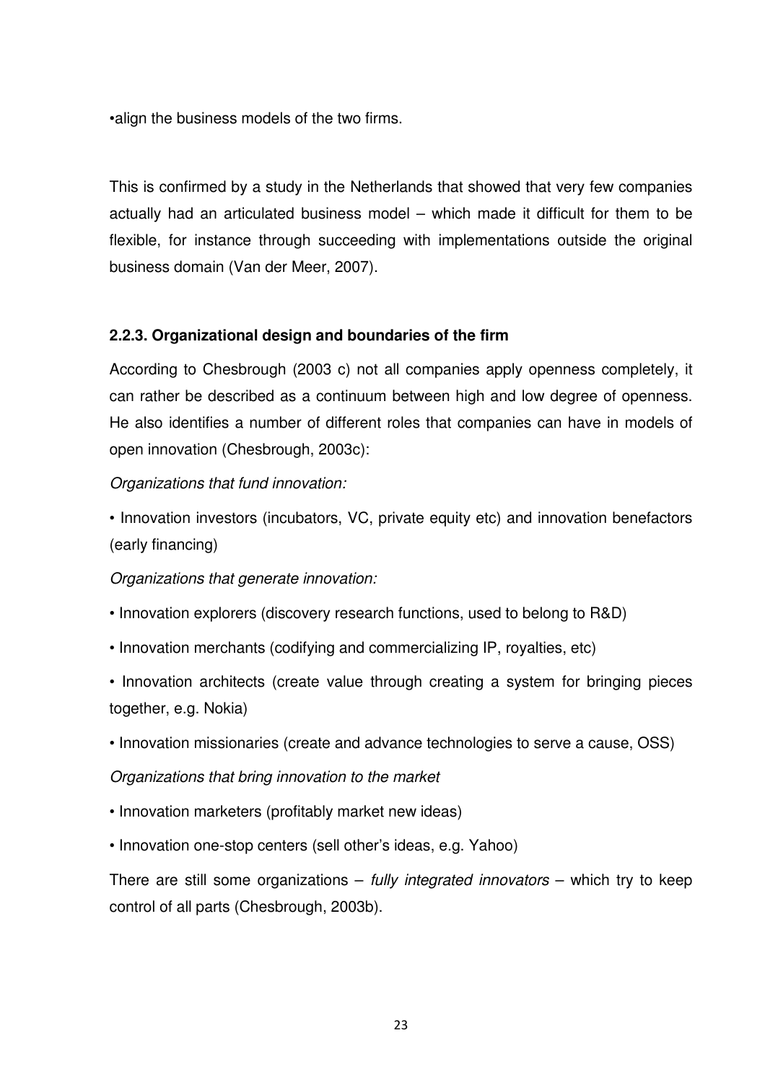•align the business models of the two firms.

This is confirmed by a study in the Netherlands that showed that very few companies actually had an articulated business model – which made it difficult for them to be flexible, for instance through succeeding with implementations outside the original business domain (Van der Meer, 2007).

# **2.2.3. Organizational design and boundaries of the firm**

According to Chesbrough (2003 c) not all companies apply openness completely, it can rather be described as a continuum between high and low degree of openness. He also identifies a number of different roles that companies can have in models of open innovation (Chesbrough, 2003c):

## Organizations that fund innovation:

• Innovation investors (incubators, VC, private equity etc) and innovation benefactors (early financing)

## Organizations that generate innovation:

- Innovation explorers (discovery research functions, used to belong to R&D)
- Innovation merchants (codifying and commercializing IP, royalties, etc)
- Innovation architects (create value through creating a system for bringing pieces together, e.g. Nokia)
- Innovation missionaries (create and advance technologies to serve a cause, OSS)

## Organizations that bring innovation to the market

- Innovation marketers (profitably market new ideas)
- Innovation one-stop centers (sell other's ideas, e.g. Yahoo)

There are still some organizations – *fully integrated innovators* – which try to keep control of all parts (Chesbrough, 2003b).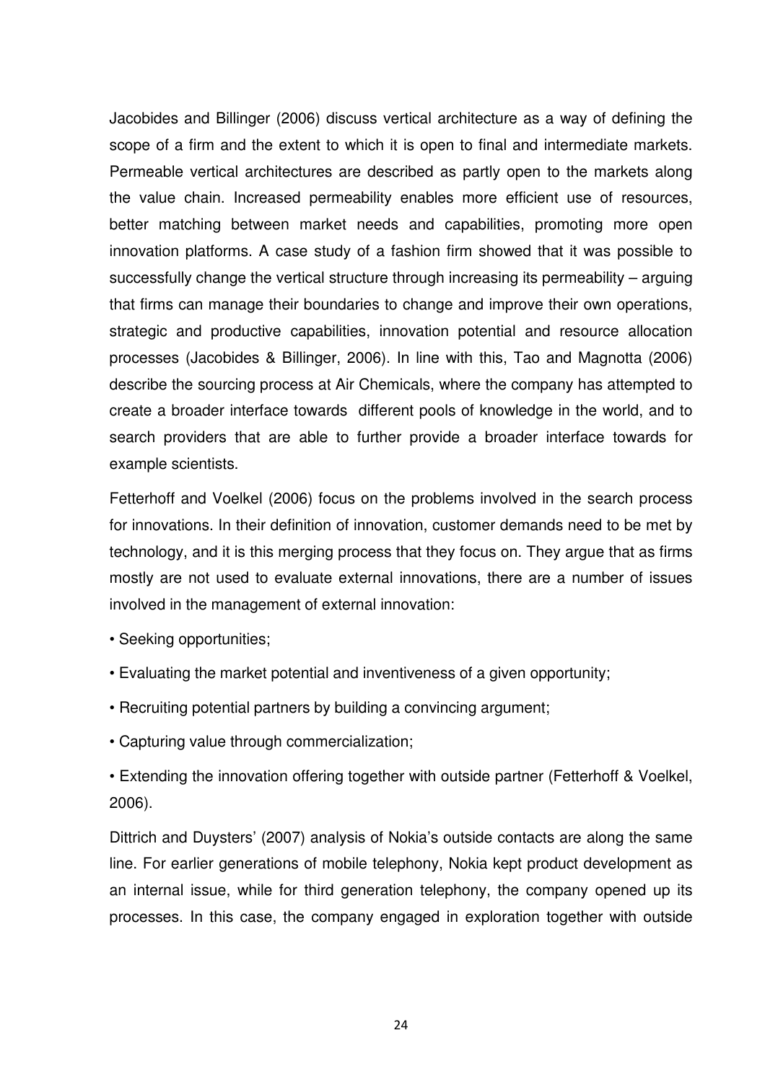Jacobides and Billinger (2006) discuss vertical architecture as a way of defining the scope of a firm and the extent to which it is open to final and intermediate markets. Permeable vertical architectures are described as partly open to the markets along the value chain. Increased permeability enables more efficient use of resources, better matching between market needs and capabilities, promoting more open innovation platforms. A case study of a fashion firm showed that it was possible to successfully change the vertical structure through increasing its permeability – arguing that firms can manage their boundaries to change and improve their own operations, strategic and productive capabilities, innovation potential and resource allocation processes (Jacobides & Billinger, 2006). In line with this, Tao and Magnotta (2006) describe the sourcing process at Air Chemicals, where the company has attempted to create a broader interface towards different pools of knowledge in the world, and to search providers that are able to further provide a broader interface towards for example scientists.

Fetterhoff and Voelkel (2006) focus on the problems involved in the search process for innovations. In their definition of innovation, customer demands need to be met by technology, and it is this merging process that they focus on. They argue that as firms mostly are not used to evaluate external innovations, there are a number of issues involved in the management of external innovation:

- Seeking opportunities;
- Evaluating the market potential and inventiveness of a given opportunity;
- Recruiting potential partners by building a convincing argument;
- Capturing value through commercialization;

• Extending the innovation offering together with outside partner (Fetterhoff & Voelkel, 2006).

Dittrich and Duysters' (2007) analysis of Nokia's outside contacts are along the same line. For earlier generations of mobile telephony, Nokia kept product development as an internal issue, while for third generation telephony, the company opened up its processes. In this case, the company engaged in exploration together with outside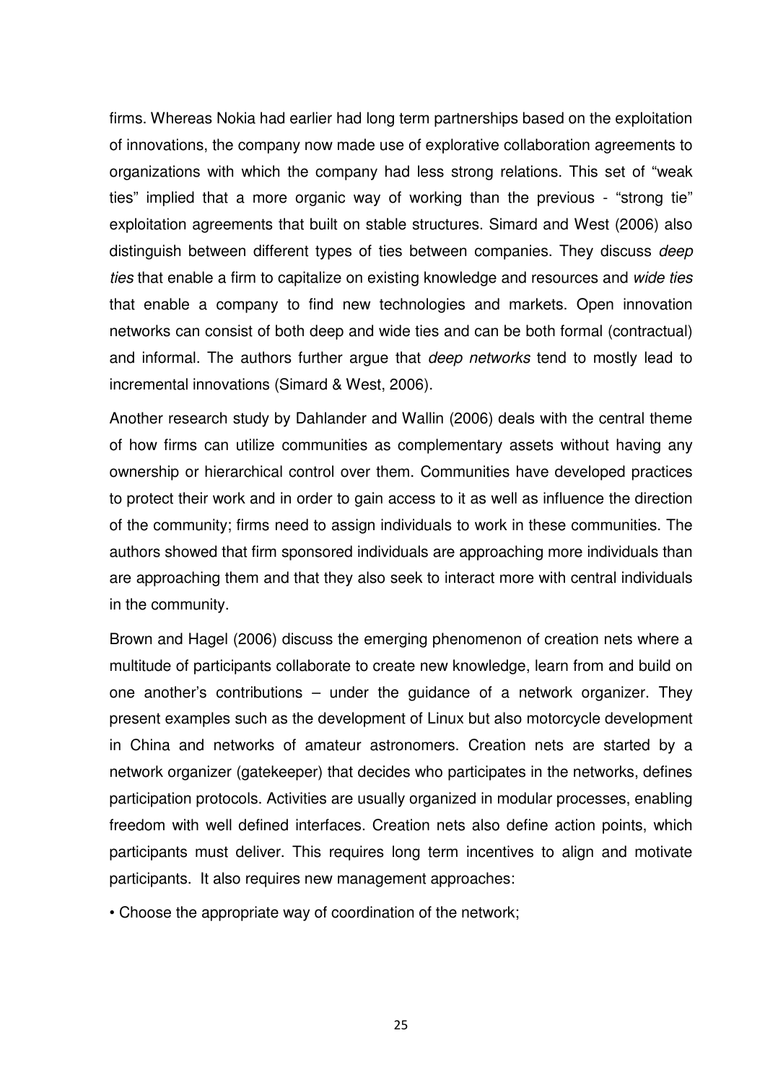firms. Whereas Nokia had earlier had long term partnerships based on the exploitation of innovations, the company now made use of explorative collaboration agreements to organizations with which the company had less strong relations. This set of "weak ties" implied that a more organic way of working than the previous - "strong tie" exploitation agreements that built on stable structures. Simard and West (2006) also distinguish between different types of ties between companies. They discuss deep ties that enable a firm to capitalize on existing knowledge and resources and wide ties that enable a company to find new technologies and markets. Open innovation networks can consist of both deep and wide ties and can be both formal (contractual) and informal. The authors further argue that *deep networks* tend to mostly lead to incremental innovations (Simard & West, 2006).

Another research study by Dahlander and Wallin (2006) deals with the central theme of how firms can utilize communities as complementary assets without having any ownership or hierarchical control over them. Communities have developed practices to protect their work and in order to gain access to it as well as influence the direction of the community; firms need to assign individuals to work in these communities. The authors showed that firm sponsored individuals are approaching more individuals than are approaching them and that they also seek to interact more with central individuals in the community.

Brown and Hagel (2006) discuss the emerging phenomenon of creation nets where a multitude of participants collaborate to create new knowledge, learn from and build on one another's contributions – under the guidance of a network organizer. They present examples such as the development of Linux but also motorcycle development in China and networks of amateur astronomers. Creation nets are started by a network organizer (gatekeeper) that decides who participates in the networks, defines participation protocols. Activities are usually organized in modular processes, enabling freedom with well defined interfaces. Creation nets also define action points, which participants must deliver. This requires long term incentives to align and motivate participants. It also requires new management approaches:

• Choose the appropriate way of coordination of the network;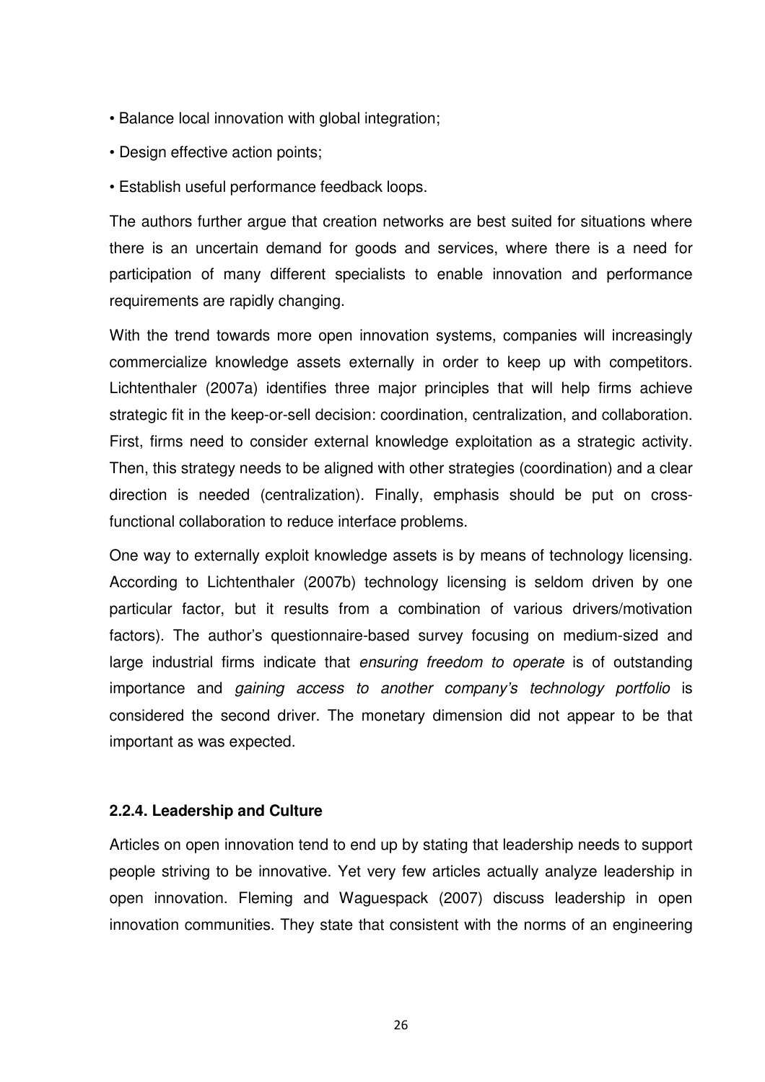- Balance local innovation with global integration;
- Design effective action points;
- Establish useful performance feedback loops.

The authors further argue that creation networks are best suited for situations where there is an uncertain demand for goods and services, where there is a need for participation of many different specialists to enable innovation and performance requirements are rapidly changing.

With the trend towards more open innovation systems, companies will increasingly commercialize knowledge assets externally in order to keep up with competitors. Lichtenthaler (2007a) identifies three major principles that will help firms achieve strategic fit in the keep-or-sell decision: coordination, centralization, and collaboration. First, firms need to consider external knowledge exploitation as a strategic activity. Then, this strategy needs to be aligned with other strategies (coordination) and a clear direction is needed (centralization). Finally, emphasis should be put on crossfunctional collaboration to reduce interface problems.

One way to externally exploit knowledge assets is by means of technology licensing. According to Lichtenthaler (2007b) technology licensing is seldom driven by one particular factor, but it results from a combination of various drivers/motivation factors). The author's questionnaire-based survey focusing on medium-sized and large industrial firms indicate that ensuring freedom to operate is of outstanding importance and gaining access to another company's technology portfolio is considered the second driver. The monetary dimension did not appear to be that important as was expected.

## **2.2.4. Leadership and Culture**

Articles on open innovation tend to end up by stating that leadership needs to support people striving to be innovative. Yet very few articles actually analyze leadership in open innovation. Fleming and Waguespack (2007) discuss leadership in open innovation communities. They state that consistent with the norms of an engineering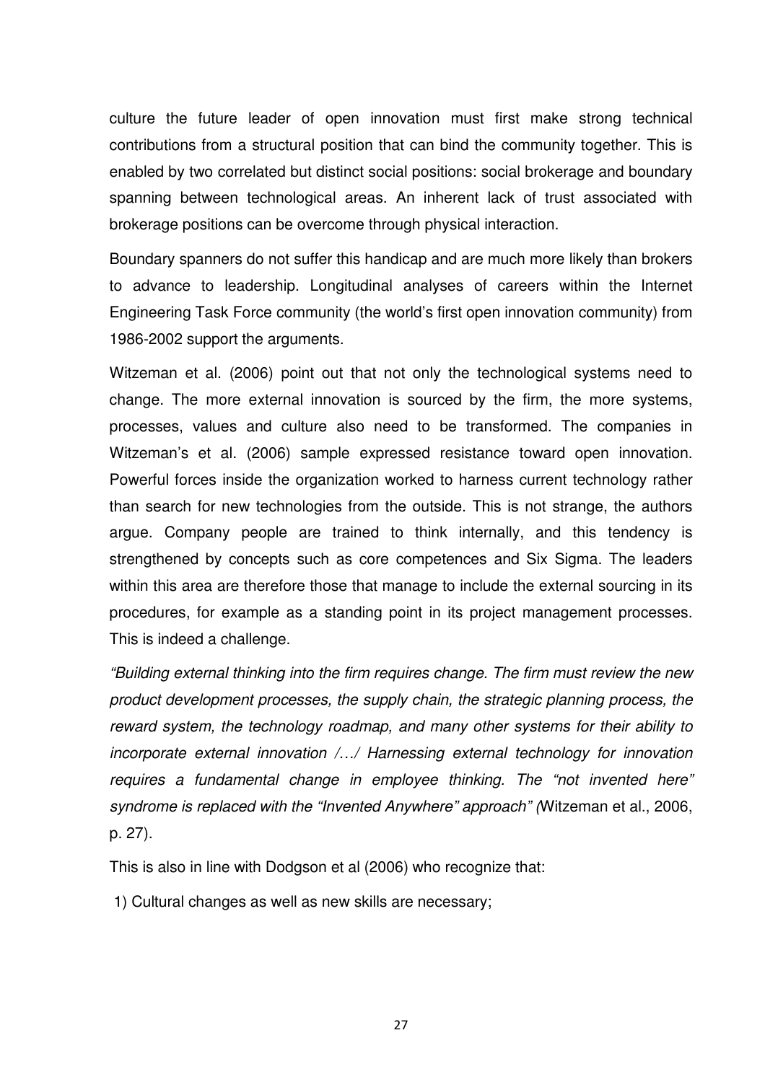culture the future leader of open innovation must first make strong technical contributions from a structural position that can bind the community together. This is enabled by two correlated but distinct social positions: social brokerage and boundary spanning between technological areas. An inherent lack of trust associated with brokerage positions can be overcome through physical interaction.

Boundary spanners do not suffer this handicap and are much more likely than brokers to advance to leadership. Longitudinal analyses of careers within the Internet Engineering Task Force community (the world's first open innovation community) from 1986-2002 support the arguments.

Witzeman et al. (2006) point out that not only the technological systems need to change. The more external innovation is sourced by the firm, the more systems, processes, values and culture also need to be transformed. The companies in Witzeman's et al. (2006) sample expressed resistance toward open innovation. Powerful forces inside the organization worked to harness current technology rather than search for new technologies from the outside. This is not strange, the authors argue. Company people are trained to think internally, and this tendency is strengthened by concepts such as core competences and Six Sigma. The leaders within this area are therefore those that manage to include the external sourcing in its procedures, for example as a standing point in its project management processes. This is indeed a challenge.

"Building external thinking into the firm requires change. The firm must review the new product development processes, the supply chain, the strategic planning process, the reward system, the technology roadmap, and many other systems for their ability to incorporate external innovation /…/ Harnessing external technology for innovation requires a fundamental change in employee thinking. The "not invented here" syndrome is replaced with the "Invented Anywhere" approach" (Witzeman et al., 2006, p. 27).

This is also in line with Dodgson et al (2006) who recognize that:

1) Cultural changes as well as new skills are necessary;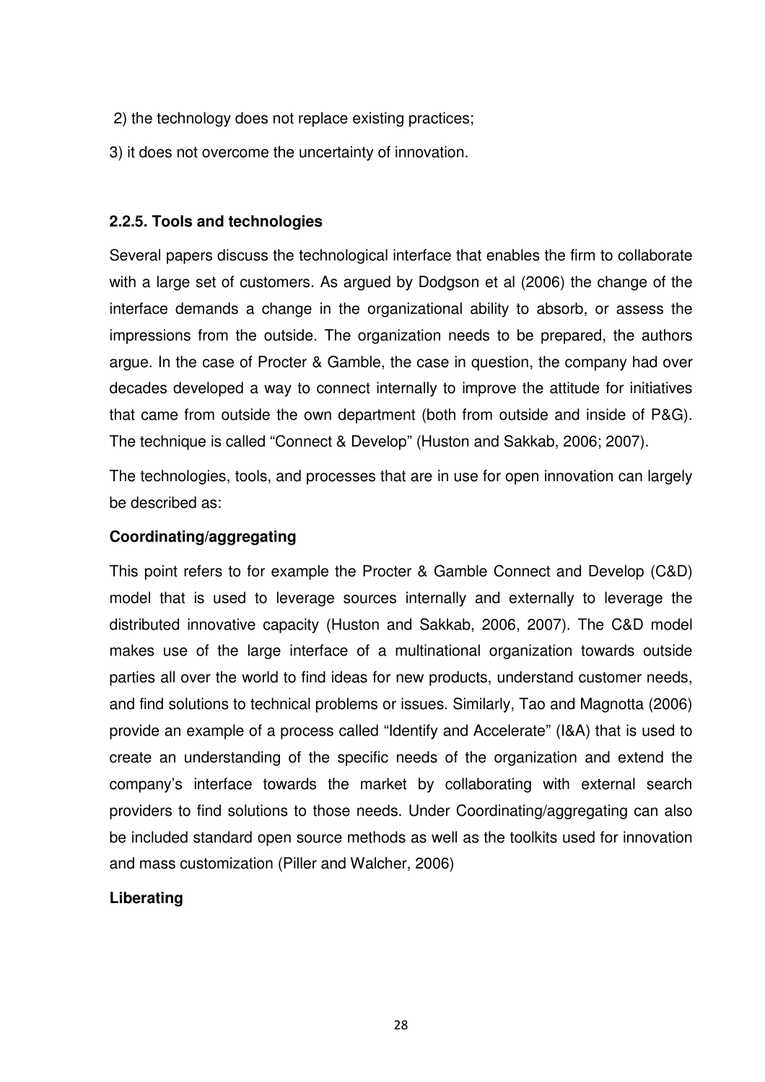- 2) the technology does not replace existing practices;
- 3) it does not overcome the uncertainty of innovation.

## **2.2.5. Tools and technologies**

Several papers discuss the technological interface that enables the firm to collaborate with a large set of customers. As argued by Dodgson et al (2006) the change of the interface demands a change in the organizational ability to absorb, or assess the impressions from the outside. The organization needs to be prepared, the authors argue. In the case of Procter & Gamble, the case in question, the company had over decades developed a way to connect internally to improve the attitude for initiatives that came from outside the own department (both from outside and inside of P&G). The technique is called "Connect & Develop" (Huston and Sakkab, 2006; 2007).

The technologies, tools, and processes that are in use for open innovation can largely be described as:

## **Coordinating/aggregating**

This point refers to for example the Procter & Gamble Connect and Develop (C&D) model that is used to leverage sources internally and externally to leverage the distributed innovative capacity (Huston and Sakkab, 2006, 2007). The C&D model makes use of the large interface of a multinational organization towards outside parties all over the world to find ideas for new products, understand customer needs, and find solutions to technical problems or issues. Similarly, Tao and Magnotta (2006) provide an example of a process called "Identify and Accelerate" (I&A) that is used to create an understanding of the specific needs of the organization and extend the company's interface towards the market by collaborating with external search providers to find solutions to those needs. Under Coordinating/aggregating can also be included standard open source methods as well as the toolkits used for innovation and mass customization (Piller and Walcher, 2006)

# **Liberating**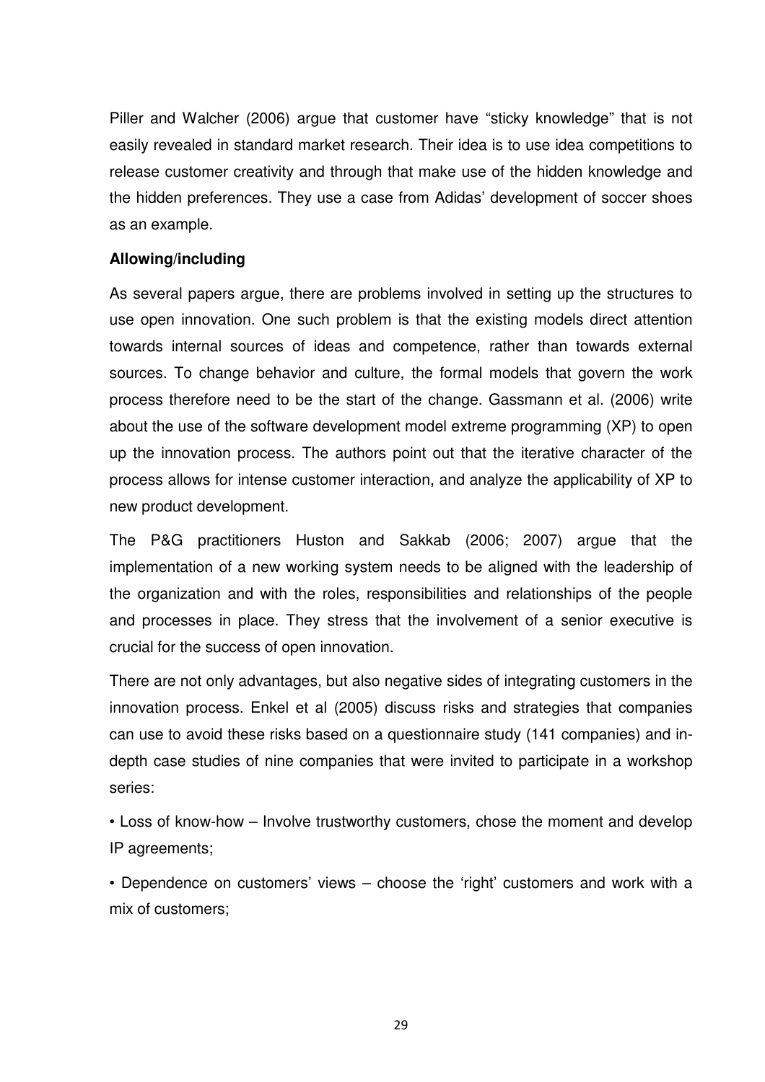Piller and Walcher (2006) argue that customer have "sticky knowledge" that is not easily revealed in standard market research. Their idea is to use idea competitions to release customer creativity and through that make use of the hidden knowledge and the hidden preferences. They use a case from Adidas' development of soccer shoes as an example.

## **Allowing/including**

As several papers argue, there are problems involved in setting up the structures to use open innovation. One such problem is that the existing models direct attention towards internal sources of ideas and competence, rather than towards external sources. To change behavior and culture, the formal models that govern the work process therefore need to be the start of the change. Gassmann et al. (2006) write about the use of the software development model extreme programming (XP) to open up the innovation process. The authors point out that the iterative character of the process allows for intense customer interaction, and analyze the applicability of XP to new product development.

The P&G practitioners Huston and Sakkab (2006; 2007) argue that the implementation of a new working system needs to be aligned with the leadership of the organization and with the roles, responsibilities and relationships of the people and processes in place. They stress that the involvement of a senior executive is crucial for the success of open innovation.

There are not only advantages, but also negative sides of integrating customers in the innovation process. Enkel et al (2005) discuss risks and strategies that companies can use to avoid these risks based on a questionnaire study (141 companies) and indepth case studies of nine companies that were invited to participate in a workshop series:

• Loss of know-how – Involve trustworthy customers, chose the moment and develop IP agreements;

• Dependence on customers' views – choose the 'right' customers and work with a mix of customers;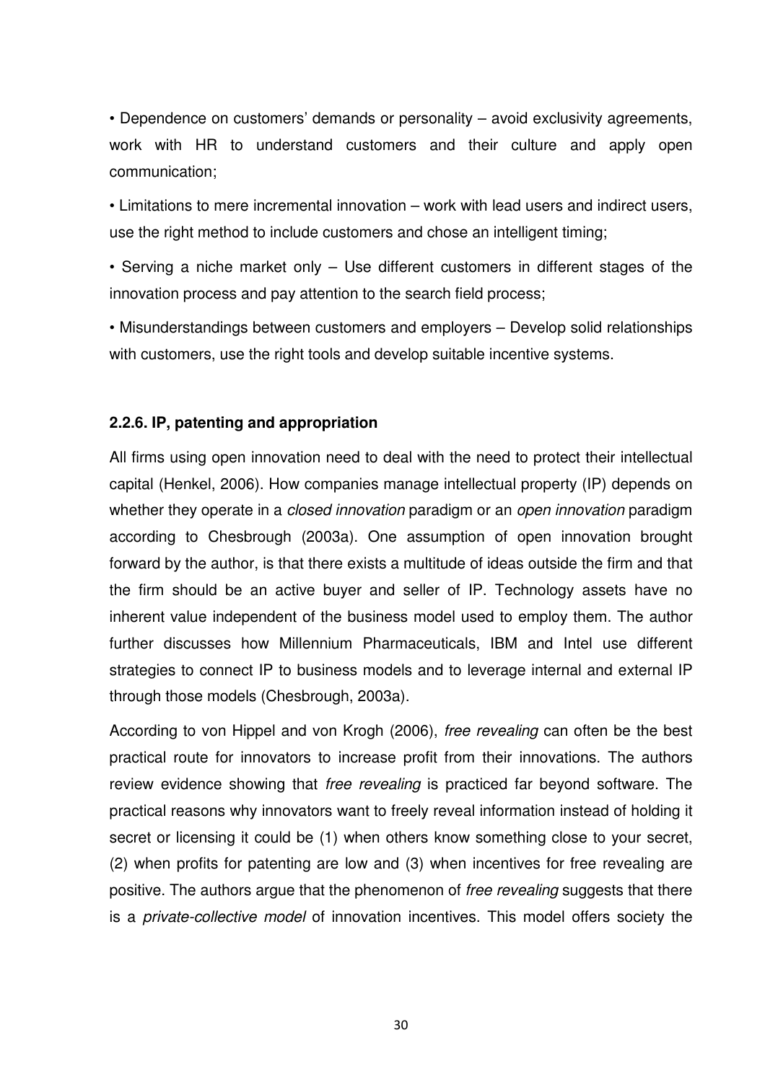• Dependence on customers' demands or personality – avoid exclusivity agreements, work with HR to understand customers and their culture and apply open communication;

• Limitations to mere incremental innovation – work with lead users and indirect users, use the right method to include customers and chose an intelligent timing;

• Serving a niche market only – Use different customers in different stages of the innovation process and pay attention to the search field process;

• Misunderstandings between customers and employers – Develop solid relationships with customers, use the right tools and develop suitable incentive systems.

## **2.2.6. IP, patenting and appropriation**

All firms using open innovation need to deal with the need to protect their intellectual capital (Henkel, 2006). How companies manage intellectual property (IP) depends on whether they operate in a *closed innovation* paradigm or an *open innovation* paradigm according to Chesbrough (2003a). One assumption of open innovation brought forward by the author, is that there exists a multitude of ideas outside the firm and that the firm should be an active buyer and seller of IP. Technology assets have no inherent value independent of the business model used to employ them. The author further discusses how Millennium Pharmaceuticals, IBM and Intel use different strategies to connect IP to business models and to leverage internal and external IP through those models (Chesbrough, 2003a).

According to von Hippel and von Krogh (2006), free revealing can often be the best practical route for innovators to increase profit from their innovations. The authors review evidence showing that free revealing is practiced far beyond software. The practical reasons why innovators want to freely reveal information instead of holding it secret or licensing it could be (1) when others know something close to your secret, (2) when profits for patenting are low and (3) when incentives for free revealing are positive. The authors argue that the phenomenon of free revealing suggests that there is a private-collective model of innovation incentives. This model offers society the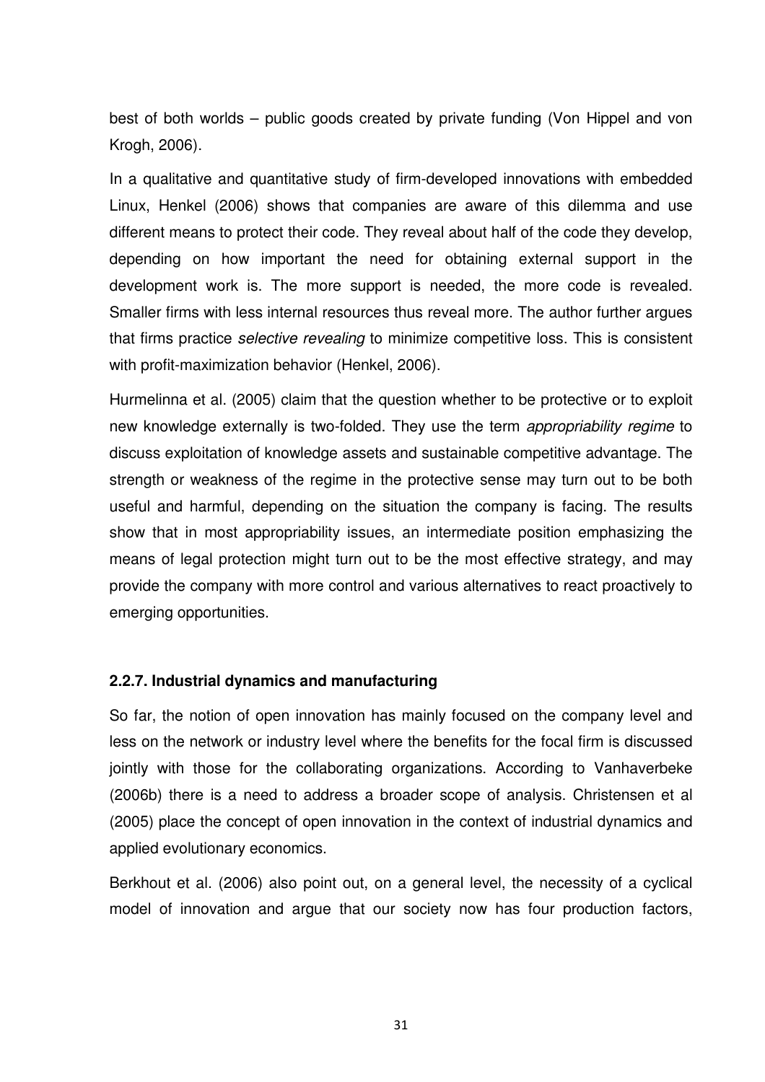best of both worlds – public goods created by private funding (Von Hippel and von Krogh, 2006).

In a qualitative and quantitative study of firm-developed innovations with embedded Linux, Henkel (2006) shows that companies are aware of this dilemma and use different means to protect their code. They reveal about half of the code they develop, depending on how important the need for obtaining external support in the development work is. The more support is needed, the more code is revealed. Smaller firms with less internal resources thus reveal more. The author further argues that firms practice selective revealing to minimize competitive loss. This is consistent with profit-maximization behavior (Henkel, 2006).

Hurmelinna et al. (2005) claim that the question whether to be protective or to exploit new knowledge externally is two-folded. They use the term appropriability regime to discuss exploitation of knowledge assets and sustainable competitive advantage. The strength or weakness of the regime in the protective sense may turn out to be both useful and harmful, depending on the situation the company is facing. The results show that in most appropriability issues, an intermediate position emphasizing the means of legal protection might turn out to be the most effective strategy, and may provide the company with more control and various alternatives to react proactively to emerging opportunities.

## **2.2.7. Industrial dynamics and manufacturing**

So far, the notion of open innovation has mainly focused on the company level and less on the network or industry level where the benefits for the focal firm is discussed jointly with those for the collaborating organizations. According to Vanhaverbeke (2006b) there is a need to address a broader scope of analysis. Christensen et al (2005) place the concept of open innovation in the context of industrial dynamics and applied evolutionary economics.

Berkhout et al. (2006) also point out, on a general level, the necessity of a cyclical model of innovation and argue that our society now has four production factors,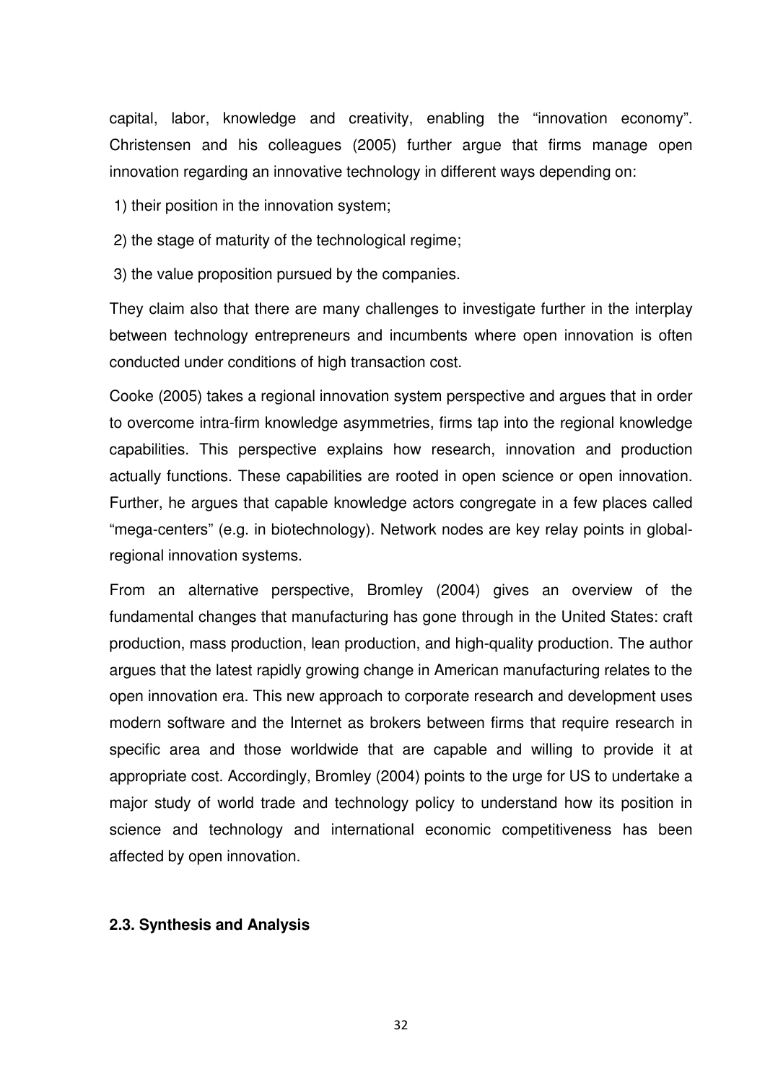capital, labor, knowledge and creativity, enabling the "innovation economy". Christensen and his colleagues (2005) further argue that firms manage open innovation regarding an innovative technology in different ways depending on:

1) their position in the innovation system;

2) the stage of maturity of the technological regime;

3) the value proposition pursued by the companies.

They claim also that there are many challenges to investigate further in the interplay between technology entrepreneurs and incumbents where open innovation is often conducted under conditions of high transaction cost.

Cooke (2005) takes a regional innovation system perspective and argues that in order to overcome intra-firm knowledge asymmetries, firms tap into the regional knowledge capabilities. This perspective explains how research, innovation and production actually functions. These capabilities are rooted in open science or open innovation. Further, he argues that capable knowledge actors congregate in a few places called "mega-centers" (e.g. in biotechnology). Network nodes are key relay points in globalregional innovation systems.

From an alternative perspective, Bromley (2004) gives an overview of the fundamental changes that manufacturing has gone through in the United States: craft production, mass production, lean production, and high-quality production. The author argues that the latest rapidly growing change in American manufacturing relates to the open innovation era. This new approach to corporate research and development uses modern software and the Internet as brokers between firms that require research in specific area and those worldwide that are capable and willing to provide it at appropriate cost. Accordingly, Bromley (2004) points to the urge for US to undertake a major study of world trade and technology policy to understand how its position in science and technology and international economic competitiveness has been affected by open innovation.

## **2.3. Synthesis and Analysis**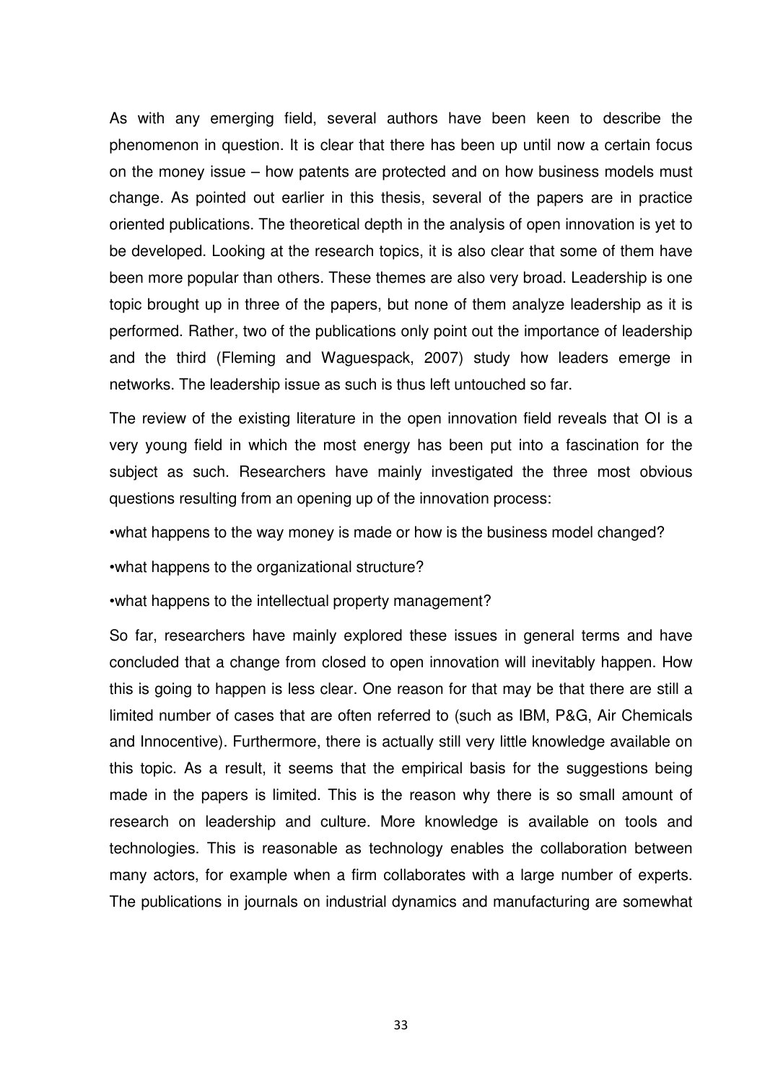As with any emerging field, several authors have been keen to describe the phenomenon in question. It is clear that there has been up until now a certain focus on the money issue – how patents are protected and on how business models must change. As pointed out earlier in this thesis, several of the papers are in practice oriented publications. The theoretical depth in the analysis of open innovation is yet to be developed. Looking at the research topics, it is also clear that some of them have been more popular than others. These themes are also very broad. Leadership is one topic brought up in three of the papers, but none of them analyze leadership as it is performed. Rather, two of the publications only point out the importance of leadership and the third (Fleming and Waguespack, 2007) study how leaders emerge in networks. The leadership issue as such is thus left untouched so far.

The review of the existing literature in the open innovation field reveals that OI is a very young field in which the most energy has been put into a fascination for the subject as such. Researchers have mainly investigated the three most obvious questions resulting from an opening up of the innovation process:

•what happens to the way money is made or how is the business model changed?

•what happens to the organizational structure?

•what happens to the intellectual property management?

So far, researchers have mainly explored these issues in general terms and have concluded that a change from closed to open innovation will inevitably happen. How this is going to happen is less clear. One reason for that may be that there are still a limited number of cases that are often referred to (such as IBM, P&G, Air Chemicals and Innocentive). Furthermore, there is actually still very little knowledge available on this topic. As a result, it seems that the empirical basis for the suggestions being made in the papers is limited. This is the reason why there is so small amount of research on leadership and culture. More knowledge is available on tools and technologies. This is reasonable as technology enables the collaboration between many actors, for example when a firm collaborates with a large number of experts. The publications in journals on industrial dynamics and manufacturing are somewhat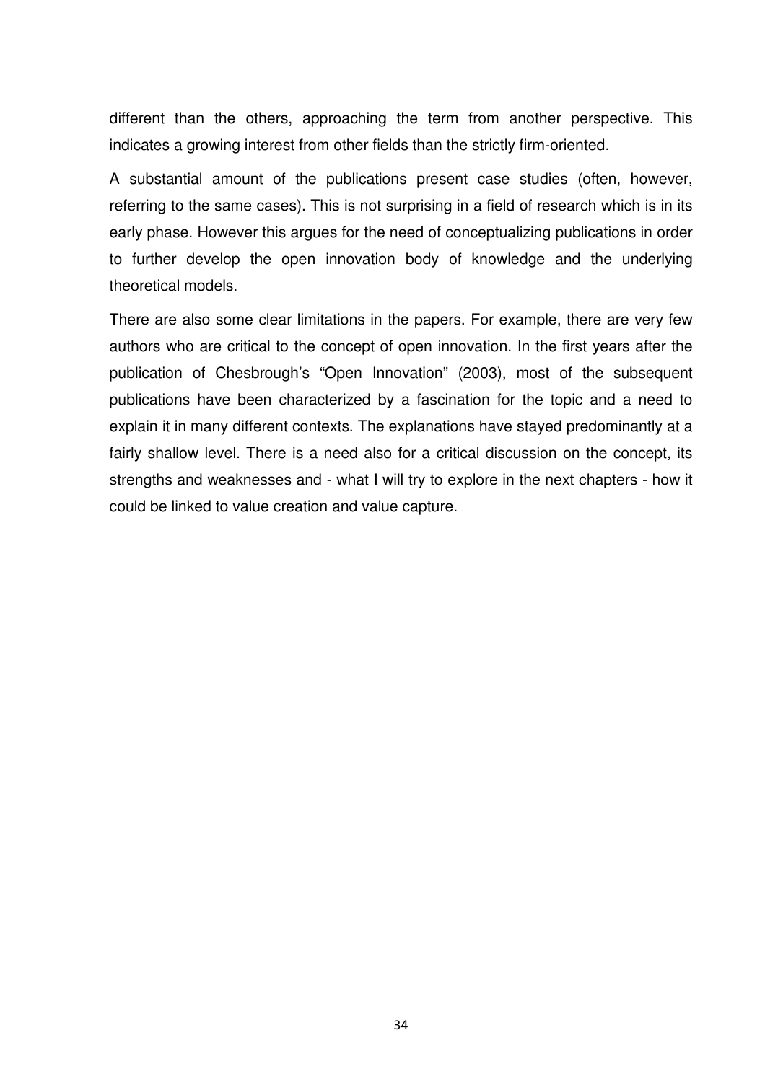different than the others, approaching the term from another perspective. This indicates a growing interest from other fields than the strictly firm-oriented.

A substantial amount of the publications present case studies (often, however, referring to the same cases). This is not surprising in a field of research which is in its early phase. However this argues for the need of conceptualizing publications in order to further develop the open innovation body of knowledge and the underlying theoretical models.

There are also some clear limitations in the papers. For example, there are very few authors who are critical to the concept of open innovation. In the first years after the publication of Chesbrough's "Open Innovation" (2003), most of the subsequent publications have been characterized by a fascination for the topic and a need to explain it in many different contexts. The explanations have stayed predominantly at a fairly shallow level. There is a need also for a critical discussion on the concept, its strengths and weaknesses and - what I will try to explore in the next chapters - how it could be linked to value creation and value capture.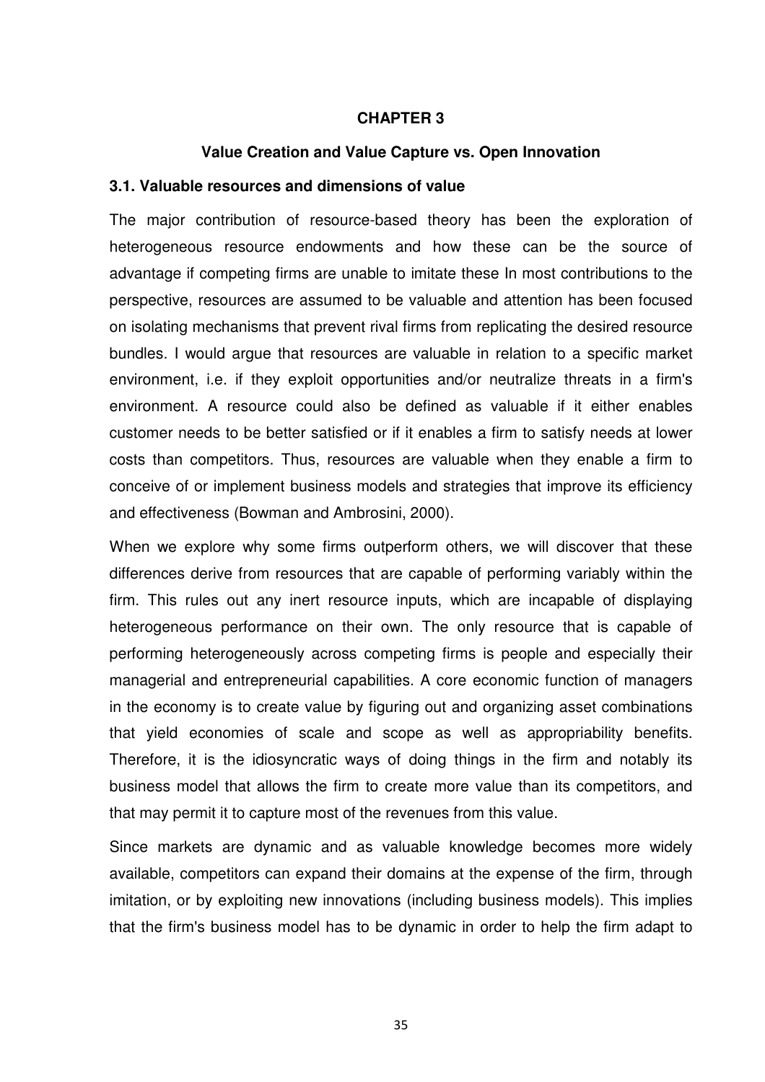#### **CHAPTER 3**

#### **Value Creation and Value Capture vs. Open Innovation**

#### **3.1. Valuable resources and dimensions of value**

The major contribution of resource-based theory has been the exploration of heterogeneous resource endowments and how these can be the source of advantage if competing firms are unable to imitate these In most contributions to the perspective, resources are assumed to be valuable and attention has been focused on isolating mechanisms that prevent rival firms from replicating the desired resource bundles. I would argue that resources are valuable in relation to a specific market environment, i.e. if they exploit opportunities and/or neutralize threats in a firm's environment. A resource could also be defined as valuable if it either enables customer needs to be better satisfied or if it enables a firm to satisfy needs at lower costs than competitors. Thus, resources are valuable when they enable a firm to conceive of or implement business models and strategies that improve its efficiency and effectiveness (Bowman and Ambrosini, 2000).

When we explore why some firms outperform others, we will discover that these differences derive from resources that are capable of performing variably within the firm. This rules out any inert resource inputs, which are incapable of displaying heterogeneous performance on their own. The only resource that is capable of performing heterogeneously across competing firms is people and especially their managerial and entrepreneurial capabilities. A core economic function of managers in the economy is to create value by figuring out and organizing asset combinations that yield economies of scale and scope as well as appropriability benefits. Therefore, it is the idiosyncratic ways of doing things in the firm and notably its business model that allows the firm to create more value than its competitors, and that may permit it to capture most of the revenues from this value.

Since markets are dynamic and as valuable knowledge becomes more widely available, competitors can expand their domains at the expense of the firm, through imitation, or by exploiting new innovations (including business models). This implies that the firm's business model has to be dynamic in order to help the firm adapt to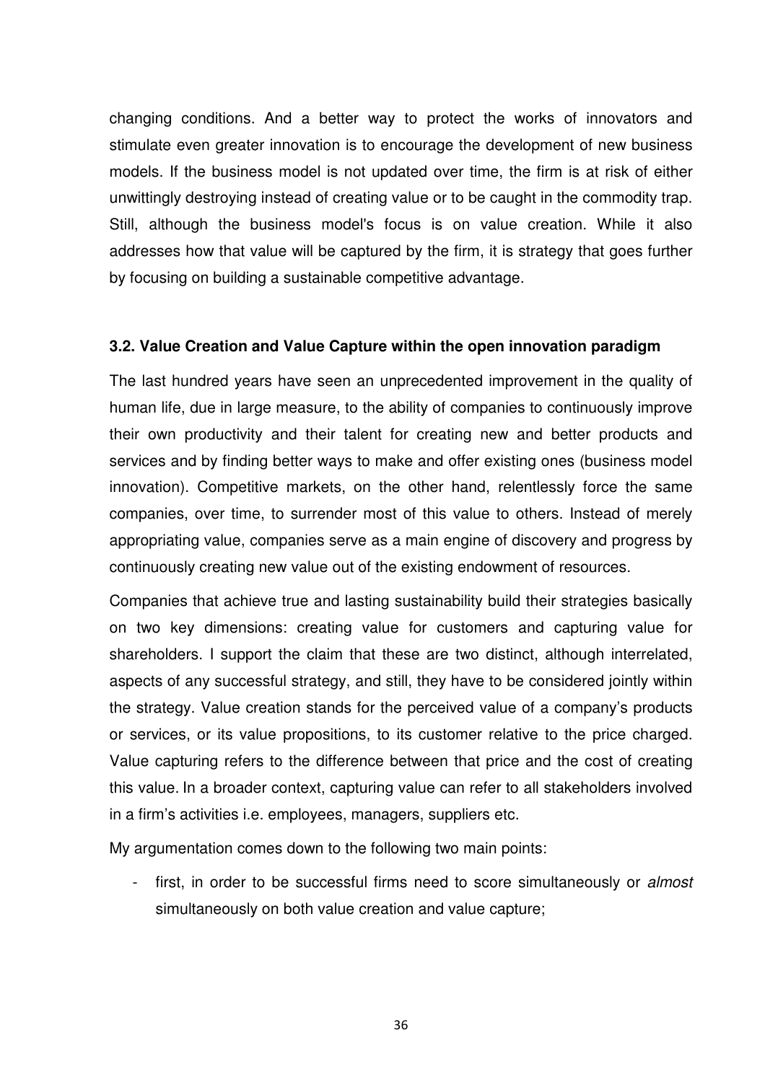changing conditions. And a better way to protect the works of innovators and stimulate even greater innovation is to encourage the development of new business models. If the business model is not updated over time, the firm is at risk of either unwittingly destroying instead of creating value or to be caught in the commodity trap. Still, although the business model's focus is on value creation. While it also addresses how that value will be captured by the firm, it is strategy that goes further by focusing on building a sustainable competitive advantage.

## **3.2. Value Creation and Value Capture within the open innovation paradigm**

The last hundred years have seen an unprecedented improvement in the quality of human life, due in large measure, to the ability of companies to continuously improve their own productivity and their talent for creating new and better products and services and by finding better ways to make and offer existing ones (business model innovation). Competitive markets, on the other hand, relentlessly force the same companies, over time, to surrender most of this value to others. Instead of merely appropriating value, companies serve as a main engine of discovery and progress by continuously creating new value out of the existing endowment of resources.

Companies that achieve true and lasting sustainability build their strategies basically on two key dimensions: creating value for customers and capturing value for shareholders. I support the claim that these are two distinct, although interrelated, aspects of any successful strategy, and still, they have to be considered jointly within the strategy. Value creation stands for the perceived value of a company's products or services, or its value propositions, to its customer relative to the price charged. Value capturing refers to the difference between that price and the cost of creating this value. In a broader context, capturing value can refer to all stakeholders involved in a firm's activities i.e. employees, managers, suppliers etc.

My argumentation comes down to the following two main points:

first, in order to be successful firms need to score simultaneously or *almost* simultaneously on both value creation and value capture;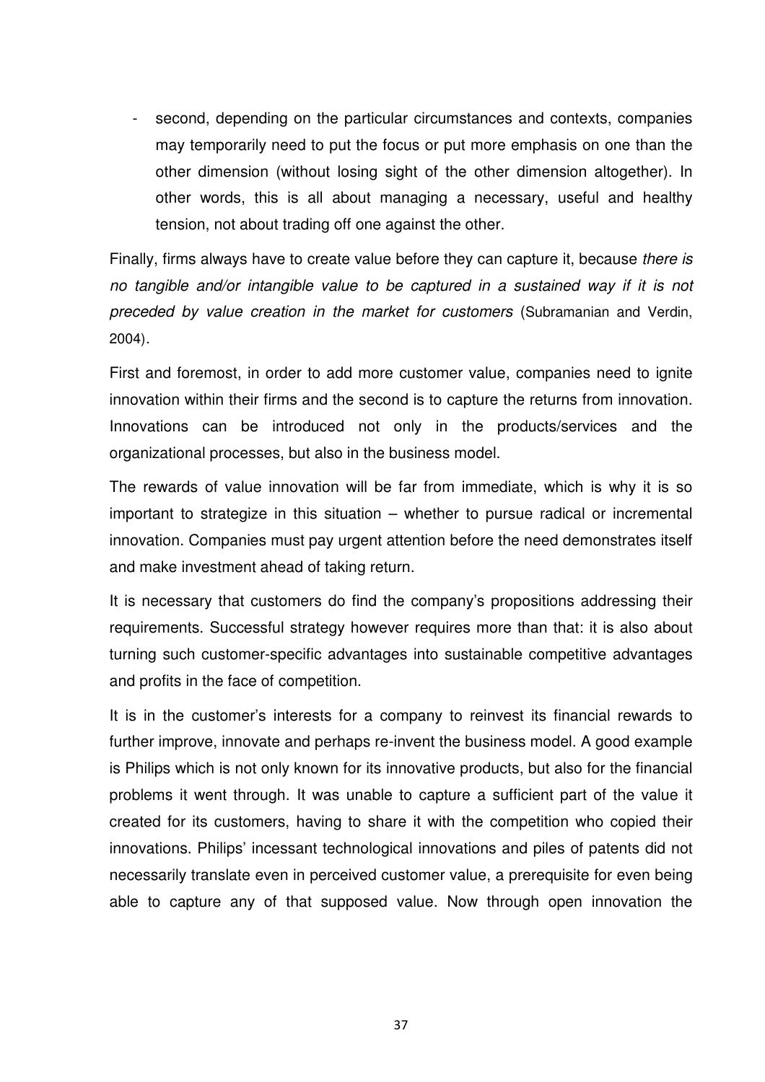second, depending on the particular circumstances and contexts, companies may temporarily need to put the focus or put more emphasis on one than the other dimension (without losing sight of the other dimension altogether). In other words, this is all about managing a necessary, useful and healthy tension, not about trading off one against the other.

Finally, firms always have to create value before they can capture it, because there is no tangible and/or intangible value to be captured in a sustained way if it is not preceded by value creation in the market for customers (Subramanian and Verdin, 2004).

First and foremost, in order to add more customer value, companies need to ignite innovation within their firms and the second is to capture the returns from innovation. Innovations can be introduced not only in the products/services and the organizational processes, but also in the business model.

The rewards of value innovation will be far from immediate, which is why it is so important to strategize in this situation – whether to pursue radical or incremental innovation. Companies must pay urgent attention before the need demonstrates itself and make investment ahead of taking return.

It is necessary that customers do find the company's propositions addressing their requirements. Successful strategy however requires more than that: it is also about turning such customer-specific advantages into sustainable competitive advantages and profits in the face of competition.

It is in the customer's interests for a company to reinvest its financial rewards to further improve, innovate and perhaps re-invent the business model. A good example is Philips which is not only known for its innovative products, but also for the financial problems it went through. It was unable to capture a sufficient part of the value it created for its customers, having to share it with the competition who copied their innovations. Philips' incessant technological innovations and piles of patents did not necessarily translate even in perceived customer value, a prerequisite for even being able to capture any of that supposed value. Now through open innovation the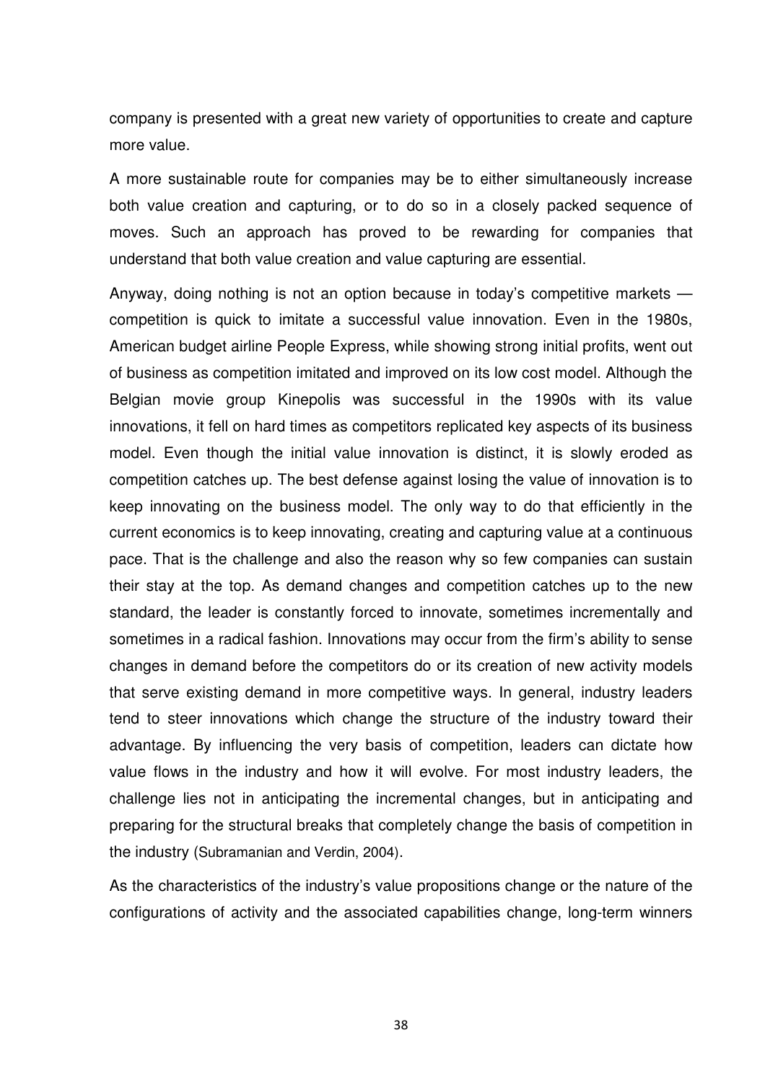company is presented with a great new variety of opportunities to create and capture more value.

A more sustainable route for companies may be to either simultaneously increase both value creation and capturing, or to do so in a closely packed sequence of moves. Such an approach has proved to be rewarding for companies that understand that both value creation and value capturing are essential.

Anyway, doing nothing is not an option because in today's competitive markets competition is quick to imitate a successful value innovation. Even in the 1980s, American budget airline People Express, while showing strong initial profits, went out of business as competition imitated and improved on its low cost model. Although the Belgian movie group Kinepolis was successful in the 1990s with its value innovations, it fell on hard times as competitors replicated key aspects of its business model. Even though the initial value innovation is distinct, it is slowly eroded as competition catches up. The best defense against losing the value of innovation is to keep innovating on the business model. The only way to do that efficiently in the current economics is to keep innovating, creating and capturing value at a continuous pace. That is the challenge and also the reason why so few companies can sustain their stay at the top. As demand changes and competition catches up to the new standard, the leader is constantly forced to innovate, sometimes incrementally and sometimes in a radical fashion. Innovations may occur from the firm's ability to sense changes in demand before the competitors do or its creation of new activity models that serve existing demand in more competitive ways. In general, industry leaders tend to steer innovations which change the structure of the industry toward their advantage. By influencing the very basis of competition, leaders can dictate how value flows in the industry and how it will evolve. For most industry leaders, the challenge lies not in anticipating the incremental changes, but in anticipating and preparing for the structural breaks that completely change the basis of competition in the industry (Subramanian and Verdin, 2004).

As the characteristics of the industry's value propositions change or the nature of the configurations of activity and the associated capabilities change, long-term winners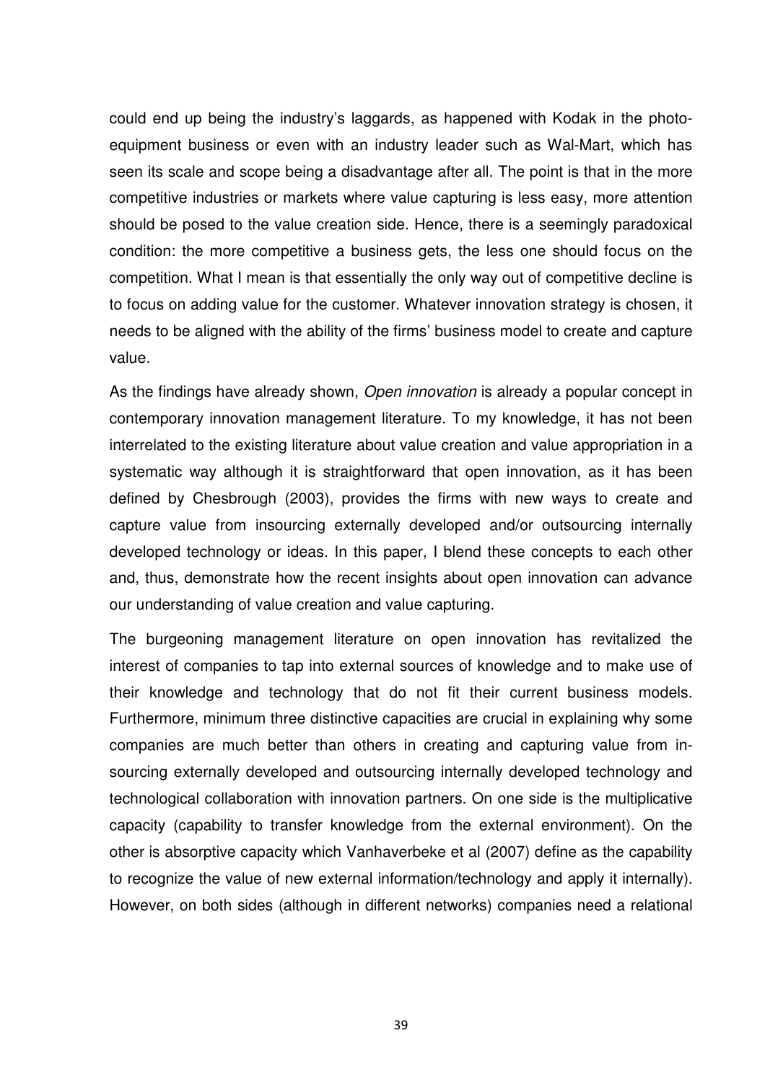could end up being the industry's laggards, as happened with Kodak in the photoequipment business or even with an industry leader such as Wal-Mart, which has seen its scale and scope being a disadvantage after all. The point is that in the more competitive industries or markets where value capturing is less easy, more attention should be posed to the value creation side. Hence, there is a seemingly paradoxical condition: the more competitive a business gets, the less one should focus on the competition. What I mean is that essentially the only way out of competitive decline is to focus on adding value for the customer. Whatever innovation strategy is chosen, it needs to be aligned with the ability of the firms' business model to create and capture value.

As the findings have already shown, Open innovation is already a popular concept in contemporary innovation management literature. To my knowledge, it has not been interrelated to the existing literature about value creation and value appropriation in a systematic way although it is straightforward that open innovation, as it has been defined by Chesbrough (2003), provides the firms with new ways to create and capture value from insourcing externally developed and/or outsourcing internally developed technology or ideas. In this paper, I blend these concepts to each other and, thus, demonstrate how the recent insights about open innovation can advance our understanding of value creation and value capturing.

The burgeoning management literature on open innovation has revitalized the interest of companies to tap into external sources of knowledge and to make use of their knowledge and technology that do not fit their current business models. Furthermore, minimum three distinctive capacities are crucial in explaining why some companies are much better than others in creating and capturing value from insourcing externally developed and outsourcing internally developed technology and technological collaboration with innovation partners. On one side is the multiplicative capacity (capability to transfer knowledge from the external environment). On the other is absorptive capacity which Vanhaverbeke et al (2007) define as the capability to recognize the value of new external information/technology and apply it internally). However, on both sides (although in different networks) companies need a relational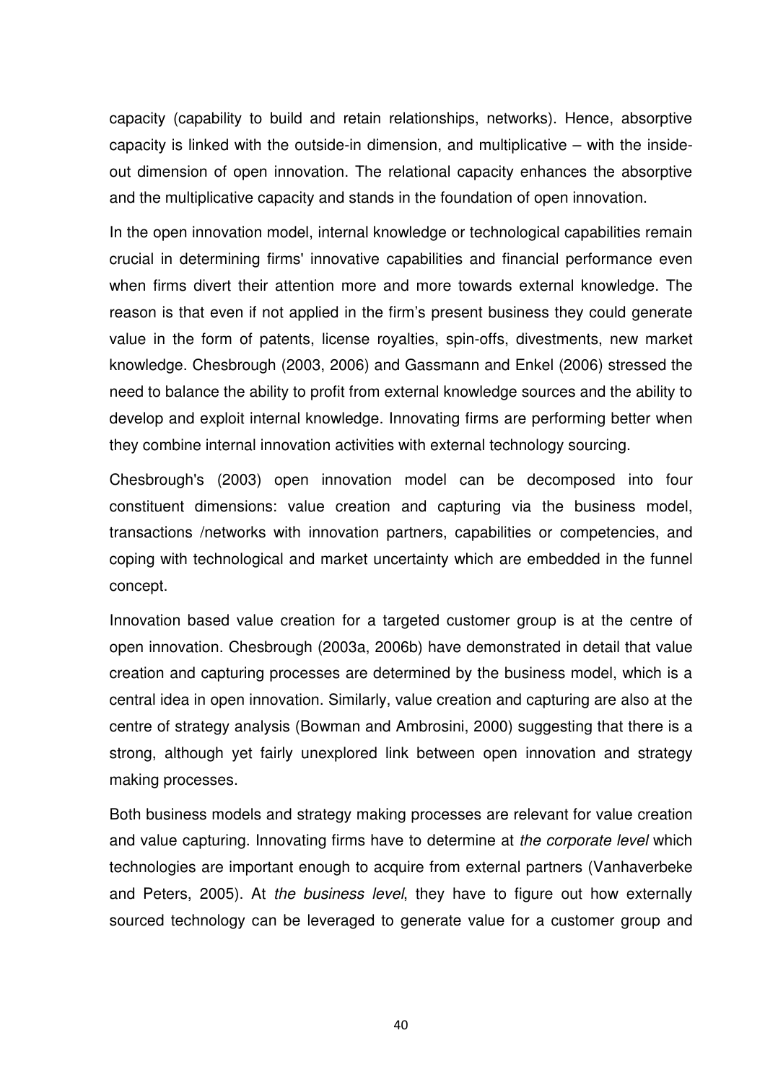capacity (capability to build and retain relationships, networks). Hence, absorptive capacity is linked with the outside-in dimension, and multiplicative – with the insideout dimension of open innovation. The relational capacity enhances the absorptive and the multiplicative capacity and stands in the foundation of open innovation.

In the open innovation model, internal knowledge or technological capabilities remain crucial in determining firms' innovative capabilities and financial performance even when firms divert their attention more and more towards external knowledge. The reason is that even if not applied in the firm's present business they could generate value in the form of patents, license royalties, spin-offs, divestments, new market knowledge. Chesbrough (2003, 2006) and Gassmann and Enkel (2006) stressed the need to balance the ability to profit from external knowledge sources and the ability to develop and exploit internal knowledge. Innovating firms are performing better when they combine internal innovation activities with external technology sourcing.

Chesbrough's (2003) open innovation model can be decomposed into four constituent dimensions: value creation and capturing via the business model, transactions /networks with innovation partners, capabilities or competencies, and coping with technological and market uncertainty which are embedded in the funnel concept.

Innovation based value creation for a targeted customer group is at the centre of open innovation. Chesbrough (2003a, 2006b) have demonstrated in detail that value creation and capturing processes are determined by the business model, which is a central idea in open innovation. Similarly, value creation and capturing are also at the centre of strategy analysis (Bowman and Ambrosini, 2000) suggesting that there is a strong, although yet fairly unexplored link between open innovation and strategy making processes.

Both business models and strategy making processes are relevant for value creation and value capturing. Innovating firms have to determine at the corporate level which technologies are important enough to acquire from external partners (Vanhaverbeke and Peters, 2005). At the business level, they have to figure out how externally sourced technology can be leveraged to generate value for a customer group and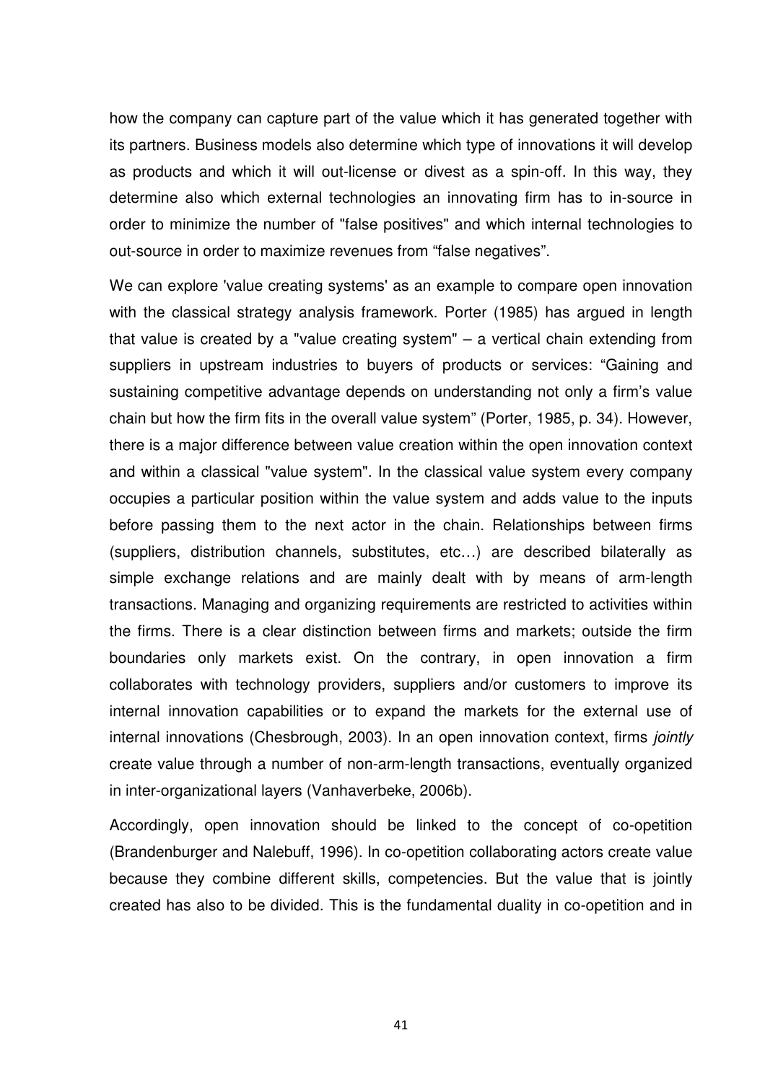how the company can capture part of the value which it has generated together with its partners. Business models also determine which type of innovations it will develop as products and which it will out-license or divest as a spin-off. In this way, they determine also which external technologies an innovating firm has to in-source in order to minimize the number of "false positives" and which internal technologies to out-source in order to maximize revenues from "false negatives".

We can explore 'value creating systems' as an example to compare open innovation with the classical strategy analysis framework. Porter (1985) has argued in length that value is created by a "value creating system" – a vertical chain extending from suppliers in upstream industries to buyers of products or services: "Gaining and sustaining competitive advantage depends on understanding not only a firm's value chain but how the firm fits in the overall value system" (Porter, 1985, p. 34). However, there is a major difference between value creation within the open innovation context and within a classical "value system". In the classical value system every company occupies a particular position within the value system and adds value to the inputs before passing them to the next actor in the chain. Relationships between firms (suppliers, distribution channels, substitutes, etc…) are described bilaterally as simple exchange relations and are mainly dealt with by means of arm-length transactions. Managing and organizing requirements are restricted to activities within the firms. There is a clear distinction between firms and markets; outside the firm boundaries only markets exist. On the contrary, in open innovation a firm collaborates with technology providers, suppliers and/or customers to improve its internal innovation capabilities or to expand the markets for the external use of internal innovations (Chesbrough, 2003). In an open innovation context, firms jointly create value through a number of non-arm-length transactions, eventually organized in inter-organizational layers (Vanhaverbeke, 2006b).

Accordingly, open innovation should be linked to the concept of co-opetition (Brandenburger and Nalebuff, 1996). In co-opetition collaborating actors create value because they combine different skills, competencies. But the value that is jointly created has also to be divided. This is the fundamental duality in co-opetition and in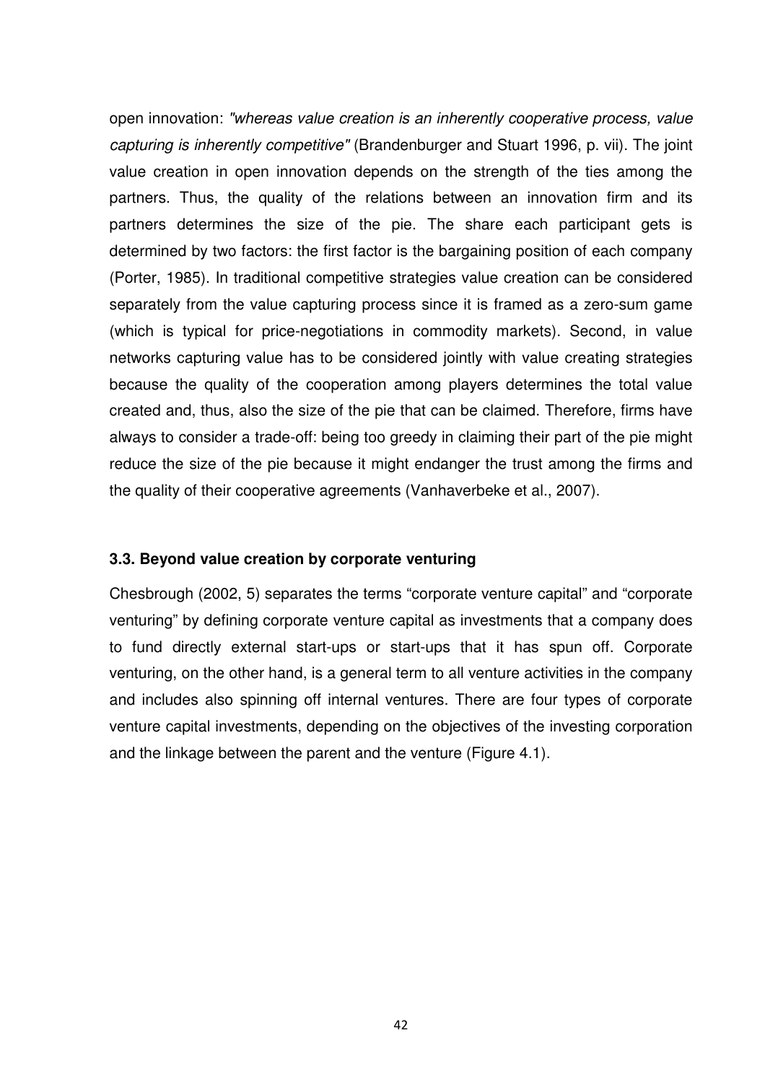open innovation: "whereas value creation is an inherently cooperative process, value capturing is inherently competitive" (Brandenburger and Stuart 1996, p. vii). The joint value creation in open innovation depends on the strength of the ties among the partners. Thus, the quality of the relations between an innovation firm and its partners determines the size of the pie. The share each participant gets is determined by two factors: the first factor is the bargaining position of each company (Porter, 1985). In traditional competitive strategies value creation can be considered separately from the value capturing process since it is framed as a zero-sum game (which is typical for price-negotiations in commodity markets). Second, in value networks capturing value has to be considered jointly with value creating strategies because the quality of the cooperation among players determines the total value created and, thus, also the size of the pie that can be claimed. Therefore, firms have always to consider a trade-off: being too greedy in claiming their part of the pie might reduce the size of the pie because it might endanger the trust among the firms and the quality of their cooperative agreements (Vanhaverbeke et al., 2007).

## **3.3. Beyond value creation by corporate venturing**

Chesbrough (2002, 5) separates the terms "corporate venture capital" and "corporate venturing" by defining corporate venture capital as investments that a company does to fund directly external start-ups or start-ups that it has spun off. Corporate venturing, on the other hand, is a general term to all venture activities in the company and includes also spinning off internal ventures. There are four types of corporate venture capital investments, depending on the objectives of the investing corporation and the linkage between the parent and the venture (Figure 4.1).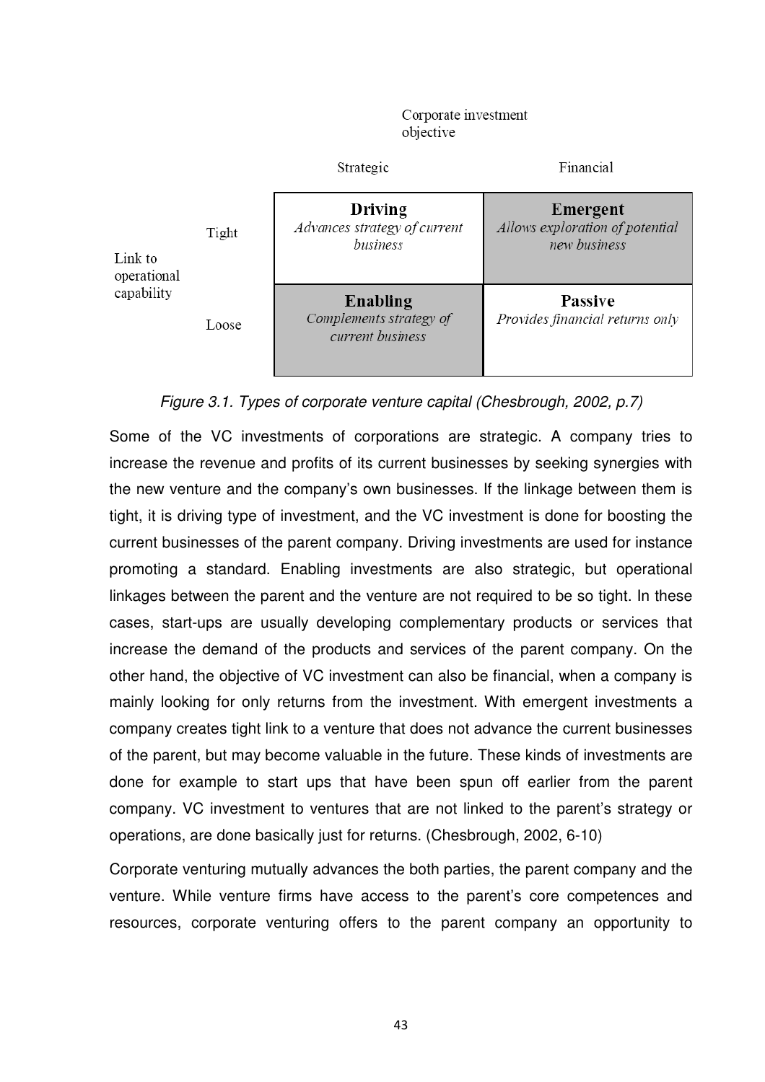Corporate investment objective



#### Figure 3.1. Types of corporate venture capital (Chesbrough, 2002, p.7)

Some of the VC investments of corporations are strategic. A company tries to increase the revenue and profits of its current businesses by seeking synergies with the new venture and the company's own businesses. If the linkage between them is tight, it is driving type of investment, and the VC investment is done for boosting the current businesses of the parent company. Driving investments are used for instance promoting a standard. Enabling investments are also strategic, but operational linkages between the parent and the venture are not required to be so tight. In these cases, start-ups are usually developing complementary products or services that increase the demand of the products and services of the parent company. On the other hand, the objective of VC investment can also be financial, when a company is mainly looking for only returns from the investment. With emergent investments a company creates tight link to a venture that does not advance the current businesses of the parent, but may become valuable in the future. These kinds of investments are done for example to start ups that have been spun off earlier from the parent company. VC investment to ventures that are not linked to the parent's strategy or operations, are done basically just for returns. (Chesbrough, 2002, 6-10)

Corporate venturing mutually advances the both parties, the parent company and the venture. While venture firms have access to the parent's core competences and resources, corporate venturing offers to the parent company an opportunity to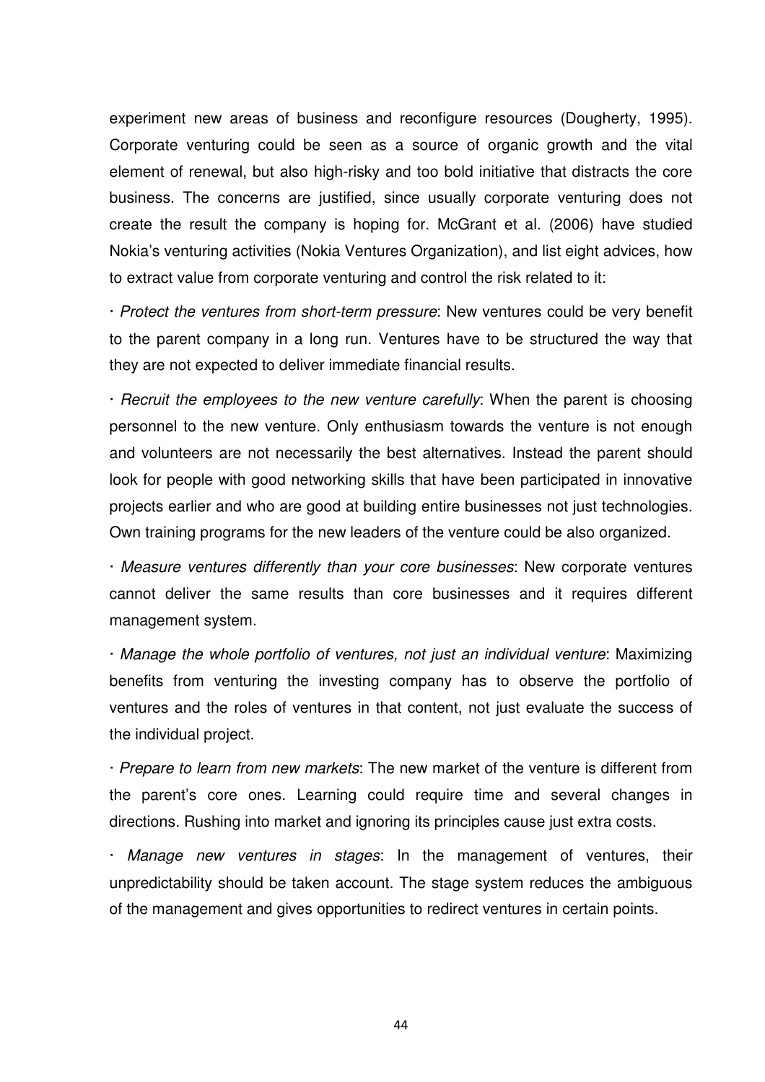experiment new areas of business and reconfigure resources (Dougherty, 1995). Corporate venturing could be seen as a source of organic growth and the vital element of renewal, but also high-risky and too bold initiative that distracts the core business. The concerns are justified, since usually corporate venturing does not create the result the company is hoping for. McGrant et al. (2006) have studied Nokia's venturing activities (Nokia Ventures Organization), and list eight advices, how to extract value from corporate venturing and control the risk related to it:

· Protect the ventures from short-term pressure: New ventures could be very benefit to the parent company in a long run. Ventures have to be structured the way that they are not expected to deliver immediate financial results.

· Recruit the employees to the new venture carefully: When the parent is choosing personnel to the new venture. Only enthusiasm towards the venture is not enough and volunteers are not necessarily the best alternatives. Instead the parent should look for people with good networking skills that have been participated in innovative projects earlier and who are good at building entire businesses not just technologies. Own training programs for the new leaders of the venture could be also organized.

· Measure ventures differently than your core businesses: New corporate ventures cannot deliver the same results than core businesses and it requires different management system.

· Manage the whole portfolio of ventures, not just an individual venture: Maximizing benefits from venturing the investing company has to observe the portfolio of ventures and the roles of ventures in that content, not just evaluate the success of the individual project.

· Prepare to learn from new markets: The new market of the venture is different from the parent's core ones. Learning could require time and several changes in directions. Rushing into market and ignoring its principles cause just extra costs.

· Manage new ventures in stages: In the management of ventures, their unpredictability should be taken account. The stage system reduces the ambiguous of the management and gives opportunities to redirect ventures in certain points.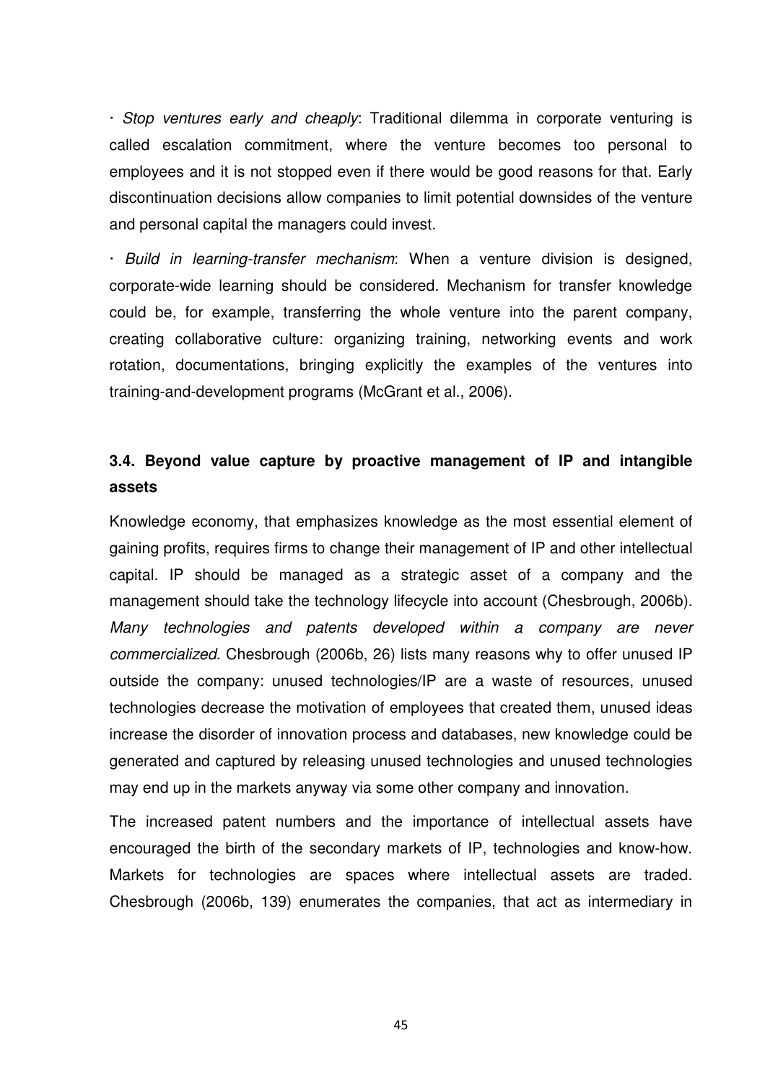· Stop ventures early and cheaply: Traditional dilemma in corporate venturing is called escalation commitment, where the venture becomes too personal to employees and it is not stopped even if there would be good reasons for that. Early discontinuation decisions allow companies to limit potential downsides of the venture and personal capital the managers could invest.

· Build in learning-transfer mechanism: When a venture division is designed, corporate-wide learning should be considered. Mechanism for transfer knowledge could be, for example, transferring the whole venture into the parent company, creating collaborative culture: organizing training, networking events and work rotation, documentations, bringing explicitly the examples of the ventures into training-and-development programs (McGrant et al., 2006).

# **3.4. Beyond value capture by proactive management of IP and intangible assets**

Knowledge economy, that emphasizes knowledge as the most essential element of gaining profits, requires firms to change their management of IP and other intellectual capital. IP should be managed as a strategic asset of a company and the management should take the technology lifecycle into account (Chesbrough, 2006b). Many technologies and patents developed within a company are never commercialized. Chesbrough (2006b, 26) lists many reasons why to offer unused IP outside the company: unused technologies/IP are a waste of resources, unused technologies decrease the motivation of employees that created them, unused ideas increase the disorder of innovation process and databases, new knowledge could be generated and captured by releasing unused technologies and unused technologies may end up in the markets anyway via some other company and innovation.

The increased patent numbers and the importance of intellectual assets have encouraged the birth of the secondary markets of IP, technologies and know-how. Markets for technologies are spaces where intellectual assets are traded. Chesbrough (2006b, 139) enumerates the companies, that act as intermediary in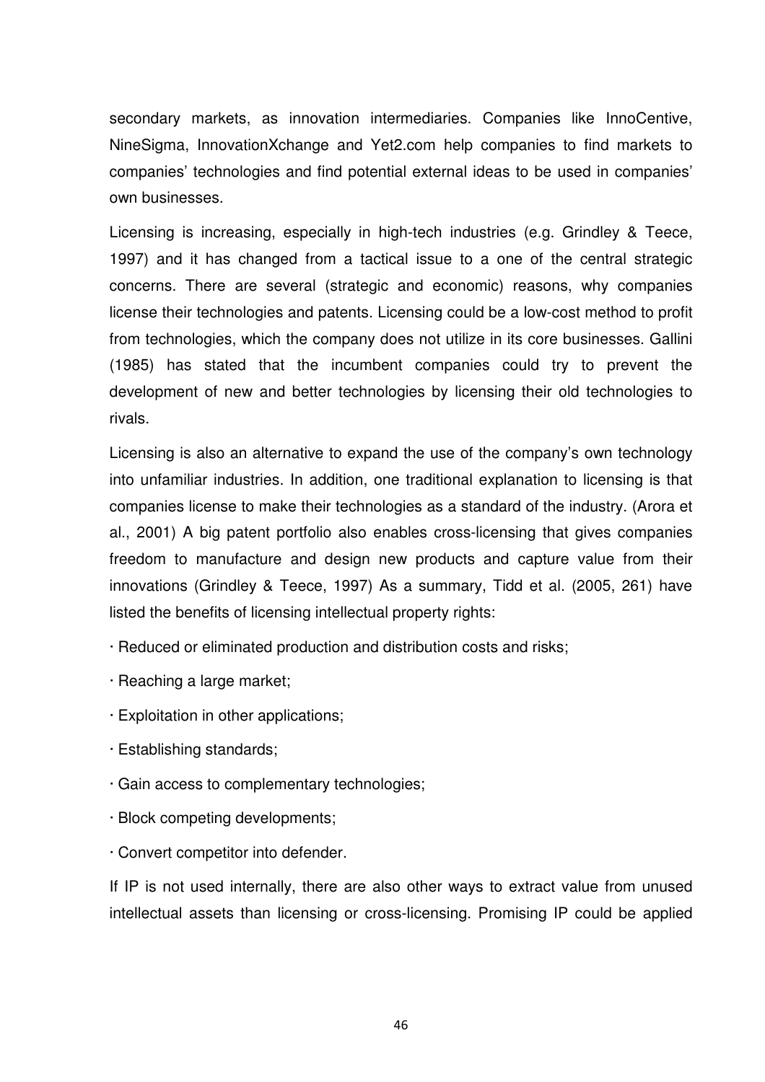secondary markets, as innovation intermediaries. Companies like InnoCentive, NineSigma, InnovationXchange and Yet2.com help companies to find markets to companies' technologies and find potential external ideas to be used in companies' own businesses.

Licensing is increasing, especially in high-tech industries (e.g. Grindley & Teece, 1997) and it has changed from a tactical issue to a one of the central strategic concerns. There are several (strategic and economic) reasons, why companies license their technologies and patents. Licensing could be a low-cost method to profit from technologies, which the company does not utilize in its core businesses. Gallini (1985) has stated that the incumbent companies could try to prevent the development of new and better technologies by licensing their old technologies to rivals.

Licensing is also an alternative to expand the use of the company's own technology into unfamiliar industries. In addition, one traditional explanation to licensing is that companies license to make their technologies as a standard of the industry. (Arora et al., 2001) A big patent portfolio also enables cross-licensing that gives companies freedom to manufacture and design new products and capture value from their innovations (Grindley & Teece, 1997) As a summary, Tidd et al. (2005, 261) have listed the benefits of licensing intellectual property rights:

· Reduced or eliminated production and distribution costs and risks;

- · Reaching a large market;
- · Exploitation in other applications;
- · Establishing standards;
- · Gain access to complementary technologies;
- · Block competing developments;
- · Convert competitor into defender.

If IP is not used internally, there are also other ways to extract value from unused intellectual assets than licensing or cross-licensing. Promising IP could be applied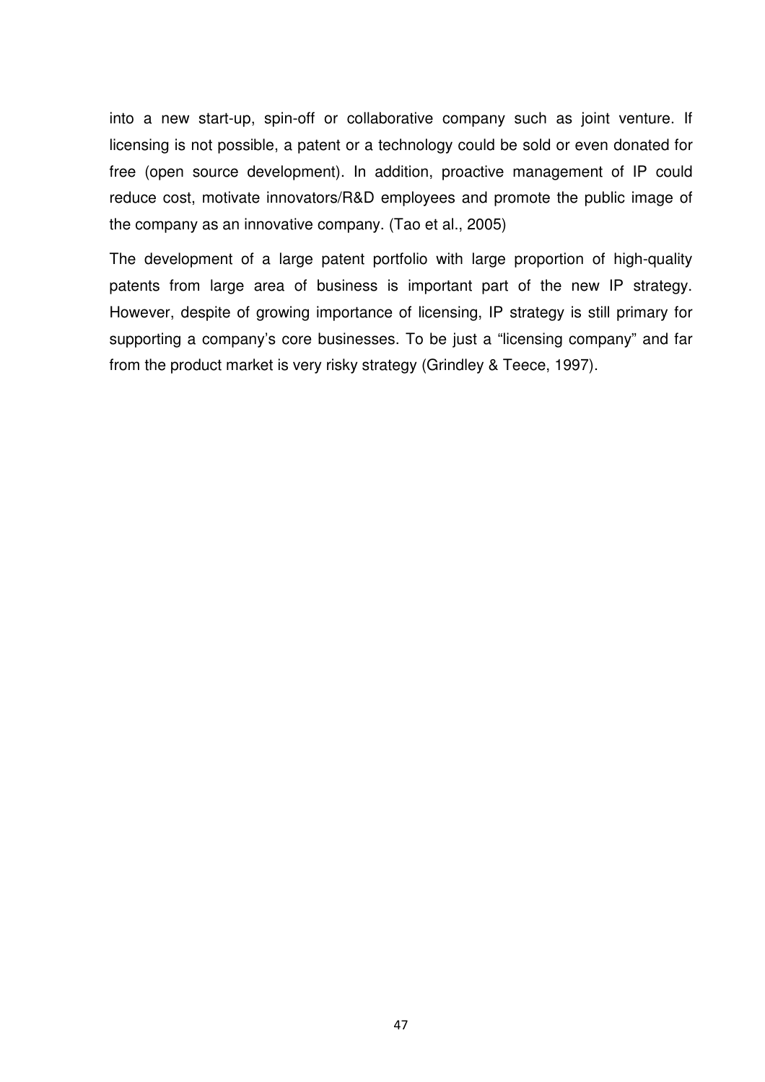into a new start-up, spin-off or collaborative company such as joint venture. If licensing is not possible, a patent or a technology could be sold or even donated for free (open source development). In addition, proactive management of IP could reduce cost, motivate innovators/R&D employees and promote the public image of the company as an innovative company. (Tao et al., 2005)

The development of a large patent portfolio with large proportion of high-quality patents from large area of business is important part of the new IP strategy. However, despite of growing importance of licensing, IP strategy is still primary for supporting a company's core businesses. To be just a "licensing company" and far from the product market is very risky strategy (Grindley & Teece, 1997).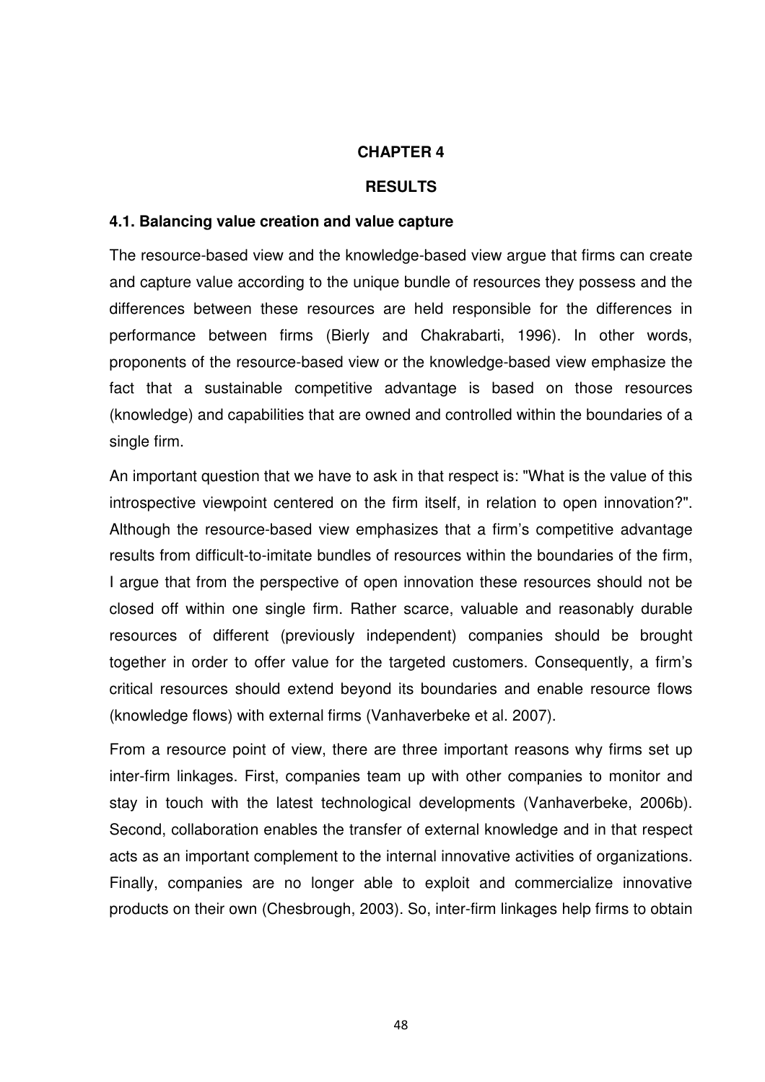#### **CHAPTER 4**

#### **RESULTS**

#### **4.1. Balancing value creation and value capture**

The resource-based view and the knowledge-based view argue that firms can create and capture value according to the unique bundle of resources they possess and the differences between these resources are held responsible for the differences in performance between firms (Bierly and Chakrabarti, 1996). In other words, proponents of the resource-based view or the knowledge-based view emphasize the fact that a sustainable competitive advantage is based on those resources (knowledge) and capabilities that are owned and controlled within the boundaries of a single firm.

An important question that we have to ask in that respect is: "What is the value of this introspective viewpoint centered on the firm itself, in relation to open innovation?". Although the resource-based view emphasizes that a firm's competitive advantage results from difficult-to-imitate bundles of resources within the boundaries of the firm, I argue that from the perspective of open innovation these resources should not be closed off within one single firm. Rather scarce, valuable and reasonably durable resources of different (previously independent) companies should be brought together in order to offer value for the targeted customers. Consequently, a firm's critical resources should extend beyond its boundaries and enable resource flows (knowledge flows) with external firms (Vanhaverbeke et al. 2007).

From a resource point of view, there are three important reasons why firms set up inter-firm linkages. First, companies team up with other companies to monitor and stay in touch with the latest technological developments (Vanhaverbeke, 2006b). Second, collaboration enables the transfer of external knowledge and in that respect acts as an important complement to the internal innovative activities of organizations. Finally, companies are no longer able to exploit and commercialize innovative products on their own (Chesbrough, 2003). So, inter-firm linkages help firms to obtain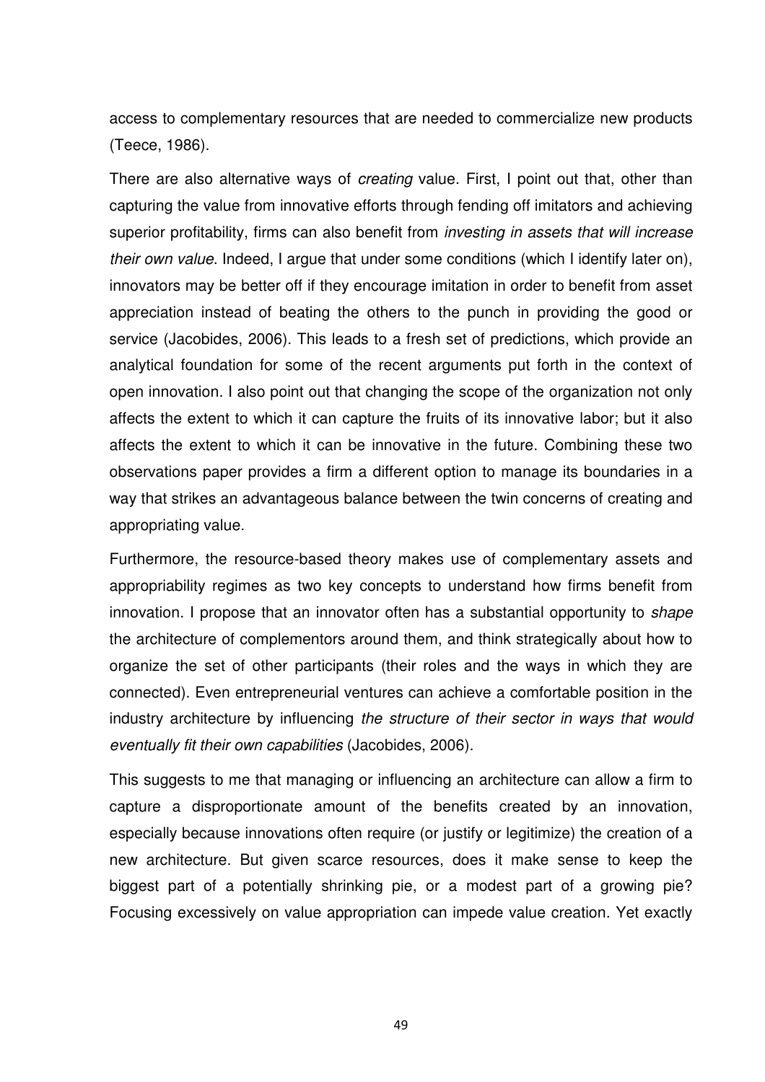access to complementary resources that are needed to commercialize new products (Teece, 1986).

There are also alternative ways of *creating* value. First, I point out that, other than capturing the value from innovative efforts through fending off imitators and achieving superior profitability, firms can also benefit from *investing in assets that will increase* their own value. Indeed, I argue that under some conditions (which I identify later on), innovators may be better off if they encourage imitation in order to benefit from asset appreciation instead of beating the others to the punch in providing the good or service (Jacobides, 2006). This leads to a fresh set of predictions, which provide an analytical foundation for some of the recent arguments put forth in the context of open innovation. I also point out that changing the scope of the organization not only affects the extent to which it can capture the fruits of its innovative labor; but it also affects the extent to which it can be innovative in the future. Combining these two observations paper provides a firm a different option to manage its boundaries in a way that strikes an advantageous balance between the twin concerns of creating and appropriating value.

Furthermore, the resource-based theory makes use of complementary assets and appropriability regimes as two key concepts to understand how firms benefit from innovation. I propose that an innovator often has a substantial opportunity to *shape* the architecture of complementors around them, and think strategically about how to organize the set of other participants (their roles and the ways in which they are connected). Even entrepreneurial ventures can achieve a comfortable position in the industry architecture by influencing the structure of their sector in ways that would eventually fit their own capabilities (Jacobides, 2006).

This suggests to me that managing or influencing an architecture can allow a firm to capture a disproportionate amount of the benefits created by an innovation, especially because innovations often require (or justify or legitimize) the creation of a new architecture. But given scarce resources, does it make sense to keep the biggest part of a potentially shrinking pie, or a modest part of a growing pie? Focusing excessively on value appropriation can impede value creation. Yet exactly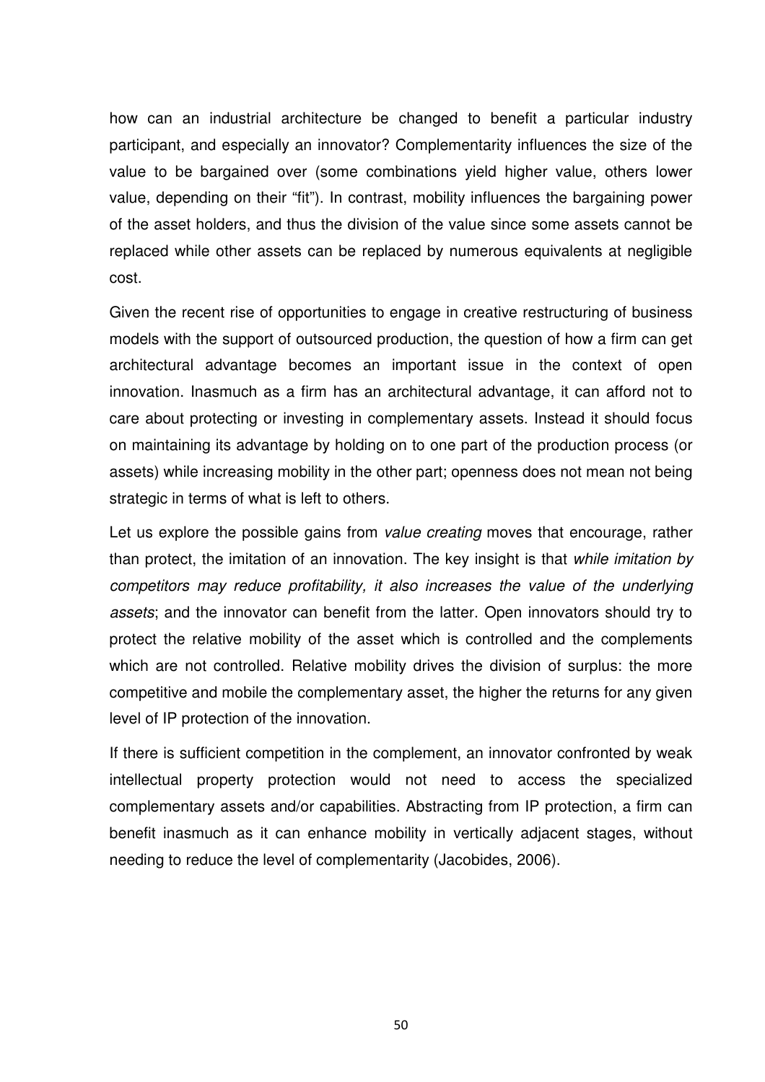how can an industrial architecture be changed to benefit a particular industry participant, and especially an innovator? Complementarity influences the size of the value to be bargained over (some combinations yield higher value, others lower value, depending on their "fit"). In contrast, mobility influences the bargaining power of the asset holders, and thus the division of the value since some assets cannot be replaced while other assets can be replaced by numerous equivalents at negligible cost.

Given the recent rise of opportunities to engage in creative restructuring of business models with the support of outsourced production, the question of how a firm can get architectural advantage becomes an important issue in the context of open innovation. Inasmuch as a firm has an architectural advantage, it can afford not to care about protecting or investing in complementary assets. Instead it should focus on maintaining its advantage by holding on to one part of the production process (or assets) while increasing mobility in the other part; openness does not mean not being strategic in terms of what is left to others.

Let us explore the possible gains from value creating moves that encourage, rather than protect, the imitation of an innovation. The key insight is that while *imitation by* competitors may reduce profitability, it also increases the value of the underlying assets; and the innovator can benefit from the latter. Open innovators should try to protect the relative mobility of the asset which is controlled and the complements which are not controlled. Relative mobility drives the division of surplus: the more competitive and mobile the complementary asset, the higher the returns for any given level of IP protection of the innovation.

If there is sufficient competition in the complement, an innovator confronted by weak intellectual property protection would not need to access the specialized complementary assets and/or capabilities. Abstracting from IP protection, a firm can benefit inasmuch as it can enhance mobility in vertically adjacent stages, without needing to reduce the level of complementarity (Jacobides, 2006).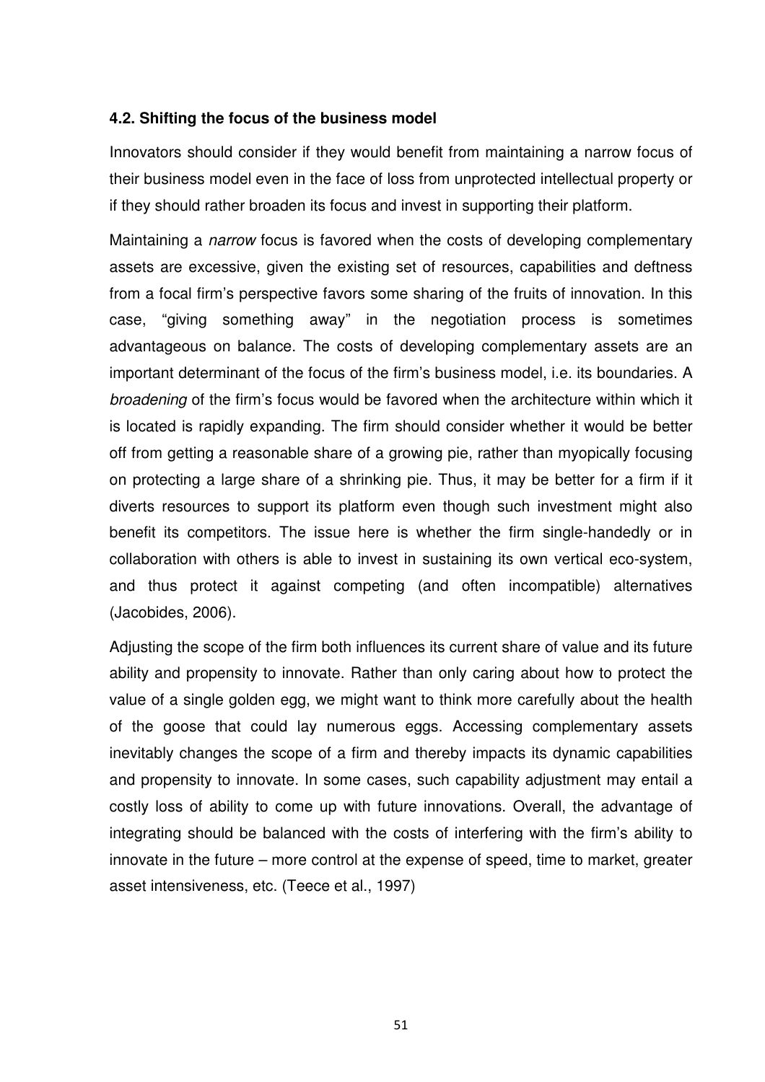## **4.2. Shifting the focus of the business model**

Innovators should consider if they would benefit from maintaining a narrow focus of their business model even in the face of loss from unprotected intellectual property or if they should rather broaden its focus and invest in supporting their platform.

Maintaining a *narrow* focus is favored when the costs of developing complementary assets are excessive, given the existing set of resources, capabilities and deftness from a focal firm's perspective favors some sharing of the fruits of innovation. In this case, "giving something away" in the negotiation process is sometimes advantageous on balance. The costs of developing complementary assets are an important determinant of the focus of the firm's business model, i.e. its boundaries. A broadening of the firm's focus would be favored when the architecture within which it is located is rapidly expanding. The firm should consider whether it would be better off from getting a reasonable share of a growing pie, rather than myopically focusing on protecting a large share of a shrinking pie. Thus, it may be better for a firm if it diverts resources to support its platform even though such investment might also benefit its competitors. The issue here is whether the firm single-handedly or in collaboration with others is able to invest in sustaining its own vertical eco-system, and thus protect it against competing (and often incompatible) alternatives (Jacobides, 2006).

Adjusting the scope of the firm both influences its current share of value and its future ability and propensity to innovate. Rather than only caring about how to protect the value of a single golden egg, we might want to think more carefully about the health of the goose that could lay numerous eggs. Accessing complementary assets inevitably changes the scope of a firm and thereby impacts its dynamic capabilities and propensity to innovate. In some cases, such capability adjustment may entail a costly loss of ability to come up with future innovations. Overall, the advantage of integrating should be balanced with the costs of interfering with the firm's ability to innovate in the future – more control at the expense of speed, time to market, greater asset intensiveness, etc. (Teece et al., 1997)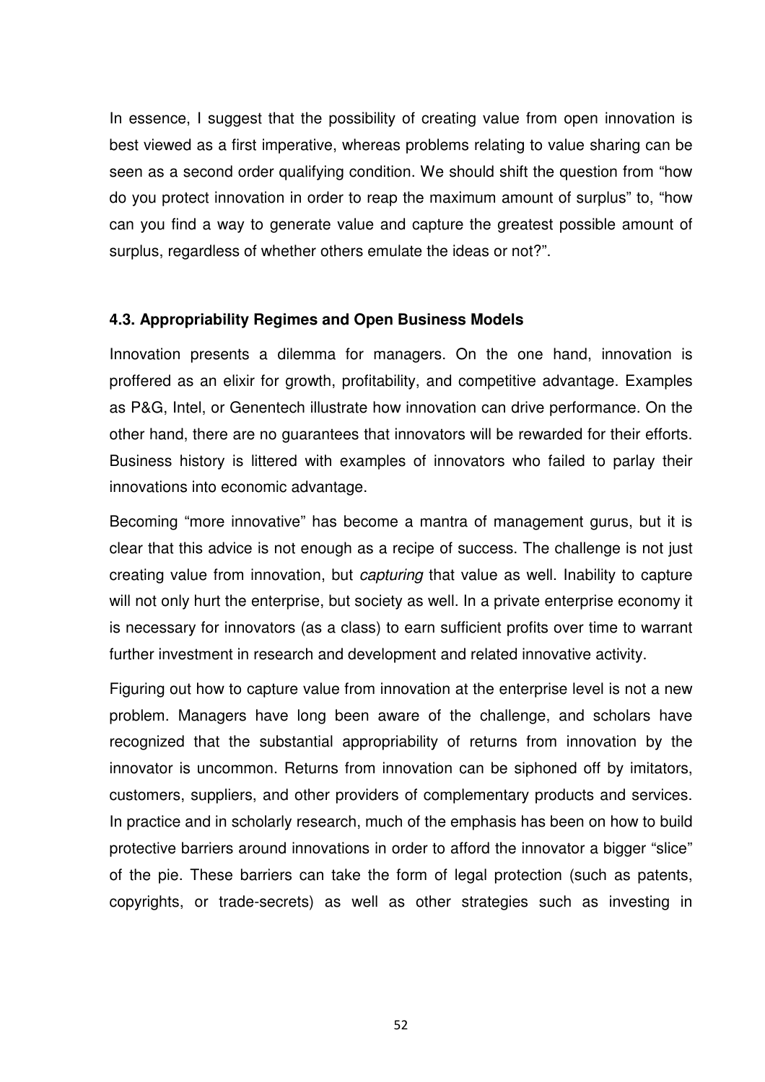In essence, I suggest that the possibility of creating value from open innovation is best viewed as a first imperative, whereas problems relating to value sharing can be seen as a second order qualifying condition. We should shift the question from "how do you protect innovation in order to reap the maximum amount of surplus" to, "how can you find a way to generate value and capture the greatest possible amount of surplus, regardless of whether others emulate the ideas or not?".

#### **4.3. Appropriability Regimes and Open Business Models**

Innovation presents a dilemma for managers. On the one hand, innovation is proffered as an elixir for growth, profitability, and competitive advantage. Examples as P&G, Intel, or Genentech illustrate how innovation can drive performance. On the other hand, there are no guarantees that innovators will be rewarded for their efforts. Business history is littered with examples of innovators who failed to parlay their innovations into economic advantage.

Becoming "more innovative" has become a mantra of management gurus, but it is clear that this advice is not enough as a recipe of success. The challenge is not just creating value from innovation, but capturing that value as well. Inability to capture will not only hurt the enterprise, but society as well. In a private enterprise economy it is necessary for innovators (as a class) to earn sufficient profits over time to warrant further investment in research and development and related innovative activity.

Figuring out how to capture value from innovation at the enterprise level is not a new problem. Managers have long been aware of the challenge, and scholars have recognized that the substantial appropriability of returns from innovation by the innovator is uncommon. Returns from innovation can be siphoned off by imitators, customers, suppliers, and other providers of complementary products and services. In practice and in scholarly research, much of the emphasis has been on how to build protective barriers around innovations in order to afford the innovator a bigger "slice" of the pie. These barriers can take the form of legal protection (such as patents, copyrights, or trade-secrets) as well as other strategies such as investing in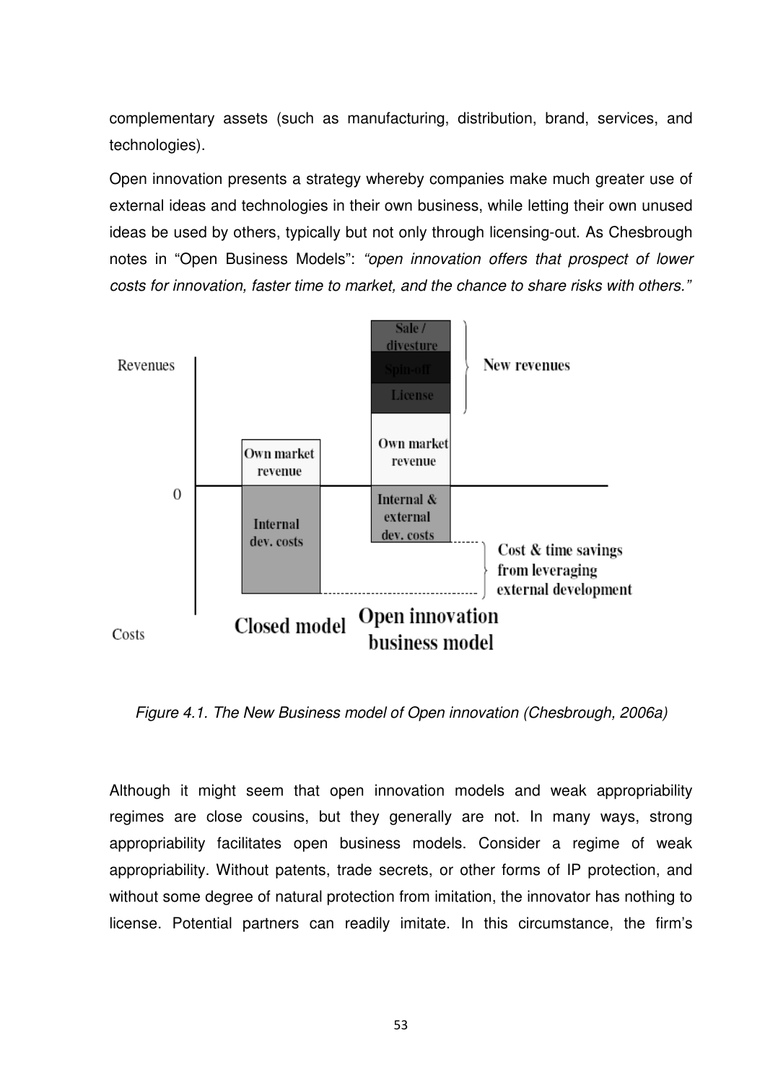complementary assets (such as manufacturing, distribution, brand, services, and technologies).

Open innovation presents a strategy whereby companies make much greater use of external ideas and technologies in their own business, while letting their own unused ideas be used by others, typically but not only through licensing-out. As Chesbrough notes in "Open Business Models": "open innovation offers that prospect of lower costs for innovation, faster time to market, and the chance to share risks with others."



Figure 4.1. The New Business model of Open innovation (Chesbrough, 2006a)

Although it might seem that open innovation models and weak appropriability regimes are close cousins, but they generally are not. In many ways, strong appropriability facilitates open business models. Consider a regime of weak appropriability. Without patents, trade secrets, or other forms of IP protection, and without some degree of natural protection from imitation, the innovator has nothing to license. Potential partners can readily imitate. In this circumstance, the firm's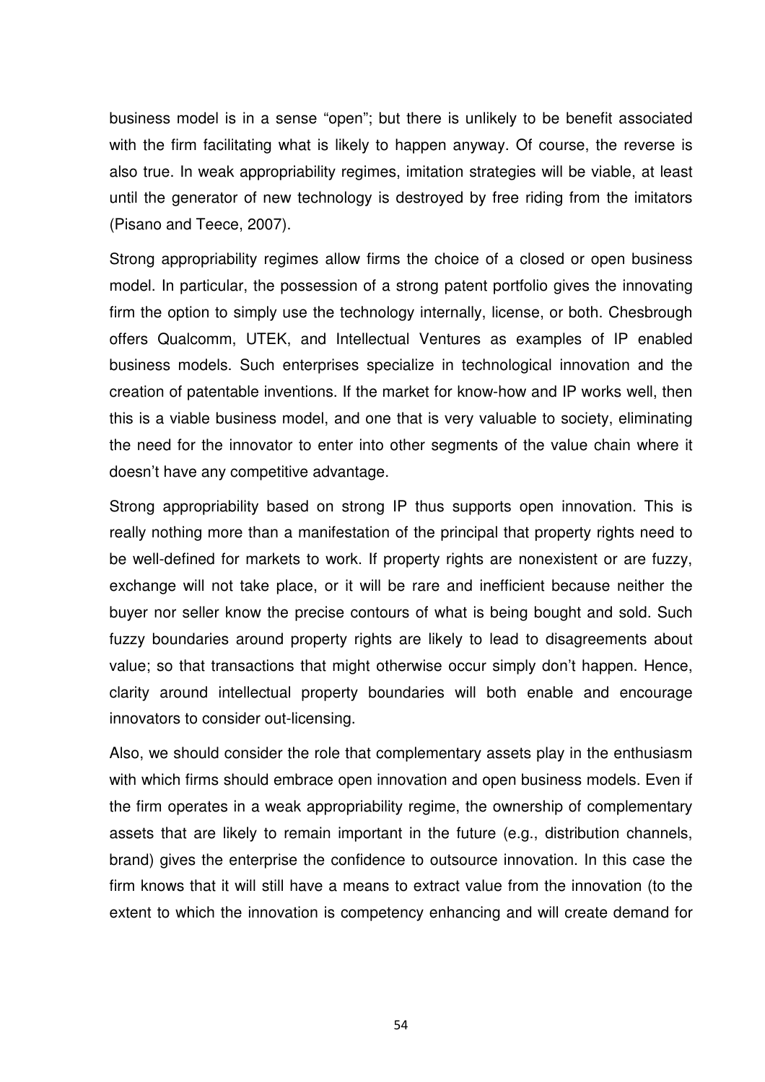business model is in a sense "open"; but there is unlikely to be benefit associated with the firm facilitating what is likely to happen anyway. Of course, the reverse is also true. In weak appropriability regimes, imitation strategies will be viable, at least until the generator of new technology is destroyed by free riding from the imitators (Pisano and Teece, 2007).

Strong appropriability regimes allow firms the choice of a closed or open business model. In particular, the possession of a strong patent portfolio gives the innovating firm the option to simply use the technology internally, license, or both. Chesbrough offers Qualcomm, UTEK, and Intellectual Ventures as examples of IP enabled business models. Such enterprises specialize in technological innovation and the creation of patentable inventions. If the market for know-how and IP works well, then this is a viable business model, and one that is very valuable to society, eliminating the need for the innovator to enter into other segments of the value chain where it doesn't have any competitive advantage.

Strong appropriability based on strong IP thus supports open innovation. This is really nothing more than a manifestation of the principal that property rights need to be well-defined for markets to work. If property rights are nonexistent or are fuzzy, exchange will not take place, or it will be rare and inefficient because neither the buyer nor seller know the precise contours of what is being bought and sold. Such fuzzy boundaries around property rights are likely to lead to disagreements about value; so that transactions that might otherwise occur simply don't happen. Hence, clarity around intellectual property boundaries will both enable and encourage innovators to consider out-licensing.

Also, we should consider the role that complementary assets play in the enthusiasm with which firms should embrace open innovation and open business models. Even if the firm operates in a weak appropriability regime, the ownership of complementary assets that are likely to remain important in the future (e.g., distribution channels, brand) gives the enterprise the confidence to outsource innovation. In this case the firm knows that it will still have a means to extract value from the innovation (to the extent to which the innovation is competency enhancing and will create demand for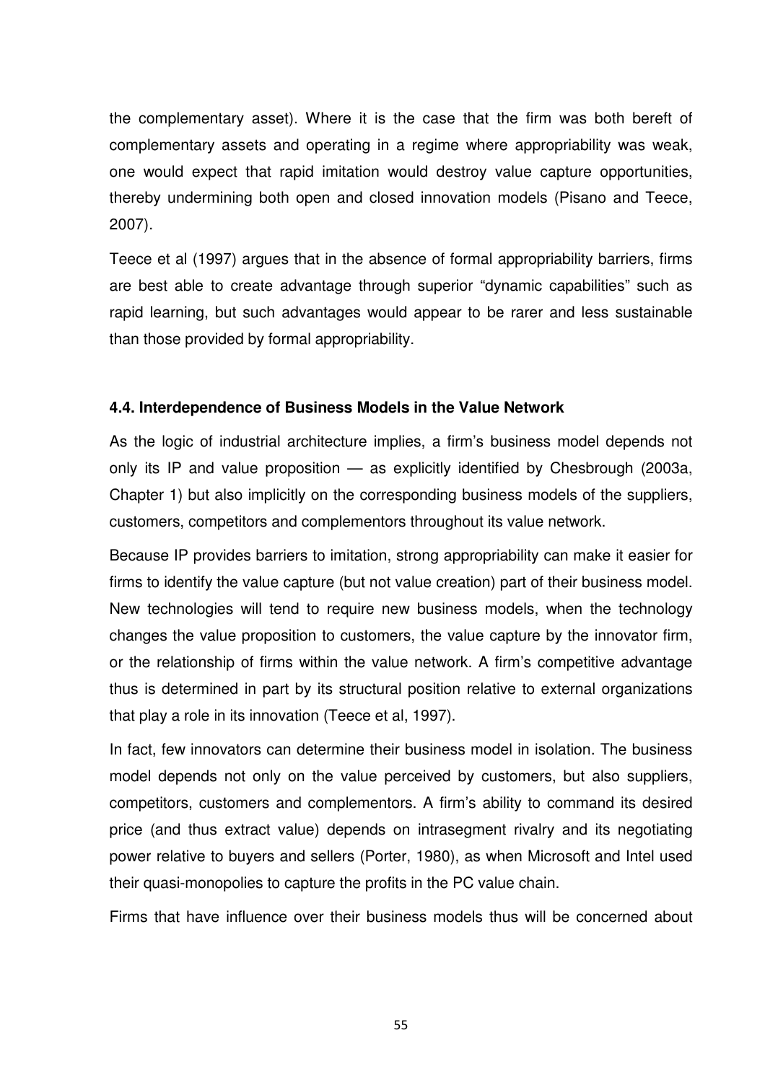the complementary asset). Where it is the case that the firm was both bereft of complementary assets and operating in a regime where appropriability was weak, one would expect that rapid imitation would destroy value capture opportunities, thereby undermining both open and closed innovation models (Pisano and Teece, 2007).

Teece et al (1997) argues that in the absence of formal appropriability barriers, firms are best able to create advantage through superior "dynamic capabilities" such as rapid learning, but such advantages would appear to be rarer and less sustainable than those provided by formal appropriability.

## **4.4. Interdependence of Business Models in the Value Network**

As the logic of industrial architecture implies, a firm's business model depends not only its IP and value proposition — as explicitly identified by Chesbrough (2003a, Chapter 1) but also implicitly on the corresponding business models of the suppliers, customers, competitors and complementors throughout its value network.

Because IP provides barriers to imitation, strong appropriability can make it easier for firms to identify the value capture (but not value creation) part of their business model. New technologies will tend to require new business models, when the technology changes the value proposition to customers, the value capture by the innovator firm, or the relationship of firms within the value network. A firm's competitive advantage thus is determined in part by its structural position relative to external organizations that play a role in its innovation (Teece et al, 1997).

In fact, few innovators can determine their business model in isolation. The business model depends not only on the value perceived by customers, but also suppliers, competitors, customers and complementors. A firm's ability to command its desired price (and thus extract value) depends on intrasegment rivalry and its negotiating power relative to buyers and sellers (Porter, 1980), as when Microsoft and Intel used their quasi-monopolies to capture the profits in the PC value chain.

Firms that have influence over their business models thus will be concerned about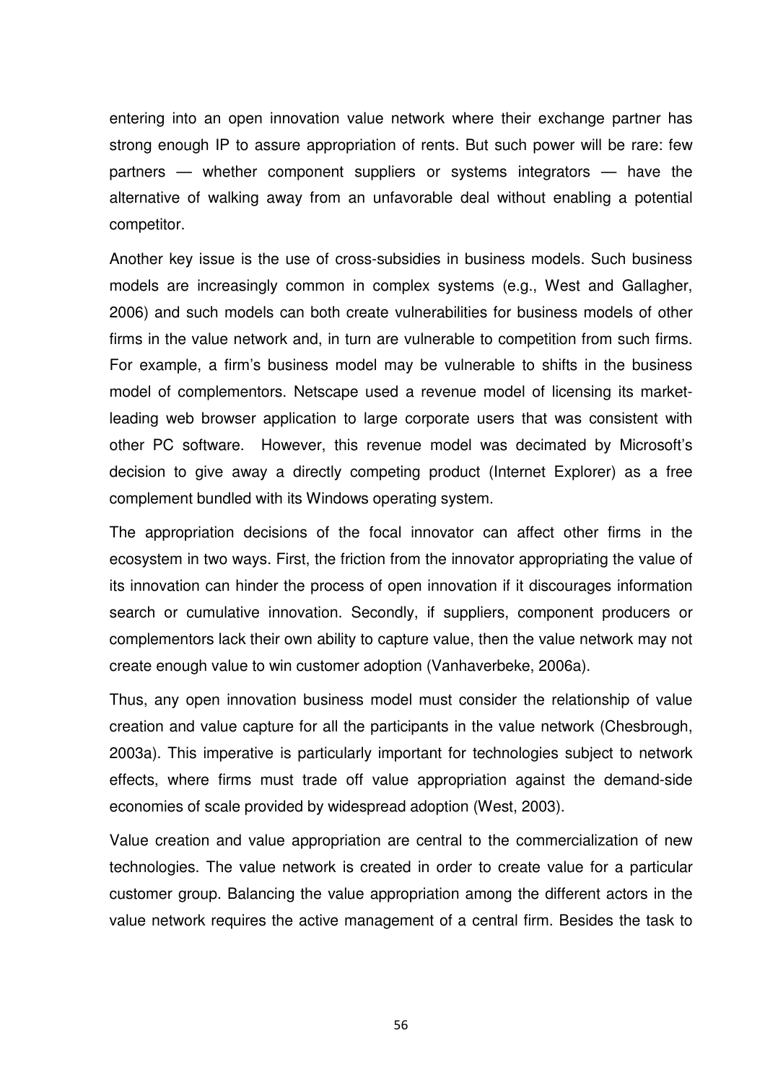entering into an open innovation value network where their exchange partner has strong enough IP to assure appropriation of rents. But such power will be rare: few partners — whether component suppliers or systems integrators — have the alternative of walking away from an unfavorable deal without enabling a potential competitor.

Another key issue is the use of cross-subsidies in business models. Such business models are increasingly common in complex systems (e.g., West and Gallagher, 2006) and such models can both create vulnerabilities for business models of other firms in the value network and, in turn are vulnerable to competition from such firms. For example, a firm's business model may be vulnerable to shifts in the business model of complementors. Netscape used a revenue model of licensing its marketleading web browser application to large corporate users that was consistent with other PC software. However, this revenue model was decimated by Microsoft's decision to give away a directly competing product (Internet Explorer) as a free complement bundled with its Windows operating system.

The appropriation decisions of the focal innovator can affect other firms in the ecosystem in two ways. First, the friction from the innovator appropriating the value of its innovation can hinder the process of open innovation if it discourages information search or cumulative innovation. Secondly, if suppliers, component producers or complementors lack their own ability to capture value, then the value network may not create enough value to win customer adoption (Vanhaverbeke, 2006a).

Thus, any open innovation business model must consider the relationship of value creation and value capture for all the participants in the value network (Chesbrough, 2003a). This imperative is particularly important for technologies subject to network effects, where firms must trade off value appropriation against the demand-side economies of scale provided by widespread adoption (West, 2003).

Value creation and value appropriation are central to the commercialization of new technologies. The value network is created in order to create value for a particular customer group. Balancing the value appropriation among the different actors in the value network requires the active management of a central firm. Besides the task to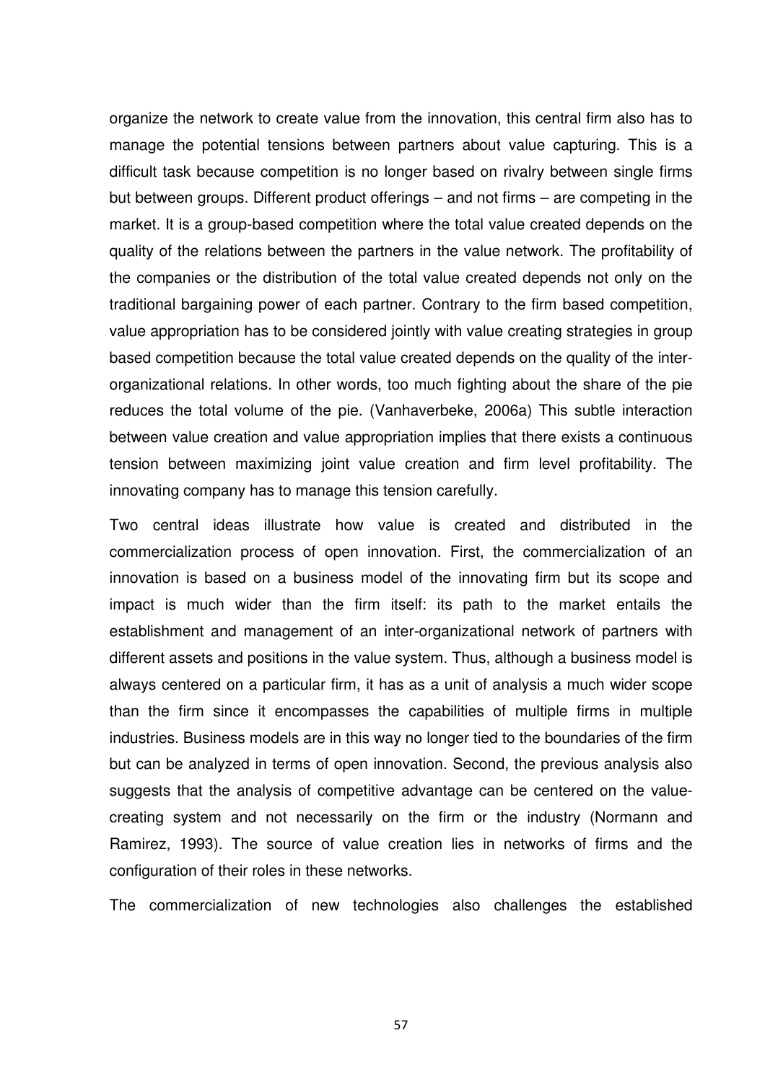organize the network to create value from the innovation, this central firm also has to manage the potential tensions between partners about value capturing. This is a difficult task because competition is no longer based on rivalry between single firms but between groups. Different product offerings – and not firms – are competing in the market. It is a group-based competition where the total value created depends on the quality of the relations between the partners in the value network. The profitability of the companies or the distribution of the total value created depends not only on the traditional bargaining power of each partner. Contrary to the firm based competition, value appropriation has to be considered jointly with value creating strategies in group based competition because the total value created depends on the quality of the interorganizational relations. In other words, too much fighting about the share of the pie reduces the total volume of the pie. (Vanhaverbeke, 2006a) This subtle interaction between value creation and value appropriation implies that there exists a continuous tension between maximizing joint value creation and firm level profitability. The innovating company has to manage this tension carefully.

Two central ideas illustrate how value is created and distributed in the commercialization process of open innovation. First, the commercialization of an innovation is based on a business model of the innovating firm but its scope and impact is much wider than the firm itself: its path to the market entails the establishment and management of an inter-organizational network of partners with different assets and positions in the value system. Thus, although a business model is always centered on a particular firm, it has as a unit of analysis a much wider scope than the firm since it encompasses the capabilities of multiple firms in multiple industries. Business models are in this way no longer tied to the boundaries of the firm but can be analyzed in terms of open innovation. Second, the previous analysis also suggests that the analysis of competitive advantage can be centered on the valuecreating system and not necessarily on the firm or the industry (Normann and Ramirez, 1993). The source of value creation lies in networks of firms and the configuration of their roles in these networks.

The commercialization of new technologies also challenges the established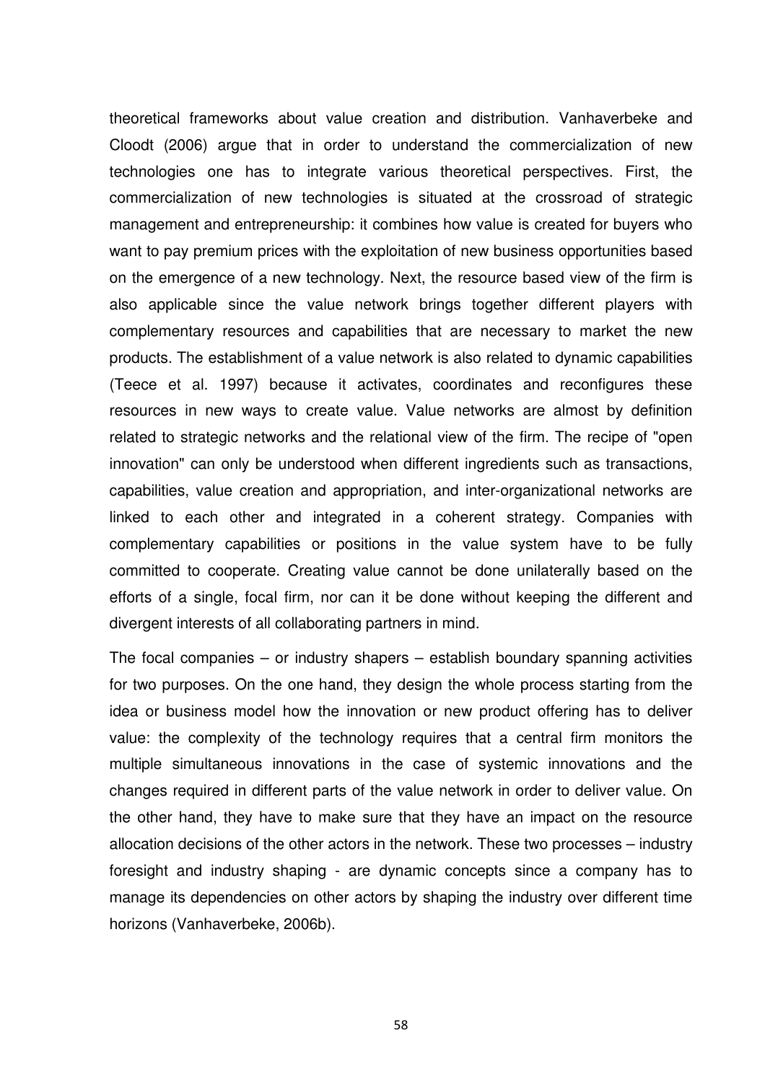theoretical frameworks about value creation and distribution. Vanhaverbeke and Cloodt (2006) argue that in order to understand the commercialization of new technologies one has to integrate various theoretical perspectives. First, the commercialization of new technologies is situated at the crossroad of strategic management and entrepreneurship: it combines how value is created for buyers who want to pay premium prices with the exploitation of new business opportunities based on the emergence of a new technology. Next, the resource based view of the firm is also applicable since the value network brings together different players with complementary resources and capabilities that are necessary to market the new products. The establishment of a value network is also related to dynamic capabilities (Teece et al. 1997) because it activates, coordinates and reconfigures these resources in new ways to create value. Value networks are almost by definition related to strategic networks and the relational view of the firm. The recipe of "open innovation" can only be understood when different ingredients such as transactions, capabilities, value creation and appropriation, and inter-organizational networks are linked to each other and integrated in a coherent strategy. Companies with complementary capabilities or positions in the value system have to be fully committed to cooperate. Creating value cannot be done unilaterally based on the efforts of a single, focal firm, nor can it be done without keeping the different and divergent interests of all collaborating partners in mind.

The focal companies – or industry shapers – establish boundary spanning activities for two purposes. On the one hand, they design the whole process starting from the idea or business model how the innovation or new product offering has to deliver value: the complexity of the technology requires that a central firm monitors the multiple simultaneous innovations in the case of systemic innovations and the changes required in different parts of the value network in order to deliver value. On the other hand, they have to make sure that they have an impact on the resource allocation decisions of the other actors in the network. These two processes – industry foresight and industry shaping - are dynamic concepts since a company has to manage its dependencies on other actors by shaping the industry over different time horizons (Vanhaverbeke, 2006b).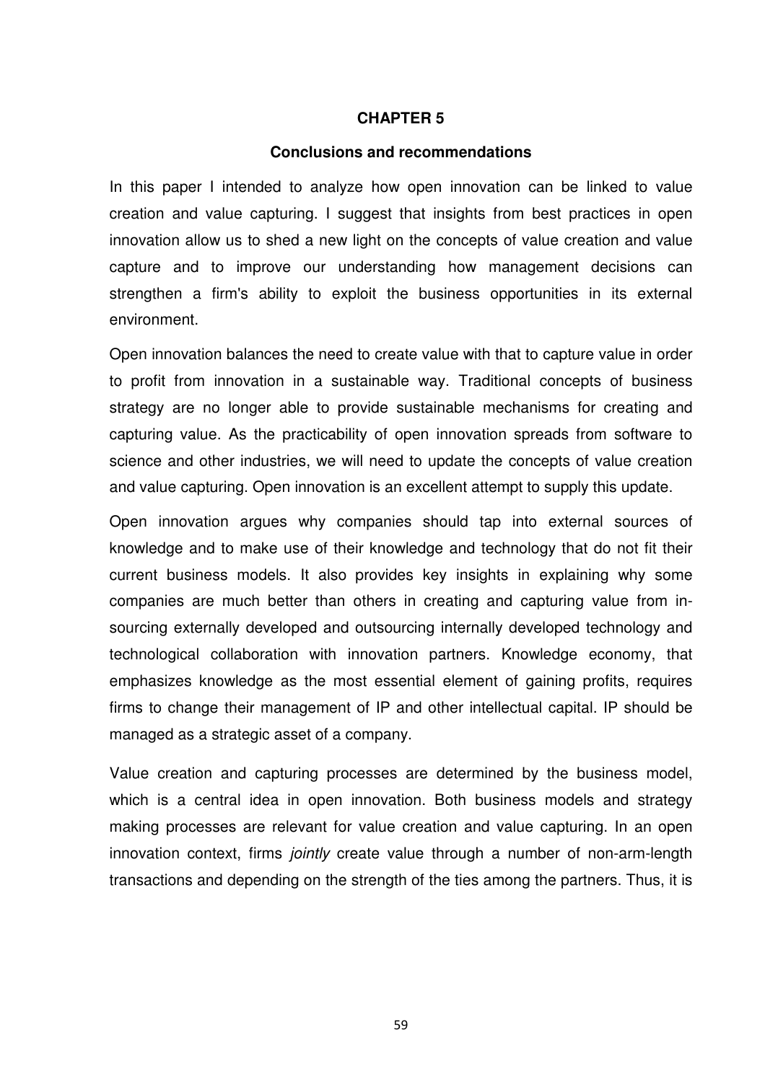#### **CHAPTER 5**

#### **Conclusions and recommendations**

In this paper I intended to analyze how open innovation can be linked to value creation and value capturing. I suggest that insights from best practices in open innovation allow us to shed a new light on the concepts of value creation and value capture and to improve our understanding how management decisions can strengthen a firm's ability to exploit the business opportunities in its external environment.

Open innovation balances the need to create value with that to capture value in order to profit from innovation in a sustainable way. Traditional concepts of business strategy are no longer able to provide sustainable mechanisms for creating and capturing value. As the practicability of open innovation spreads from software to science and other industries, we will need to update the concepts of value creation and value capturing. Open innovation is an excellent attempt to supply this update.

Open innovation argues why companies should tap into external sources of knowledge and to make use of their knowledge and technology that do not fit their current business models. It also provides key insights in explaining why some companies are much better than others in creating and capturing value from insourcing externally developed and outsourcing internally developed technology and technological collaboration with innovation partners. Knowledge economy, that emphasizes knowledge as the most essential element of gaining profits, requires firms to change their management of IP and other intellectual capital. IP should be managed as a strategic asset of a company.

Value creation and capturing processes are determined by the business model, which is a central idea in open innovation. Both business models and strategy making processes are relevant for value creation and value capturing. In an open innovation context, firms *jointly* create value through a number of non-arm-length transactions and depending on the strength of the ties among the partners. Thus, it is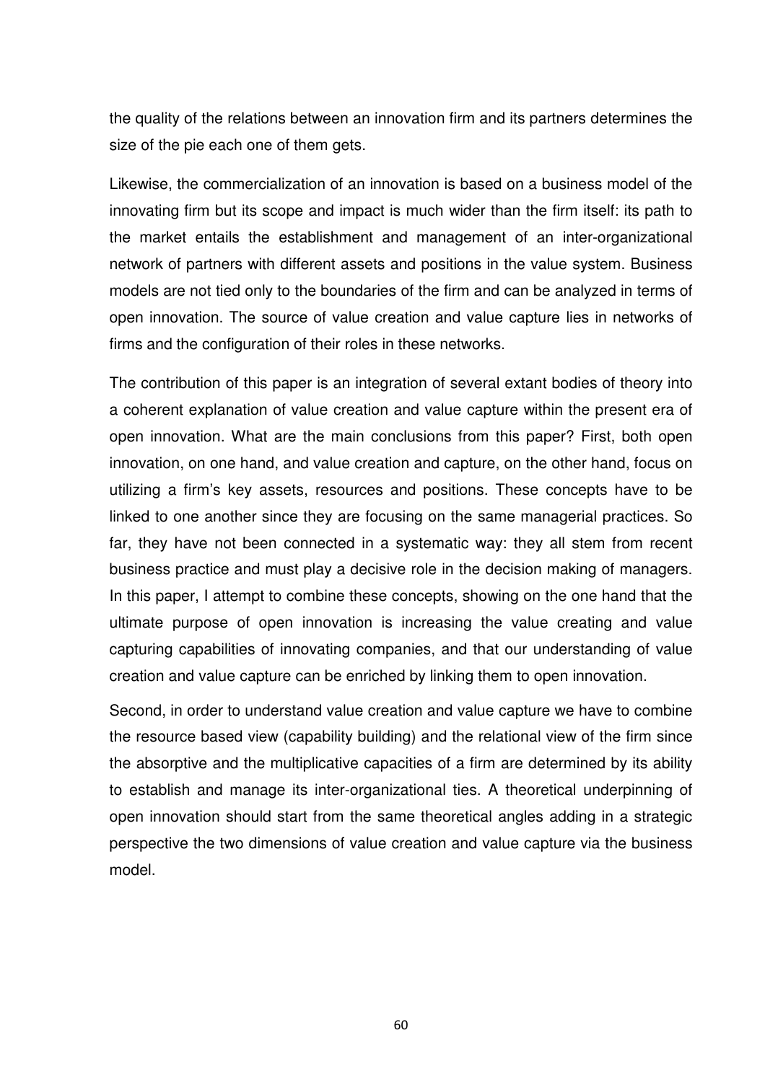the quality of the relations between an innovation firm and its partners determines the size of the pie each one of them gets.

Likewise, the commercialization of an innovation is based on a business model of the innovating firm but its scope and impact is much wider than the firm itself: its path to the market entails the establishment and management of an inter-organizational network of partners with different assets and positions in the value system. Business models are not tied only to the boundaries of the firm and can be analyzed in terms of open innovation. The source of value creation and value capture lies in networks of firms and the configuration of their roles in these networks.

The contribution of this paper is an integration of several extant bodies of theory into a coherent explanation of value creation and value capture within the present era of open innovation. What are the main conclusions from this paper? First, both open innovation, on one hand, and value creation and capture, on the other hand, focus on utilizing a firm's key assets, resources and positions. These concepts have to be linked to one another since they are focusing on the same managerial practices. So far, they have not been connected in a systematic way: they all stem from recent business practice and must play a decisive role in the decision making of managers. In this paper, I attempt to combine these concepts, showing on the one hand that the ultimate purpose of open innovation is increasing the value creating and value capturing capabilities of innovating companies, and that our understanding of value creation and value capture can be enriched by linking them to open innovation.

Second, in order to understand value creation and value capture we have to combine the resource based view (capability building) and the relational view of the firm since the absorptive and the multiplicative capacities of a firm are determined by its ability to establish and manage its inter-organizational ties. A theoretical underpinning of open innovation should start from the same theoretical angles adding in a strategic perspective the two dimensions of value creation and value capture via the business model.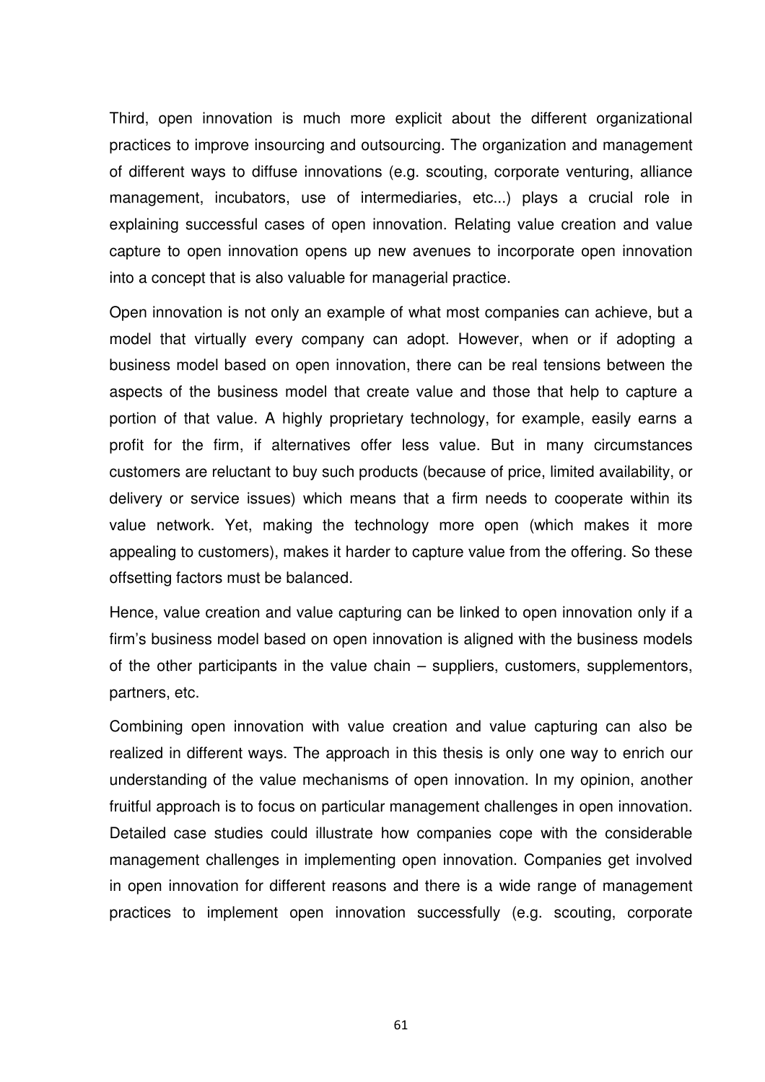Third, open innovation is much more explicit about the different organizational practices to improve insourcing and outsourcing. The organization and management of different ways to diffuse innovations (e.g. scouting, corporate venturing, alliance management, incubators, use of intermediaries, etc...) plays a crucial role in explaining successful cases of open innovation. Relating value creation and value capture to open innovation opens up new avenues to incorporate open innovation into a concept that is also valuable for managerial practice.

Open innovation is not only an example of what most companies can achieve, but a model that virtually every company can adopt. However, when or if adopting a business model based on open innovation, there can be real tensions between the aspects of the business model that create value and those that help to capture a portion of that value. A highly proprietary technology, for example, easily earns a profit for the firm, if alternatives offer less value. But in many circumstances customers are reluctant to buy such products (because of price, limited availability, or delivery or service issues) which means that a firm needs to cooperate within its value network. Yet, making the technology more open (which makes it more appealing to customers), makes it harder to capture value from the offering. So these offsetting factors must be balanced.

Hence, value creation and value capturing can be linked to open innovation only if a firm's business model based on open innovation is aligned with the business models of the other participants in the value chain – suppliers, customers, supplementors, partners, etc.

Combining open innovation with value creation and value capturing can also be realized in different ways. The approach in this thesis is only one way to enrich our understanding of the value mechanisms of open innovation. In my opinion, another fruitful approach is to focus on particular management challenges in open innovation. Detailed case studies could illustrate how companies cope with the considerable management challenges in implementing open innovation. Companies get involved in open innovation for different reasons and there is a wide range of management practices to implement open innovation successfully (e.g. scouting, corporate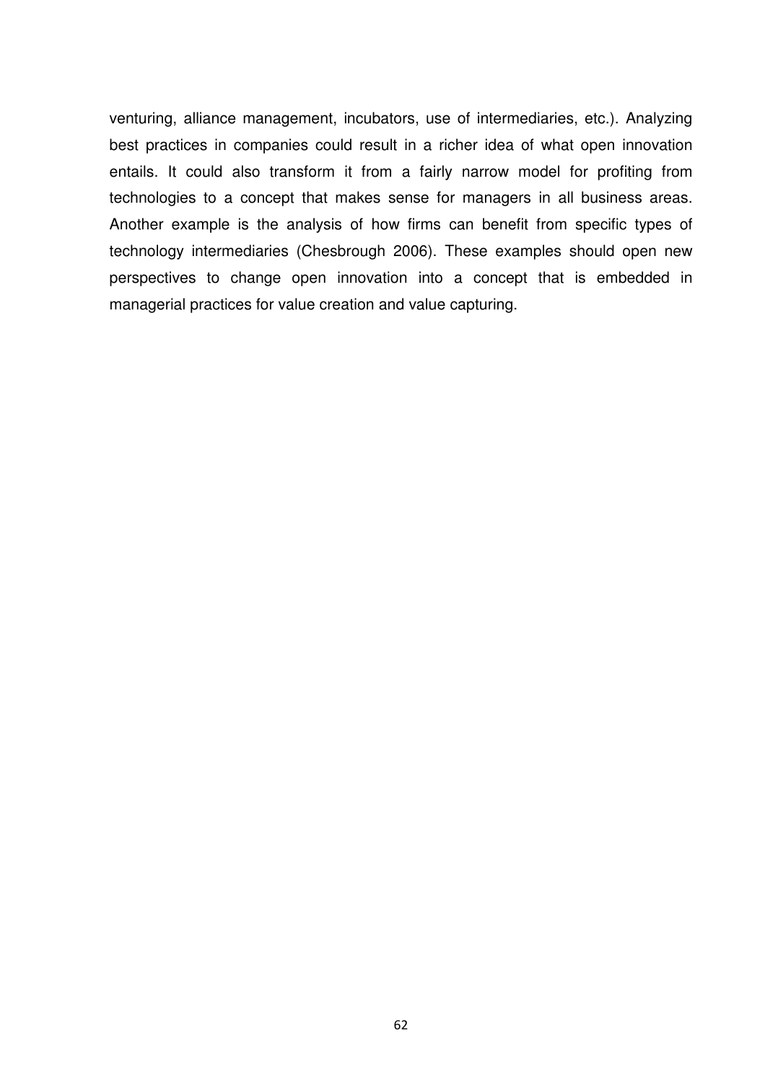venturing, alliance management, incubators, use of intermediaries, etc.). Analyzing best practices in companies could result in a richer idea of what open innovation entails. It could also transform it from a fairly narrow model for profiting from technologies to a concept that makes sense for managers in all business areas. Another example is the analysis of how firms can benefit from specific types of technology intermediaries (Chesbrough 2006). These examples should open new perspectives to change open innovation into a concept that is embedded in managerial practices for value creation and value capturing.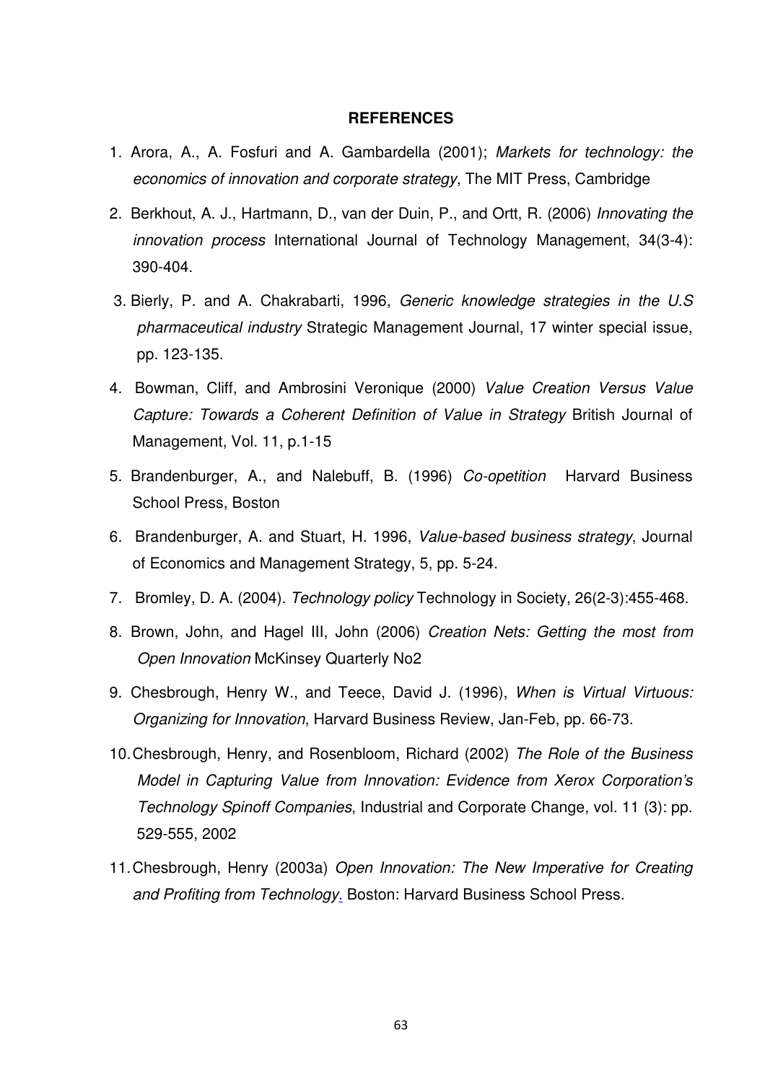#### **REFERENCES**

- 1. Arora, A., A. Fosfuri and A. Gambardella (2001); Markets for technology: the economics of innovation and corporate strategy, The MIT Press, Cambridge
- 2. Berkhout, A. J., Hartmann, D., van der Duin, P., and Ortt, R. (2006) Innovating the innovation process International Journal of Technology Management, 34(3-4): 390-404.
- 3. Bierly, P. and A. Chakrabarti, 1996, Generic knowledge strategies in the U.S pharmaceutical industry Strategic Management Journal, 17 winter special issue, pp. 123-135.
- 4. Bowman, Cliff, and Ambrosini Veronique (2000) Value Creation Versus Value Capture: Towards a Coherent Definition of Value in Strategy British Journal of Management, Vol. 11, p.1-15
- 5. Brandenburger, A., and Nalebuff, B. (1996) Co-opetition Harvard Business School Press, Boston
- 6. Brandenburger, A. and Stuart, H. 1996, Value-based business strategy, Journal of Economics and Management Strategy, 5, pp. 5-24.
- 7. Bromley, D. A. (2004). Technology policy Technology in Society, 26(2-3):455-468.
- 8. Brown, John, and Hagel III, John (2006) Creation Nets: Getting the most from Open Innovation McKinsey Quarterly No2
- 9. Chesbrough, Henry W., and Teece, David J. (1996), When is Virtual Virtuous: Organizing for Innovation, Harvard Business Review, Jan-Feb, pp. 66-73.
- 10. Chesbrough, Henry, and Rosenbloom, Richard (2002) The Role of the Business Model in Capturing Value from Innovation: Evidence from Xerox Corporation's Technology Spinoff Companies, Industrial and Corporate Change, vol. 11 (3): pp. 529-555, 2002
- 11. Chesbrough, Henry (2003a) Open Innovation: The New Imperative for Creating and Profiting from Technology. Boston: Harvard Business School Press.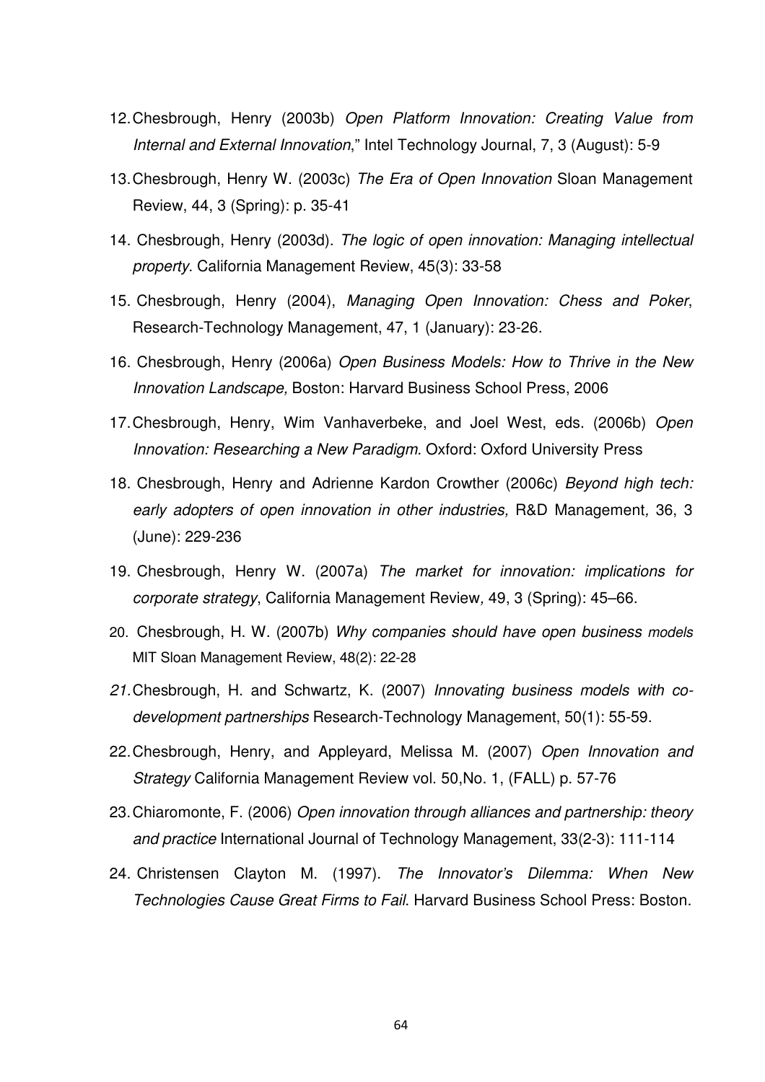- 12. Chesbrough, Henry (2003b) Open Platform Innovation: Creating Value from Internal and External Innovation," Intel Technology Journal, 7, 3 (August): 5-9
- 13. Chesbrough, Henry W. (2003c) The Era of Open Innovation Sloan Management Review, 44, 3 (Spring): p. 35-41
- 14. Chesbrough, Henry (2003d). The logic of open innovation: Managing intellectual property. California Management Review, 45(3): 33-58
- 15. Chesbrough, Henry (2004), Managing Open Innovation: Chess and Poker, Research-Technology Management, 47, 1 (January): 23-26.
- 16. Chesbrough, Henry (2006a) Open Business Models: How to Thrive in the New Innovation Landscape, Boston: Harvard Business School Press, 2006
- 17. Chesbrough, Henry, Wim Vanhaverbeke, and Joel West, eds. (2006b) Open Innovation: Researching a New Paradigm. Oxford: Oxford University Press
- 18. Chesbrough, Henry and Adrienne Kardon Crowther (2006c) Beyond high tech: early adopters of open innovation in other industries, R&D Management, 36, 3 (June): 229-236
- 19. Chesbrough, Henry W. (2007a) The market for innovation: implications for corporate strategy, California Management Review, 49, 3 (Spring): 45–66.
- 20. Chesbrough, H. W. (2007b) Why companies should have open business models MIT Sloan Management Review, 48(2): 22-28
- 21. Chesbrough, H. and Schwartz, K. (2007) Innovating business models with codevelopment partnerships Research-Technology Management, 50(1): 55-59.
- 22. Chesbrough, Henry, and Appleyard, Melissa M. (2007) Open Innovation and Strategy California Management Review vol. 50,No. 1, (FALL) p. 57-76
- 23. Chiaromonte, F. (2006) Open innovation through alliances and partnership: theory and practice International Journal of Technology Management, 33(2-3): 111-114
- 24. Christensen Clayton M. (1997). The Innovator's Dilemma: When New Technologies Cause Great Firms to Fail. Harvard Business School Press: Boston.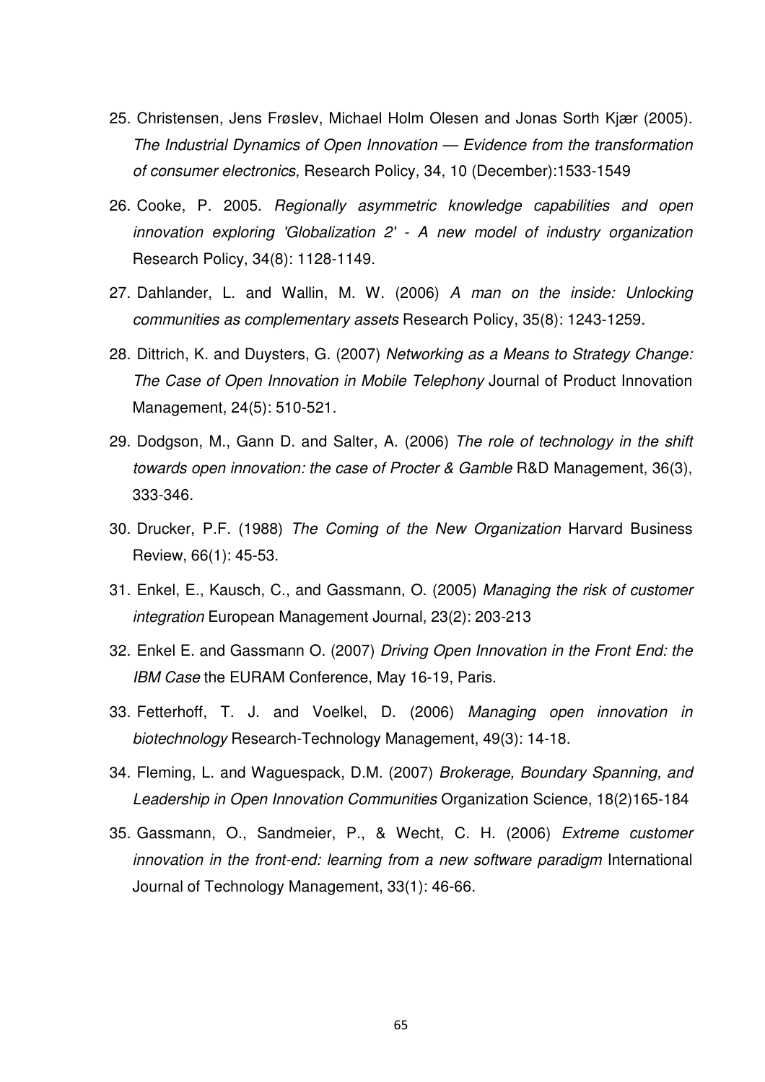- 25. Christensen, Jens Frøslev, Michael Holm Olesen and Jonas Sorth Kjær (2005). The Industrial Dynamics of Open Innovation — Evidence from the transformation of consumer electronics, Research Policy, 34, 10 (December):1533-1549
- 26. Cooke, P. 2005. Regionally asymmetric knowledge capabilities and open innovation exploring 'Globalization 2' - A new model of industry organization Research Policy, 34(8): 1128-1149.
- 27. Dahlander, L. and Wallin, M. W. (2006) A man on the inside: Unlocking communities as complementary assets Research Policy, 35(8): 1243-1259.
- 28. Dittrich, K. and Duysters, G. (2007) Networking as a Means to Strategy Change: The Case of Open Innovation in Mobile Telephony Journal of Product Innovation Management, 24(5): 510-521.
- 29. Dodgson, M., Gann D. and Salter, A. (2006) The role of technology in the shift towards open innovation: the case of Procter & Gamble R&D Management, 36(3), 333-346.
- 30. Drucker, P.F. (1988) The Coming of the New Organization Harvard Business Review, 66(1): 45-53.
- 31. Enkel, E., Kausch, C., and Gassmann, O. (2005) Managing the risk of customer integration European Management Journal, 23(2): 203-213
- 32. Enkel E. and Gassmann O. (2007) Driving Open Innovation in the Front End: the IBM Case the EURAM Conference, May 16-19, Paris.
- 33. Fetterhoff, T. J. and Voelkel, D. (2006) Managing open innovation in biotechnology Research-Technology Management, 49(3): 14-18.
- 34. Fleming, L. and Waguespack, D.M. (2007) Brokerage, Boundary Spanning, and Leadership in Open Innovation Communities Organization Science, 18(2)165-184
- 35. Gassmann, O., Sandmeier, P., & Wecht, C. H. (2006) Extreme customer innovation in the front-end: learning from a new software paradigm International Journal of Technology Management, 33(1): 46-66.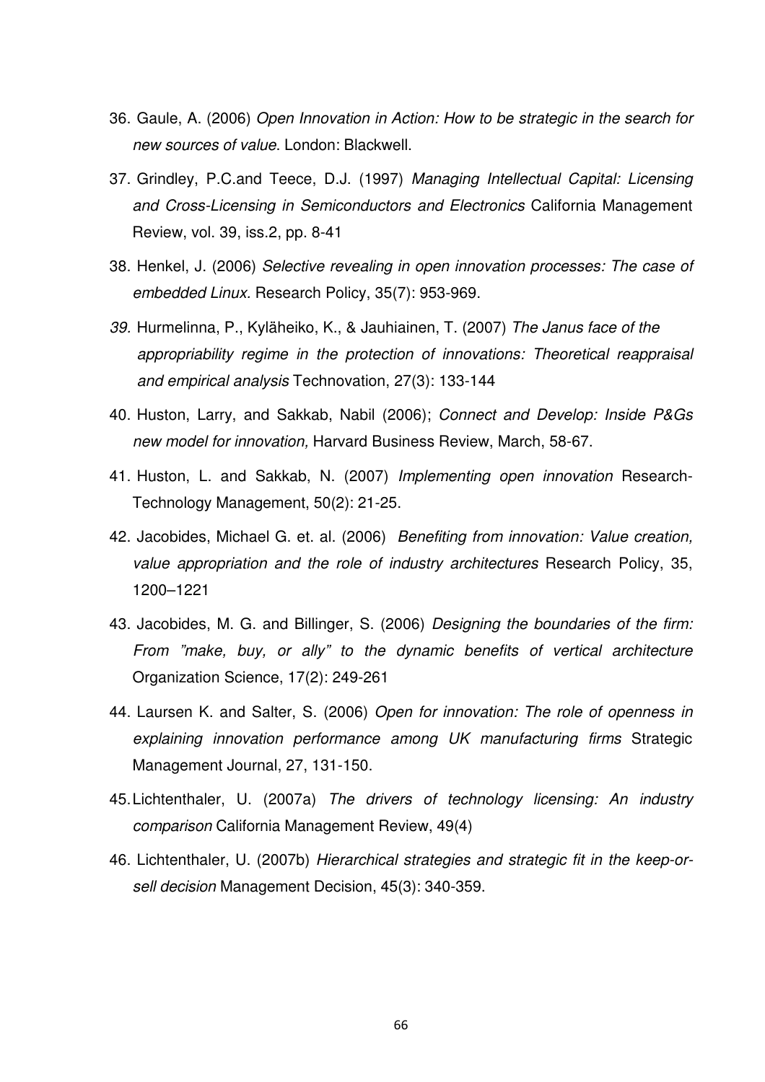- 36. Gaule, A. (2006) Open Innovation in Action: How to be strategic in the search for new sources of value. London: Blackwell.
- 37. Grindley, P.C.and Teece, D.J. (1997) Managing Intellectual Capital: Licensing and Cross-Licensing in Semiconductors and Electronics California Management Review, vol. 39, iss.2, pp. 8-41
- 38. Henkel, J. (2006) Selective revealing in open innovation processes: The case of embedded Linux. Research Policy, 35(7): 953-969.
- 39. Hurmelinna, P., Kyläheiko, K., & Jauhiainen, T. (2007) The Janus face of the appropriability regime in the protection of innovations: Theoretical reappraisal and empirical analysis Technovation, 27(3): 133-144
- 40. Huston, Larry, and Sakkab, Nabil (2006); Connect and Develop: Inside P&Gs new model for innovation, Harvard Business Review, March, 58-67.
- 41. Huston, L. and Sakkab, N. (2007) Implementing open innovation Research-Technology Management, 50(2): 21-25.
- 42. Jacobides, Michael G. et. al. (2006) Benefiting from innovation: Value creation, value appropriation and the role of industry architectures Research Policy, 35, 1200–1221
- 43. Jacobides, M. G. and Billinger, S. (2006) Designing the boundaries of the firm: From "make, buy, or ally" to the dynamic benefits of vertical architecture Organization Science, 17(2): 249-261
- 44. Laursen K. and Salter, S. (2006) Open for innovation: The role of openness in explaining innovation performance among UK manufacturing firms Strategic Management Journal, 27, 131-150.
- 45. Lichtenthaler, U. (2007a) The drivers of technology licensing: An industry comparison California Management Review, 49(4)
- 46. Lichtenthaler, U. (2007b) Hierarchical strategies and strategic fit in the keep-orsell decision Management Decision, 45(3): 340-359.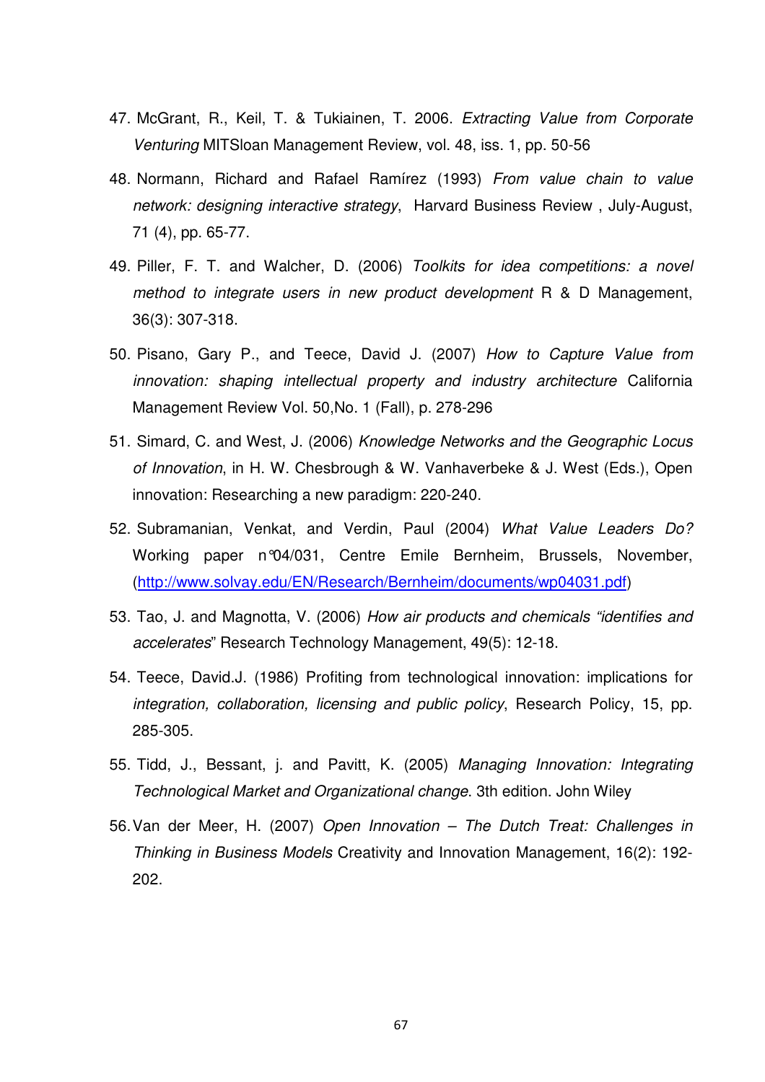- 47. McGrant, R., Keil, T. & Tukiainen, T. 2006. Extracting Value from Corporate Venturing MITSloan Management Review, vol. 48, iss. 1, pp. 50-56
- 48. Normann, Richard and Rafael Ramírez (1993) From value chain to value network: designing interactive strategy, Harvard Business Review, July-August, 71 (4), pp. 65-77.
- 49. Piller, F. T. and Walcher, D. (2006) Toolkits for idea competitions: a novel method to integrate users in new product development R & D Management, 36(3): 307-318.
- 50. Pisano, Gary P., and Teece, David J. (2007) How to Capture Value from innovation: shaping intellectual property and industry architecture California Management Review Vol. 50,No. 1 (Fall), p. 278-296
- 51. Simard, C. and West, J. (2006) Knowledge Networks and the Geographic Locus of Innovation, in H. W. Chesbrough & W. Vanhaverbeke & J. West (Eds.), Open innovation: Researching a new paradigm: 220-240.
- 52. Subramanian, Venkat, and Verdin, Paul (2004) What Value Leaders Do? Working paper n°04/031, Centre Emile Bernheim, Brussels, November, (http://www.solvay.edu/EN/Research/Bernheim/documents/wp04031.pdf)
- 53. Tao, J. and Magnotta, V. (2006) How air products and chemicals "identifies and accelerates" Research Technology Management, 49(5): 12-18.
- 54. Teece, David.J. (1986) Profiting from technological innovation: implications for integration, collaboration, licensing and public policy, Research Policy, 15, pp. 285-305.
- 55. Tidd, J., Bessant, j. and Pavitt, K. (2005) Managing Innovation: Integrating Technological Market and Organizational change. 3th edition. John Wiley
- 56. Van der Meer, H. (2007) Open Innovation The Dutch Treat: Challenges in Thinking in Business Models Creativity and Innovation Management, 16(2): 192- 202.